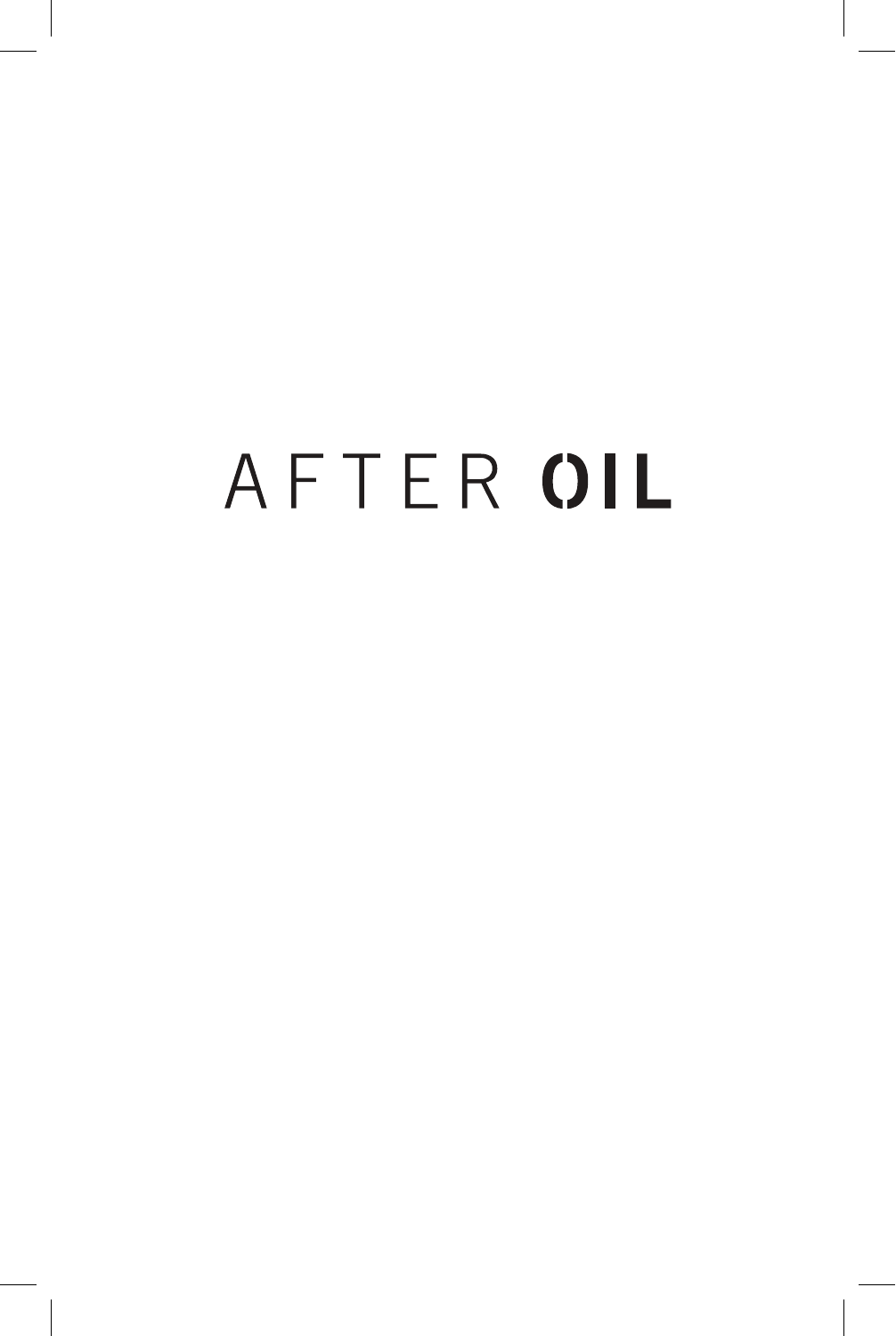# AFTER OIL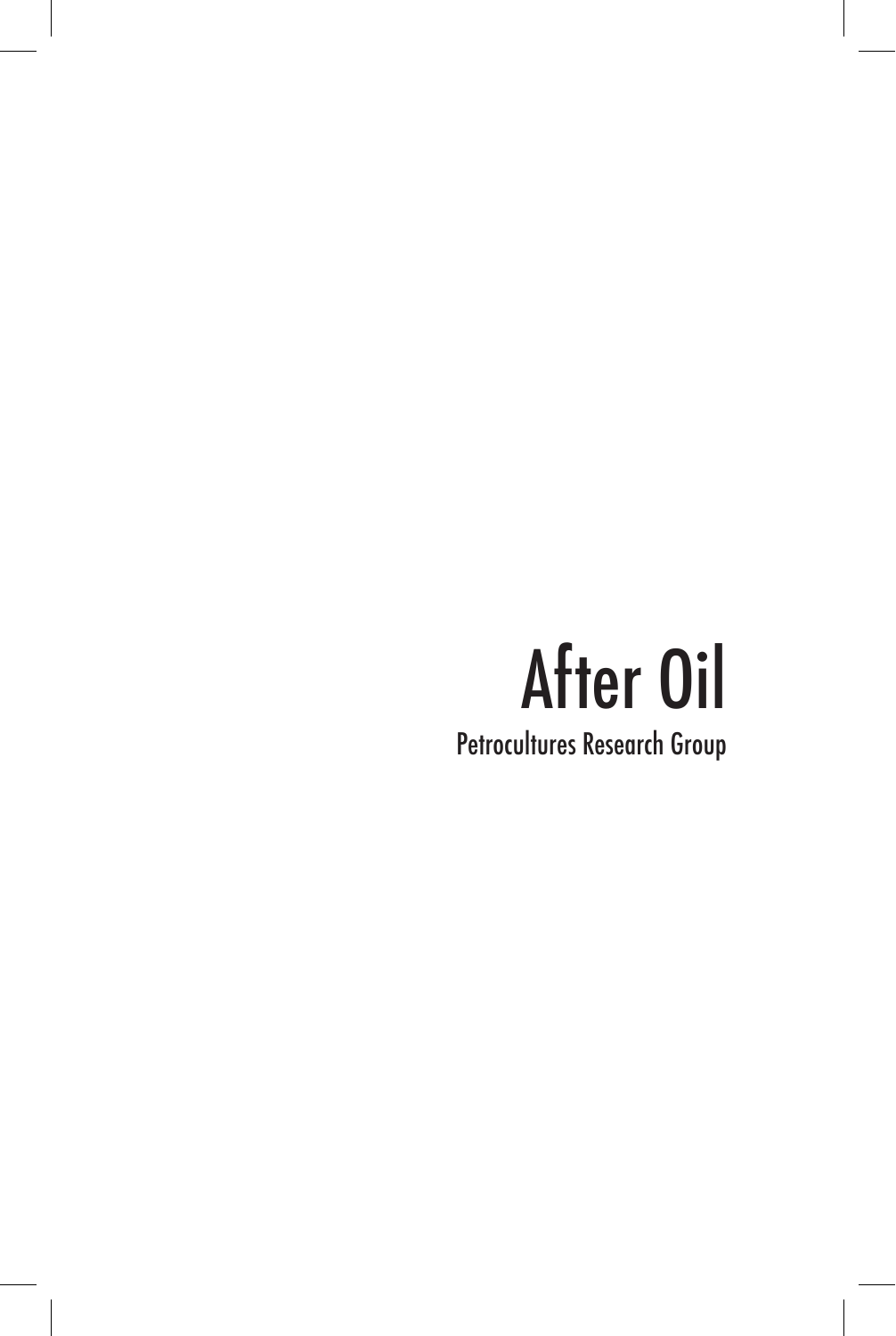# After Oil Petrocultures Research Group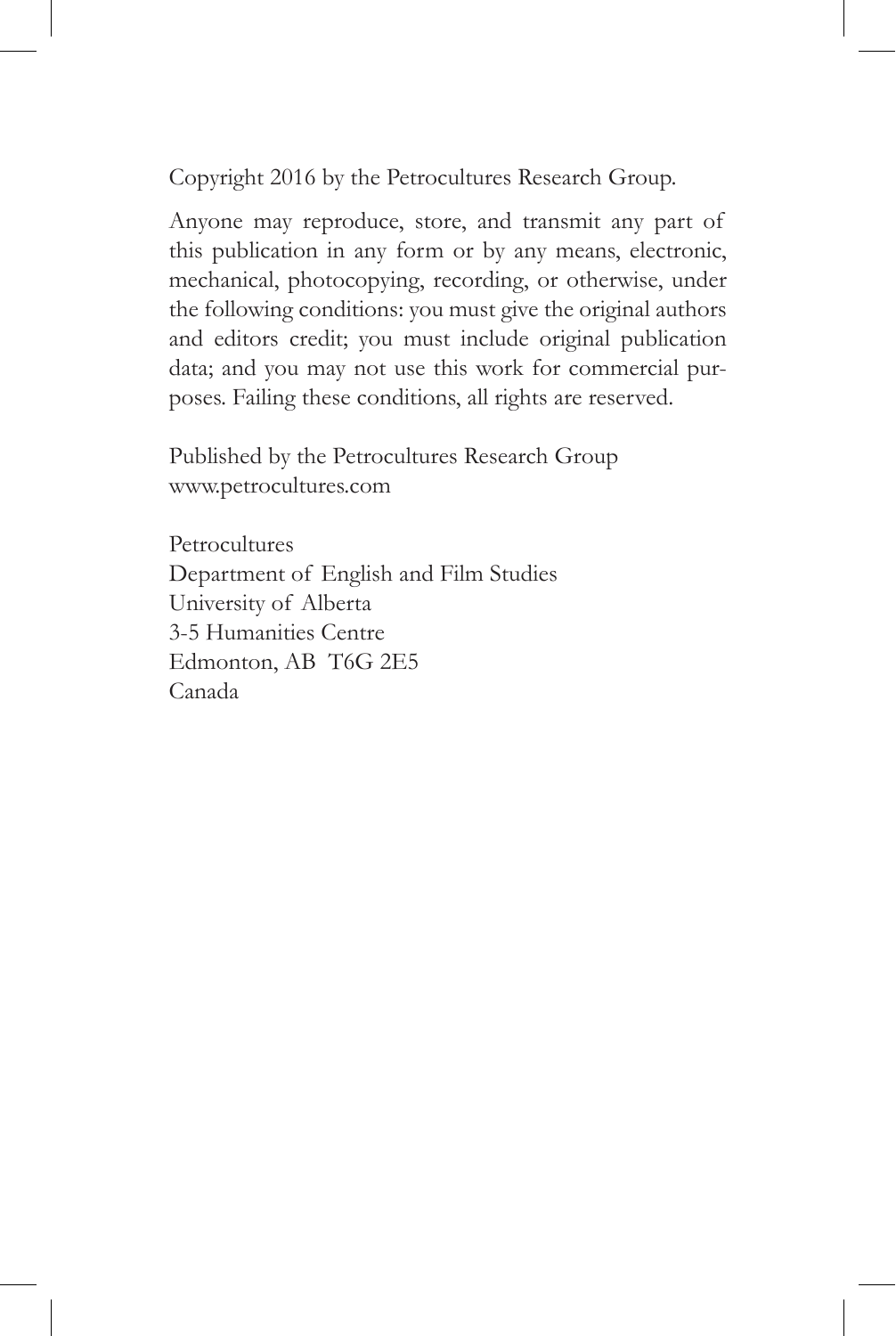Copyright 2016 by the Petrocultures Research Group.

Anyone may reproduce, store, and transmit any part of this publication in any form or by any means, electronic, mechanical, photocopying, recording, or otherwise, under the following conditions: you must give the original authors and editors credit; you must include original publication data; and you may not use this work for commercial purposes. Failing these conditions, all rights are reserved.

Published by the Petrocultures Research Group www.petrocultures.com

Petrocultures Department of English and Film Studies University of Alberta 3-5 Humanities Centre Edmonton, AB T6G 2E5 Canada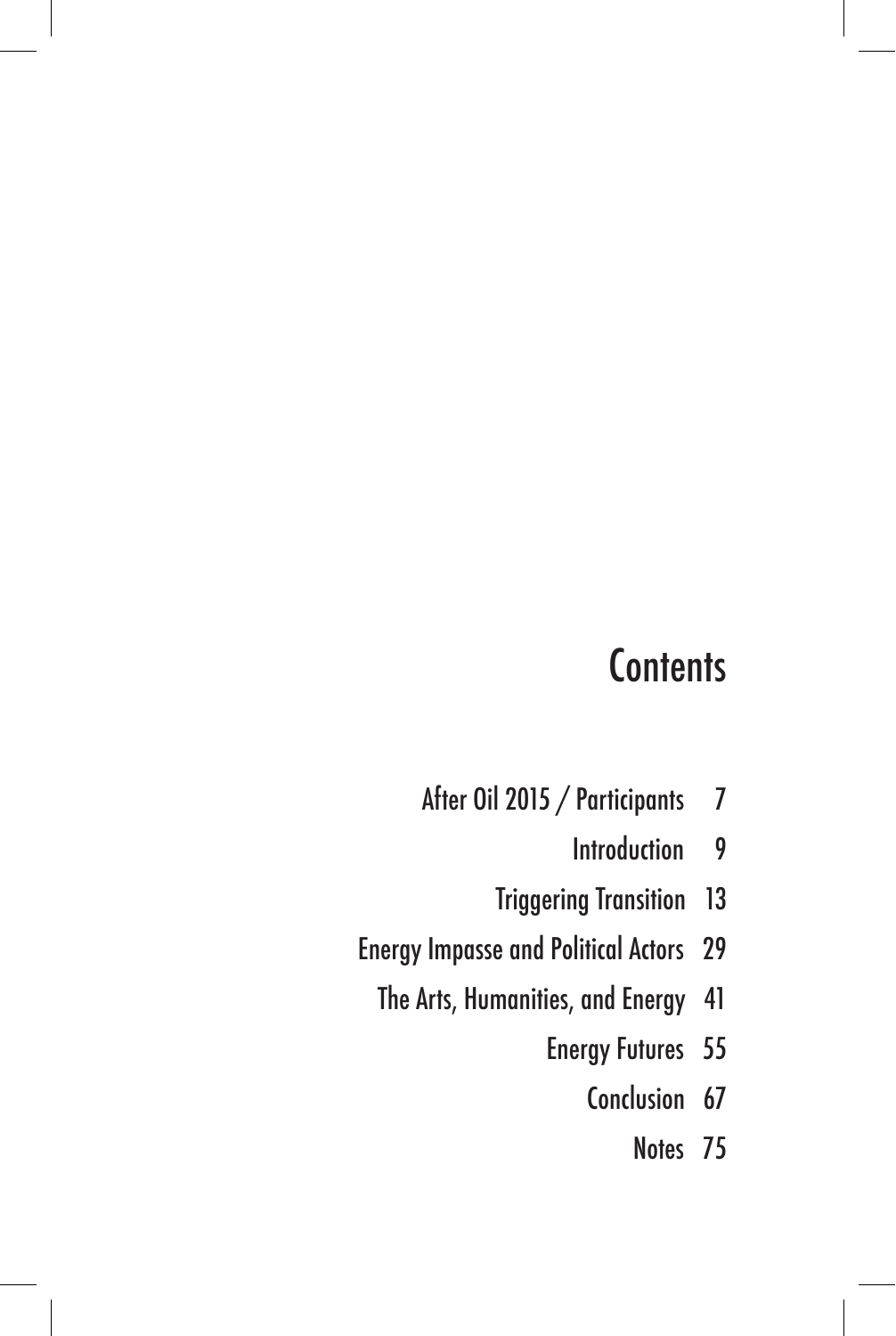# **Contents**

- After Oil 2015 / Participants 7
	- Introduction 9
	- Triggering Transition 13
- Energy Impasse and Political Actors 29
	- The Arts, Humanities, and Energy 41
		- Energy Futures 55
			- Conclusion 67
				- Notes 75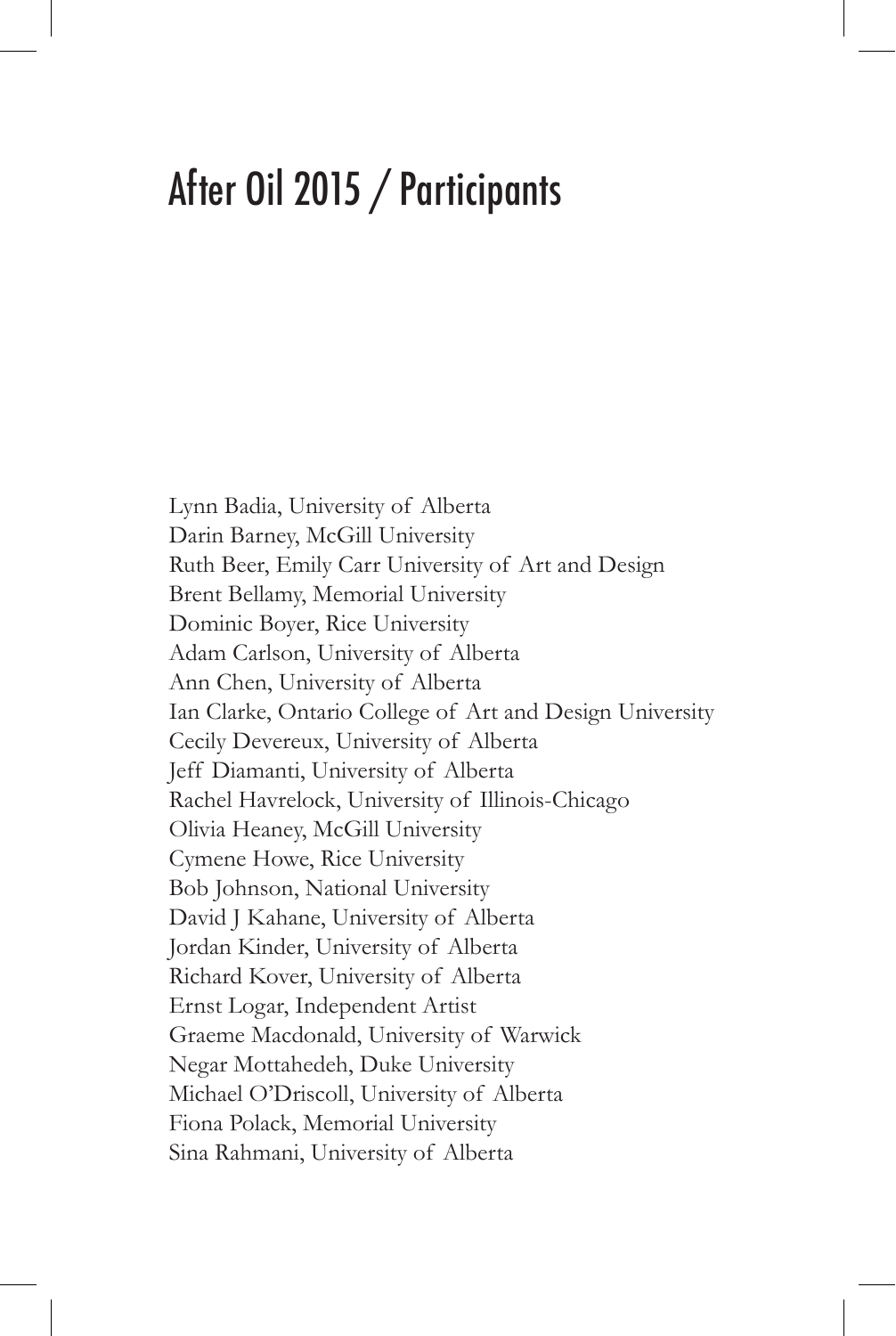# After Oil 2015 / Participants

Lynn Badia, University of Alberta Darin Barney, McGill University Ruth Beer, Emily Carr University of Art and Design Brent Bellamy, Memorial University Dominic Boyer, Rice University Adam Carlson, University of Alberta Ann Chen, University of Alberta Ian Clarke, Ontario College of Art and Design University Cecily Devereux, University of Alberta Jeff Diamanti, University of Alberta Rachel Havrelock, University of Illinois-Chicago Olivia Heaney, McGill University Cymene Howe, Rice University Bob Johnson, National University David J Kahane, University of Alberta Jordan Kinder, University of Alberta Richard Kover, University of Alberta Ernst Logar, Independent Artist Graeme Macdonald, University of Warwick Negar Mottahedeh, Duke University Michael O'Driscoll, University of Alberta Fiona Polack, Memorial University Sina Rahmani, University of Alberta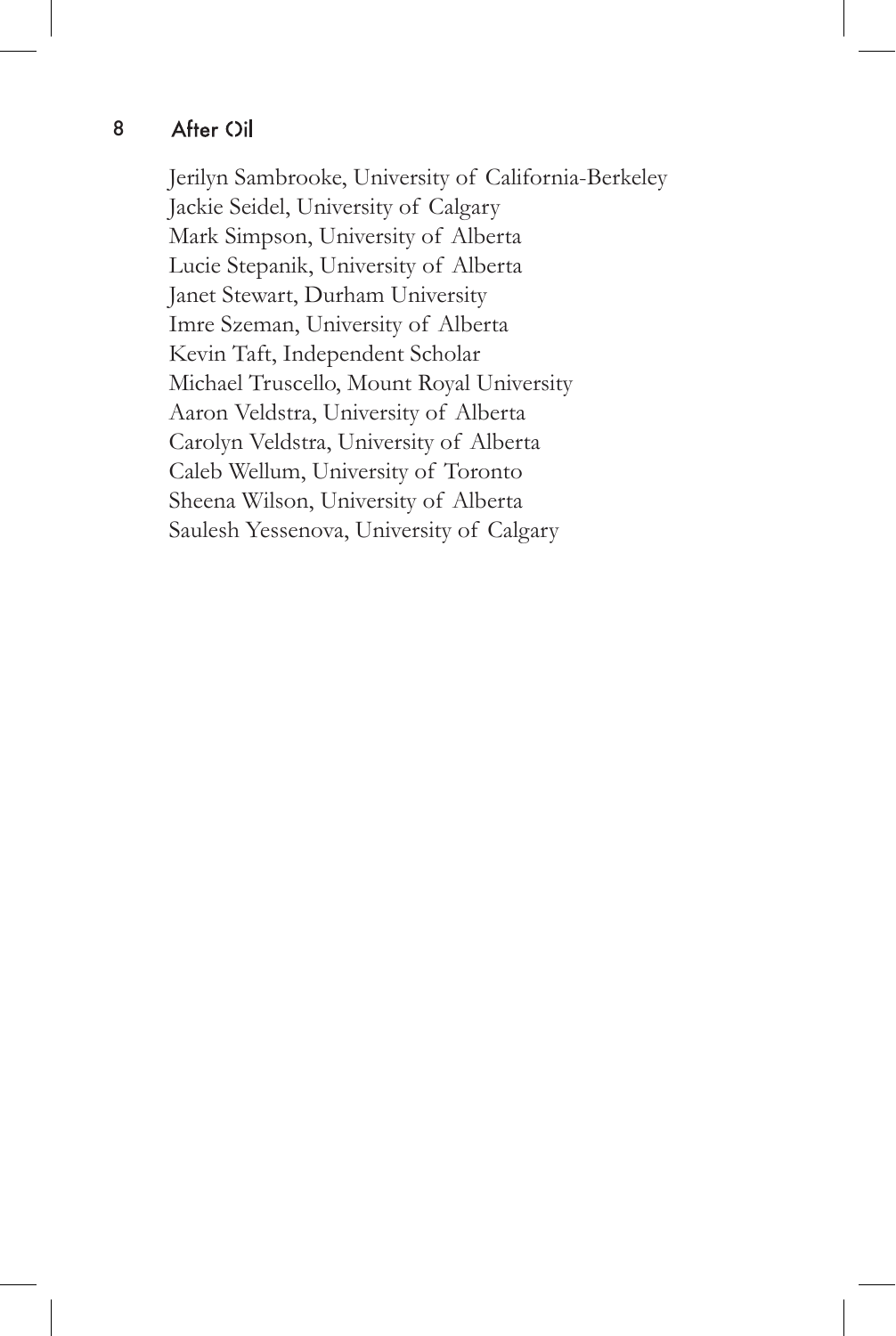Jerilyn Sambrooke, University of California-Berkeley Jackie Seidel, University of Calgary Mark Simpson, University of Alberta Lucie Stepanik, University of Alberta Janet Stewart, Durham University Imre Szeman, University of Alberta Kevin Taft, Independent Scholar Michael Truscello, Mount Royal University Aaron Veldstra, University of Alberta Carolyn Veldstra, University of Alberta Caleb Wellum, University of Toronto Sheena Wilson, University of Alberta Saulesh Yessenova, University of Calgary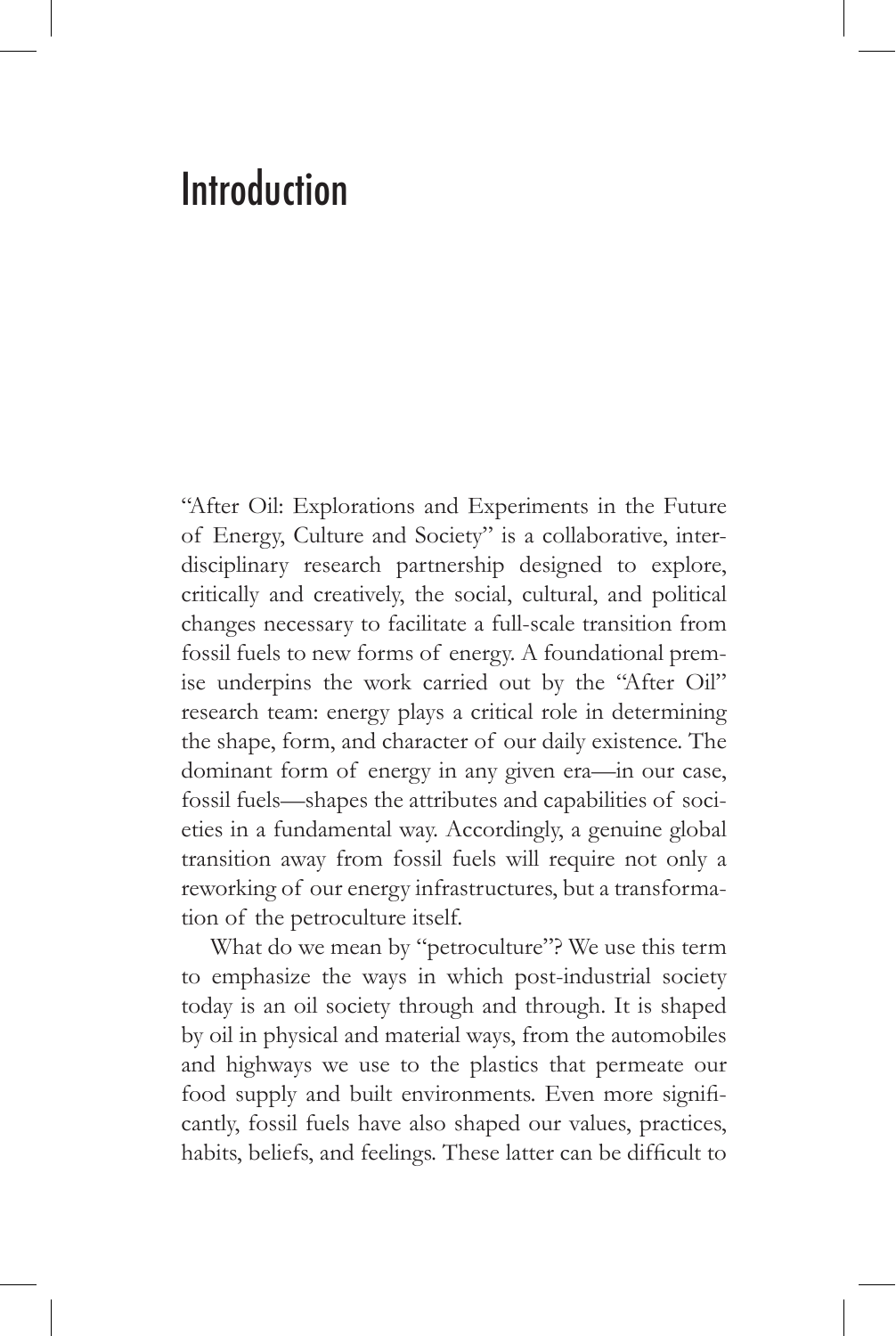# Introduction

"After Oil: Explorations and Experiments in the Future of Energy, Culture and Society" is a collaborative, interdisciplinary research partnership designed to explore, critically and creatively, the social, cultural, and political changes necessary to facilitate a full-scale transition from fossil fuels to new forms of energy. A foundational premise underpins the work carried out by the "After Oil" research team: energy plays a critical role in determining the shape, form, and character of our daily existence. The dominant form of energy in any given era—in our case, fossil fuels—shapes the attributes and capabilities of societies in a fundamental way. Accordingly, a genuine global transition away from fossil fuels will require not only a reworking of our energy infrastructures, but a transformation of the petroculture itself.

What do we mean by "petroculture"? We use this term to emphasize the ways in which post-industrial society today is an oil society through and through. It is shaped by oil in physical and material ways, from the automobiles and highways we use to the plastics that permeate our food supply and built environments. Even more significantly, fossil fuels have also shaped our values, practices, habits, beliefs, and feelings. These latter can be difficult to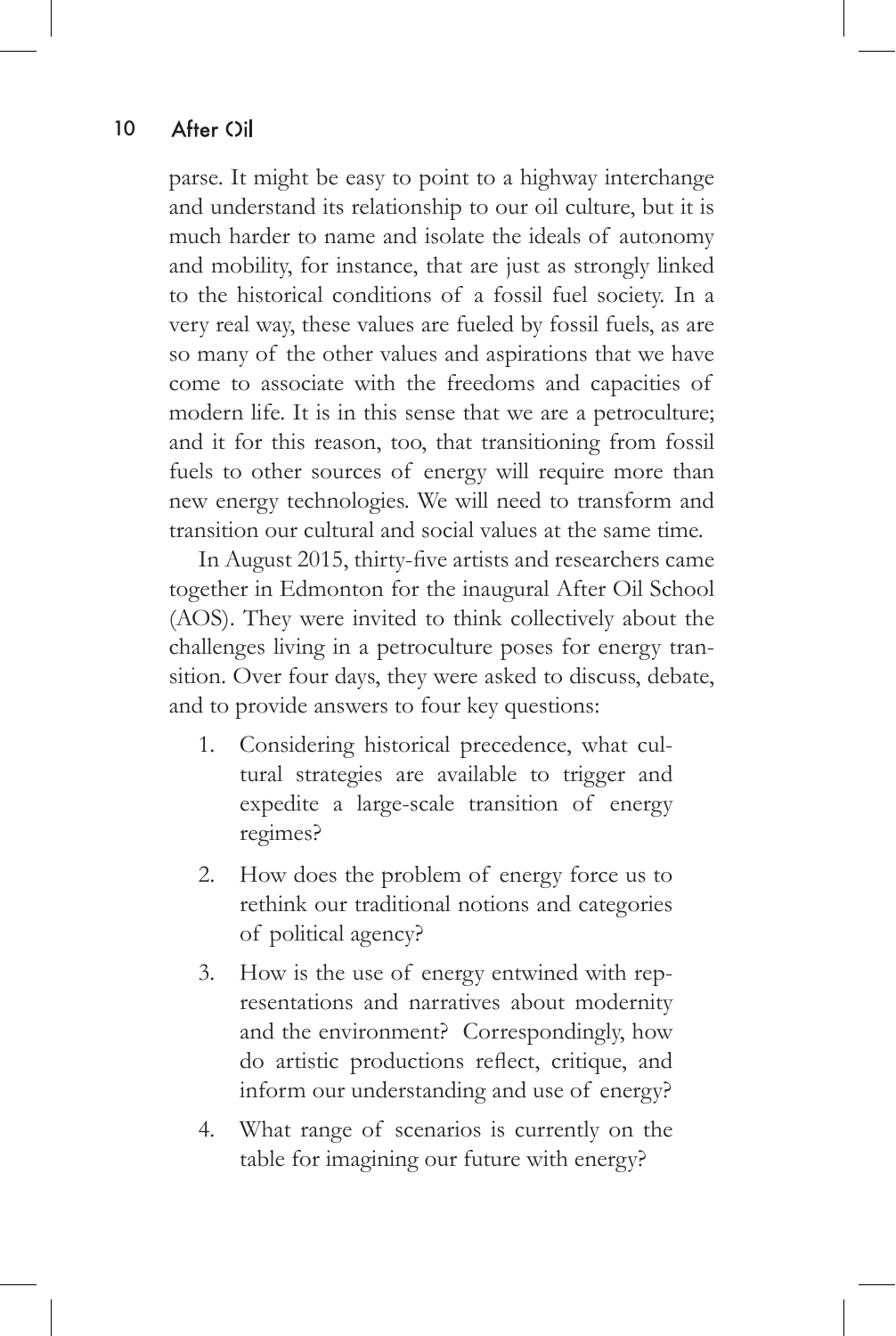parse. It might be easy to point to a highway interchange and understand its relationship to our oil culture, but it is much harder to name and isolate the ideals of autonomy and mobility, for instance, that are just as strongly linked to the historical conditions of a fossil fuel society. In a very real way, these values are fueled by fossil fuels, as are so many of the other values and aspirations that we have come to associate with the freedoms and capacities of modern life. It is in this sense that we are a petroculture; and it for this reason, too, that transitioning from fossil fuels to other sources of energy will require more than new energy technologies. We will need to transform and transition our cultural and social values at the same time.

In August 2015, thirty-five artists and researchers came together in Edmonton for the inaugural After Oil School (AOS). They were invited to think collectively about the challenges living in a petroculture poses for energy transition. Over four days, they were asked to discuss, debate, and to provide answers to four key questions:

- 1. Considering historical precedence, what cultural strategies are available to trigger and expedite a large-scale transition of energy regimes?
- 2. How does the problem of energy force us to rethink our traditional notions and categories of political agency?
- 3. How is the use of energy entwined with representations and narratives about modernity and the environment? Correspondingly, how do artistic productions reflect, critique, and inform our understanding and use of energy?
- 4. What range of scenarios is currently on the table for imagining our future with energy?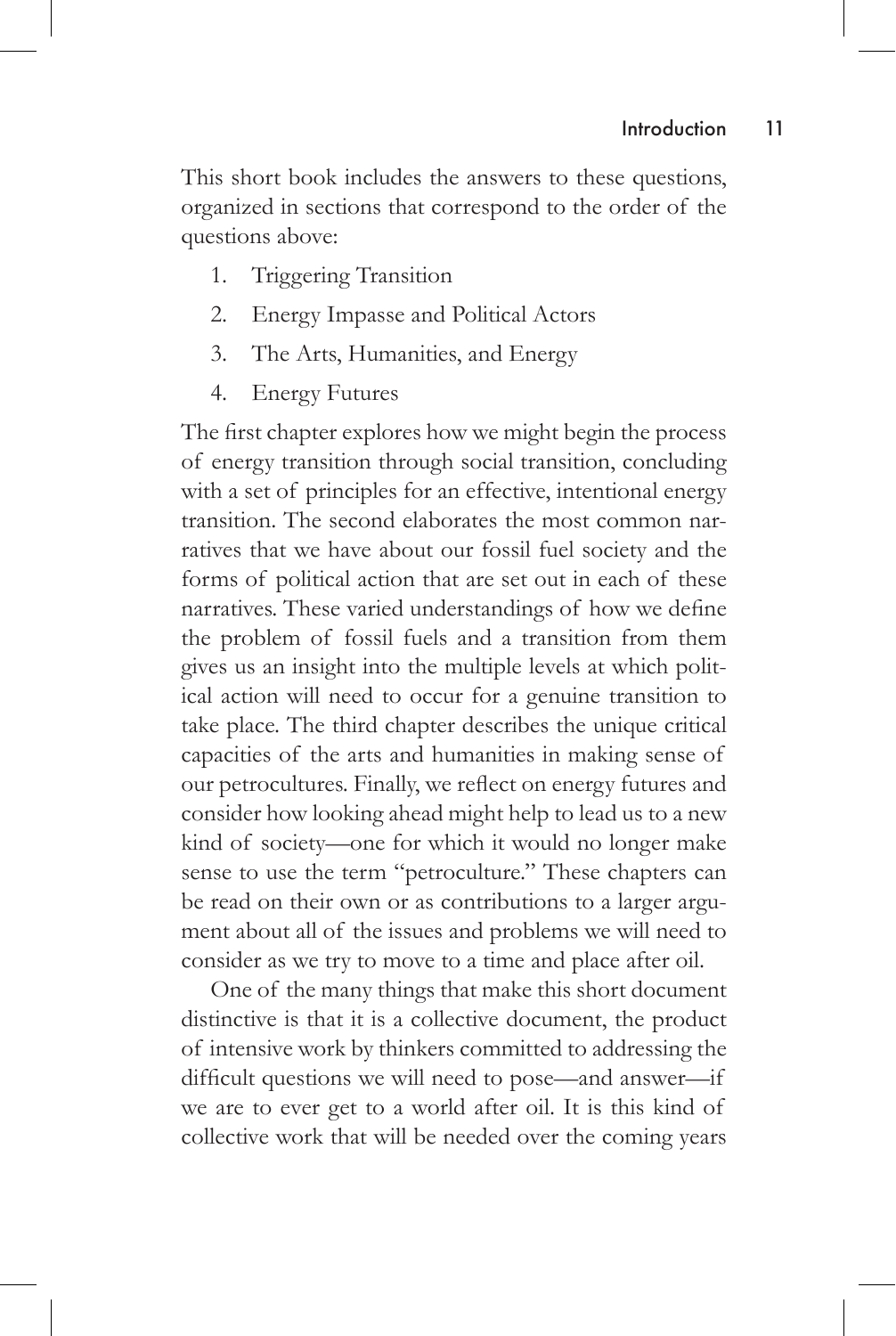This short book includes the answers to these questions, organized in sections that correspond to the order of the questions above:

- 1. Triggering Transition
- 2. Energy Impasse and Political Actors
- 3. The Arts, Humanities, and Energy
- 4. Energy Futures

The first chapter explores how we might begin the process of energy transition through social transition, concluding with a set of principles for an effective, intentional energy transition. The second elaborates the most common narratives that we have about our fossil fuel society and the forms of political action that are set out in each of these narratives. These varied understandings of how we define the problem of fossil fuels and a transition from them gives us an insight into the multiple levels at which political action will need to occur for a genuine transition to take place. The third chapter describes the unique critical capacities of the arts and humanities in making sense of our petrocultures. Finally, we reflect on energy futures and consider how looking ahead might help to lead us to a new kind of society—one for which it would no longer make sense to use the term "petroculture." These chapters can be read on their own or as contributions to a larger argument about all of the issues and problems we will need to consider as we try to move to a time and place after oil.

One of the many things that make this short document distinctive is that it is a collective document, the product of intensive work by thinkers committed to addressing the difficult questions we will need to pose—and answer—if we are to ever get to a world after oil. It is this kind of collective work that will be needed over the coming years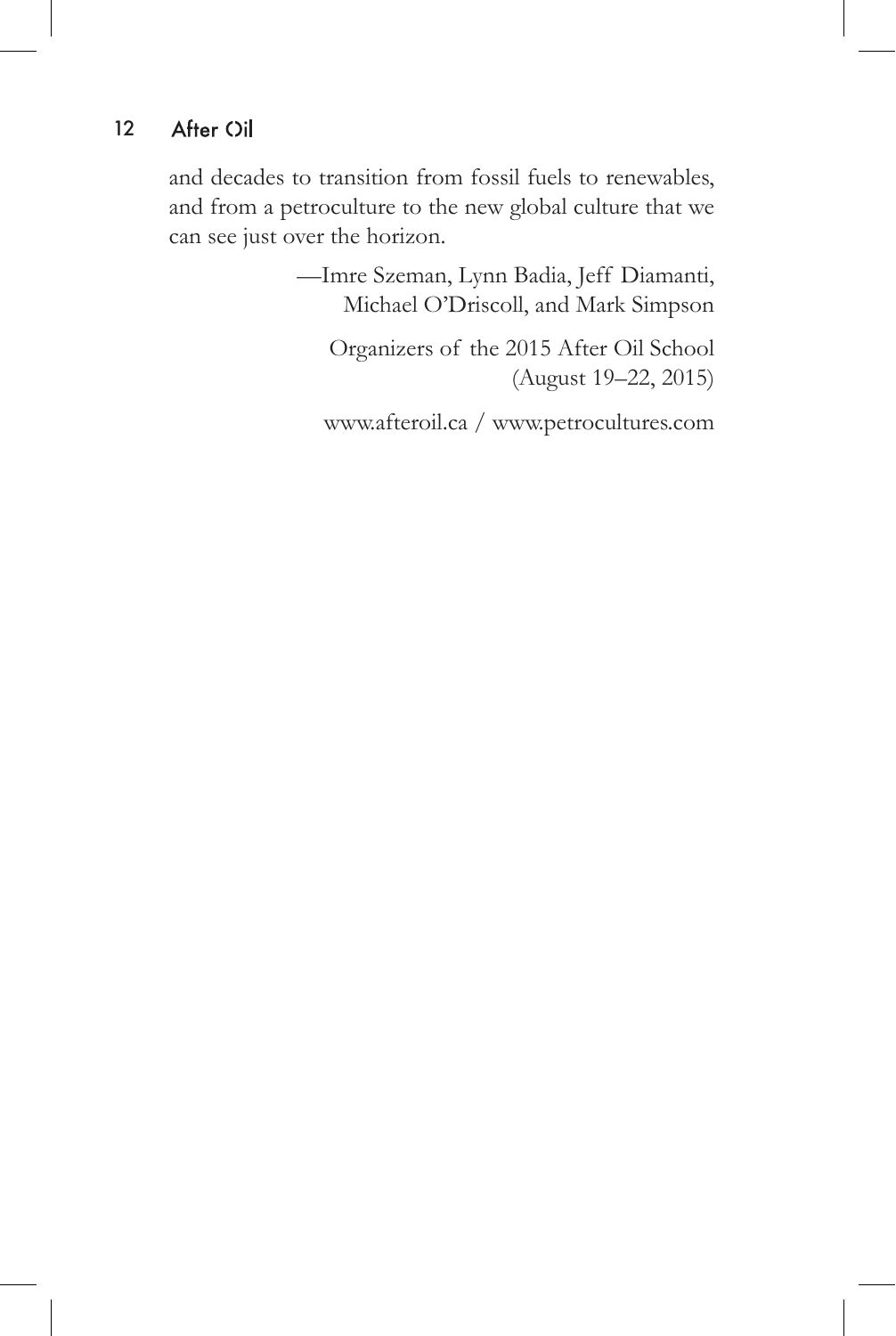and decades to transition from fossil fuels to renewables, and from a petroculture to the new global culture that we can see just over the horizon.

> —Imre Szeman, Lynn Badia, Jeff Diamanti, Michael O'Driscoll, and Mark Simpson

Organizers of the 2015 After Oil School (August 19–22, 2015)

www.afteroil.ca / www.petrocultures.com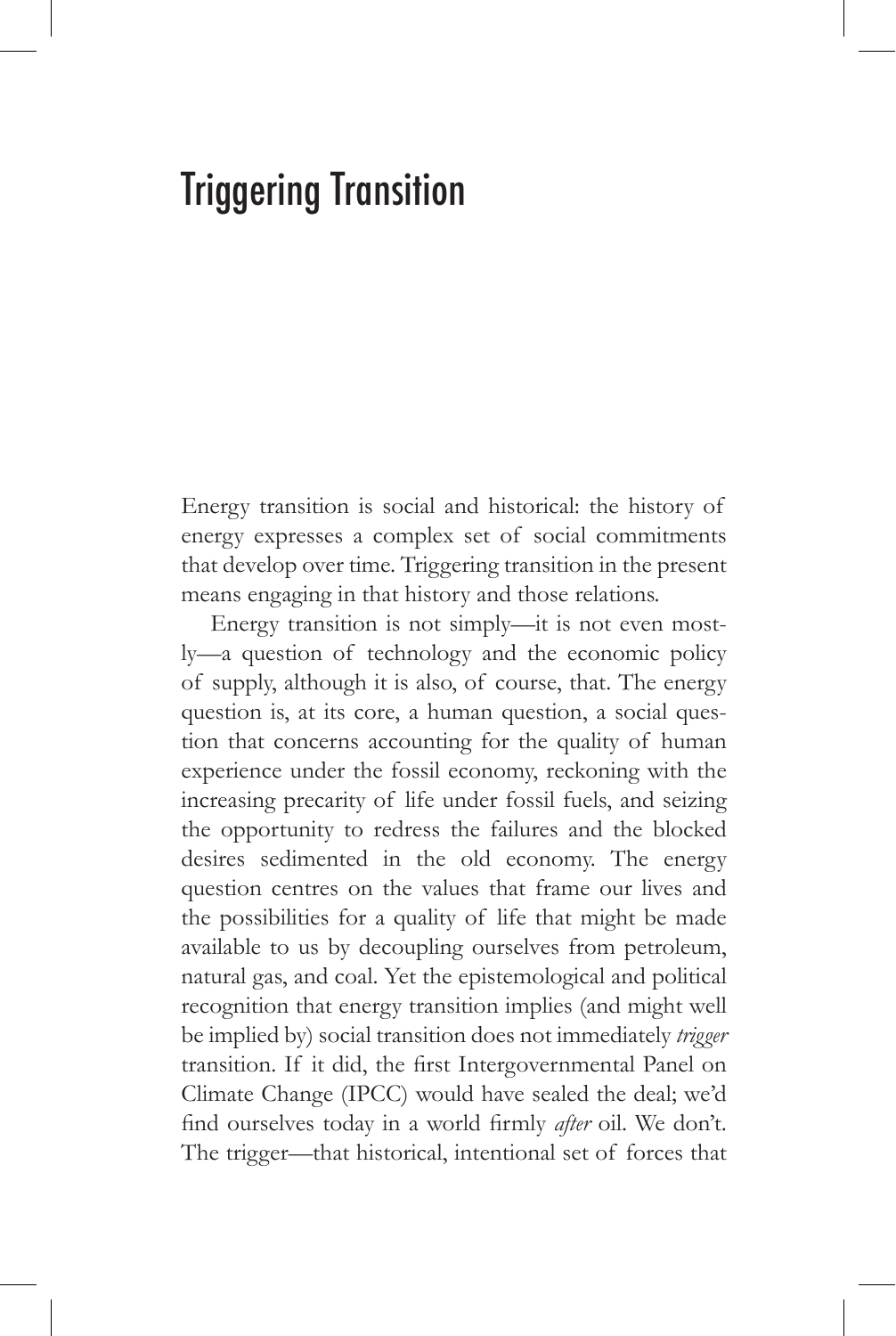## Triggering Transition

Energy transition is social and historical: the history of energy expresses a complex set of social commitments that develop over time. Triggering transition in the present means engaging in that history and those relations.

Energy transition is not simply—it is not even mostly—a question of technology and the economic policy of supply, although it is also, of course, that. The energy question is, at its core, a human question, a social question that concerns accounting for the quality of human experience under the fossil economy, reckoning with the increasing precarity of life under fossil fuels, and seizing the opportunity to redress the failures and the blocked desires sedimented in the old economy. The energy question centres on the values that frame our lives and the possibilities for a quality of life that might be made available to us by decoupling ourselves from petroleum, natural gas, and coal. Yet the epistemological and political recognition that energy transition implies (and might well be implied by) social transition does not immediately *trigger* transition. If it did, the first Intergovernmental Panel on Climate Change (IPCC) would have sealed the deal; we'd find ourselves today in a world firmly *after* oil. We don't. The trigger—that historical, intentional set of forces that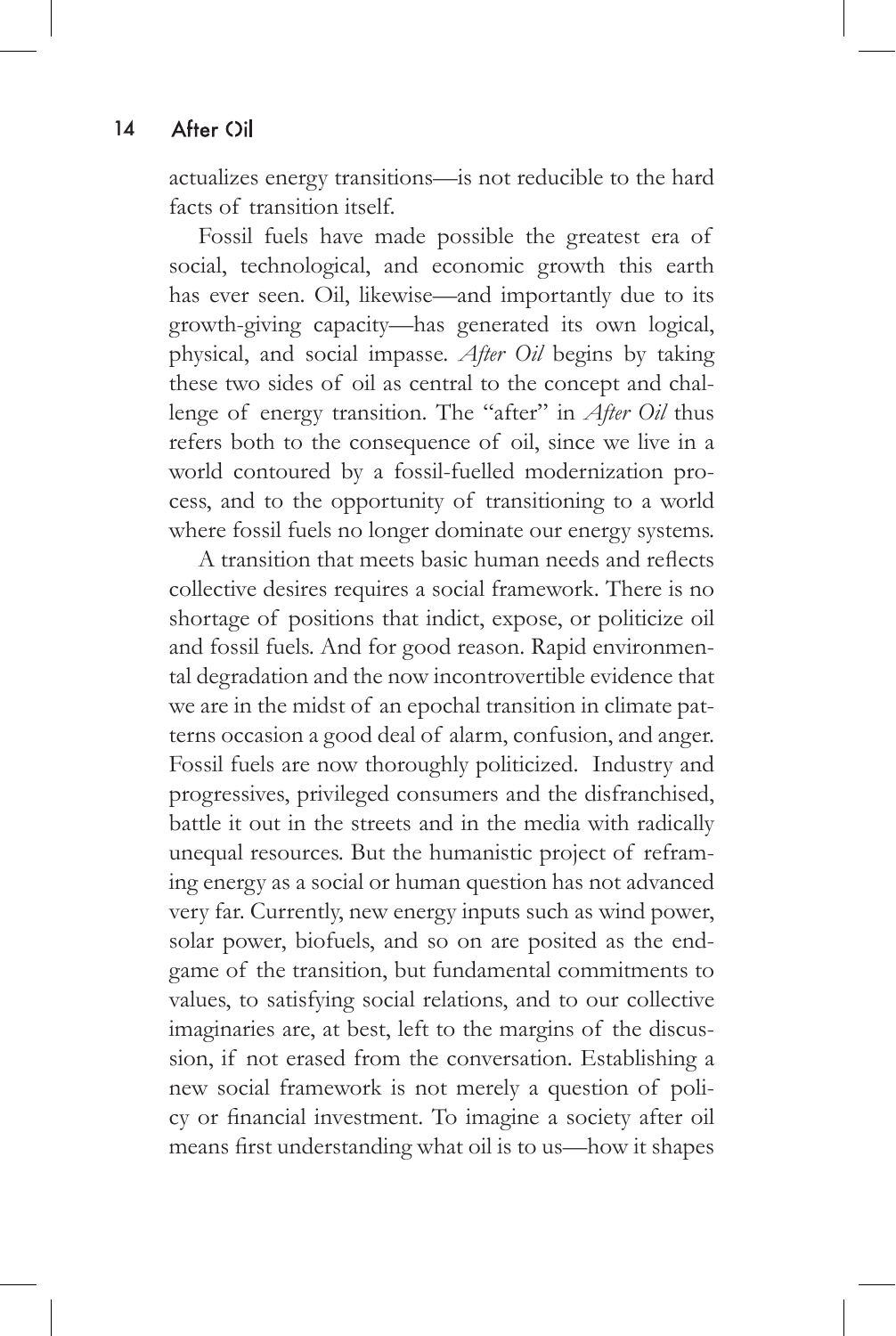actualizes energy transitions—is not reducible to the hard facts of transition itself.

Fossil fuels have made possible the greatest era of social, technological, and economic growth this earth has ever seen. Oil, likewise—and importantly due to its growth-giving capacity—has generated its own logical, physical, and social impasse. *After Oil* begins by taking these two sides of oil as central to the concept and challenge of energy transition. The "after" in *After Oil* thus refers both to the consequence of oil, since we live in a world contoured by a fossil-fuelled modernization process, and to the opportunity of transitioning to a world where fossil fuels no longer dominate our energy systems.

A transition that meets basic human needs and reflects collective desires requires a social framework. There is no shortage of positions that indict, expose, or politicize oil and fossil fuels. And for good reason. Rapid environmental degradation and the now incontrovertible evidence that we are in the midst of an epochal transition in climate patterns occasion a good deal of alarm, confusion, and anger. Fossil fuels are now thoroughly politicized. Industry and progressives, privileged consumers and the disfranchised, battle it out in the streets and in the media with radically unequal resources. But the humanistic project of reframing energy as a social or human question has not advanced very far. Currently, new energy inputs such as wind power, solar power, biofuels, and so on are posited as the endgame of the transition, but fundamental commitments to values, to satisfying social relations, and to our collective imaginaries are, at best, left to the margins of the discussion, if not erased from the conversation. Establishing a new social framework is not merely a question of policy or financial investment. To imagine a society after oil means first understanding what oil is to us—how it shapes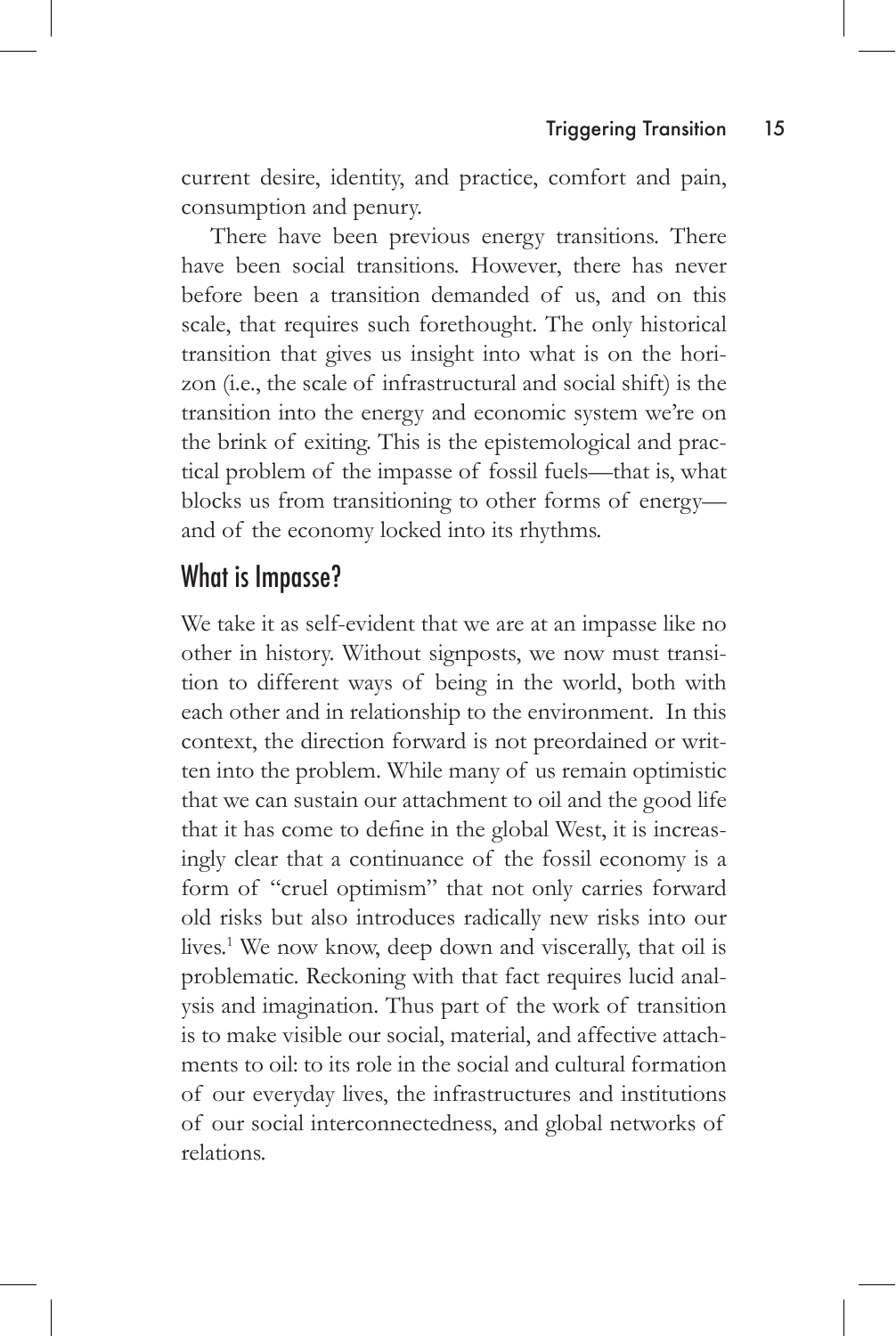current desire, identity, and practice, comfort and pain, consumption and penury.

There have been previous energy transitions. There have been social transitions. However, there has never before been a transition demanded of us, and on this scale, that requires such forethought. The only historical transition that gives us insight into what is on the horizon (i.e., the scale of infrastructural and social shift) is the transition into the energy and economic system we're on the brink of exiting. This is the epistemological and practical problem of the impasse of fossil fuels—that is, what blocks us from transitioning to other forms of energy and of the economy locked into its rhythms.

#### What is Impasse?

We take it as self-evident that we are at an impasse like no other in history. Without signposts, we now must transition to different ways of being in the world, both with each other and in relationship to the environment. In this context, the direction forward is not preordained or written into the problem. While many of us remain optimistic that we can sustain our attachment to oil and the good life that it has come to define in the global West, it is increasingly clear that a continuance of the fossil economy is a form of "cruel optimism" that not only carries forward old risks but also introduces radically new risks into our lives.<sup>1</sup> We now know, deep down and viscerally, that oil is problematic. Reckoning with that fact requires lucid analysis and imagination. Thus part of the work of transition is to make visible our social, material, and affective attachments to oil: to its role in the social and cultural formation of our everyday lives, the infrastructures and institutions of our social interconnectedness, and global networks of relations.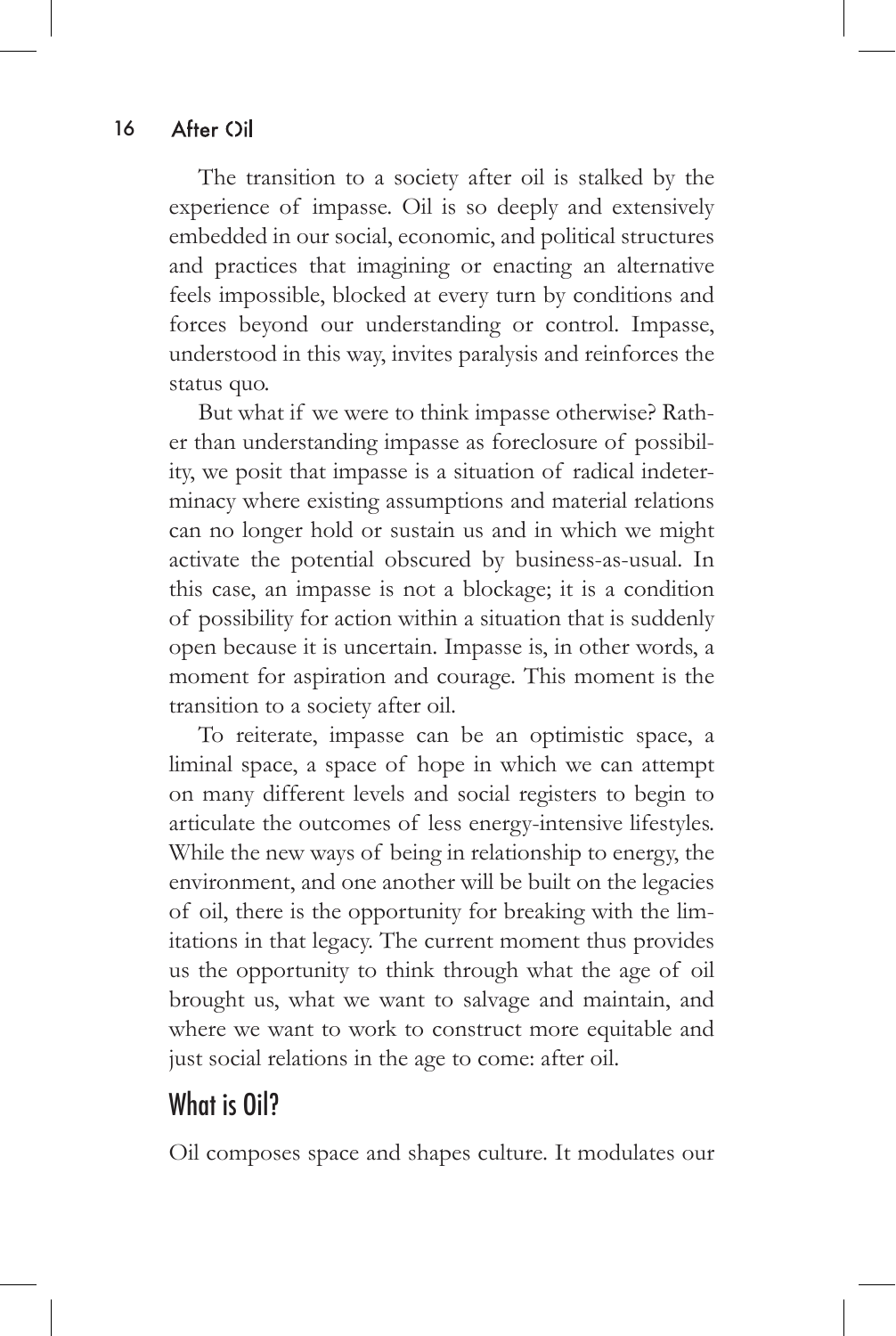The transition to a society after oil is stalked by the experience of impasse. Oil is so deeply and extensively embedded in our social, economic, and political structures and practices that imagining or enacting an alternative feels impossible, blocked at every turn by conditions and forces beyond our understanding or control. Impasse, understood in this way, invites paralysis and reinforces the status quo.

But what if we were to think impasse otherwise? Rather than understanding impasse as foreclosure of possibility, we posit that impasse is a situation of radical indeterminacy where existing assumptions and material relations can no longer hold or sustain us and in which we might activate the potential obscured by business-as-usual. In this case, an impasse is not a blockage; it is a condition of possibility for action within a situation that is suddenly open because it is uncertain. Impasse is, in other words, a moment for aspiration and courage. This moment is the transition to a society after oil.

To reiterate, impasse can be an optimistic space, a liminal space, a space of hope in which we can attempt on many different levels and social registers to begin to articulate the outcomes of less energy-intensive lifestyles. While the new ways of being in relationship to energy, the environment, and one another will be built on the legacies of oil, there is the opportunity for breaking with the limitations in that legacy. The current moment thus provides us the opportunity to think through what the age of oil brought us, what we want to salvage and maintain, and where we want to work to construct more equitable and just social relations in the age to come: after oil.

### What is Oil?

Oil composes space and shapes culture. It modulates our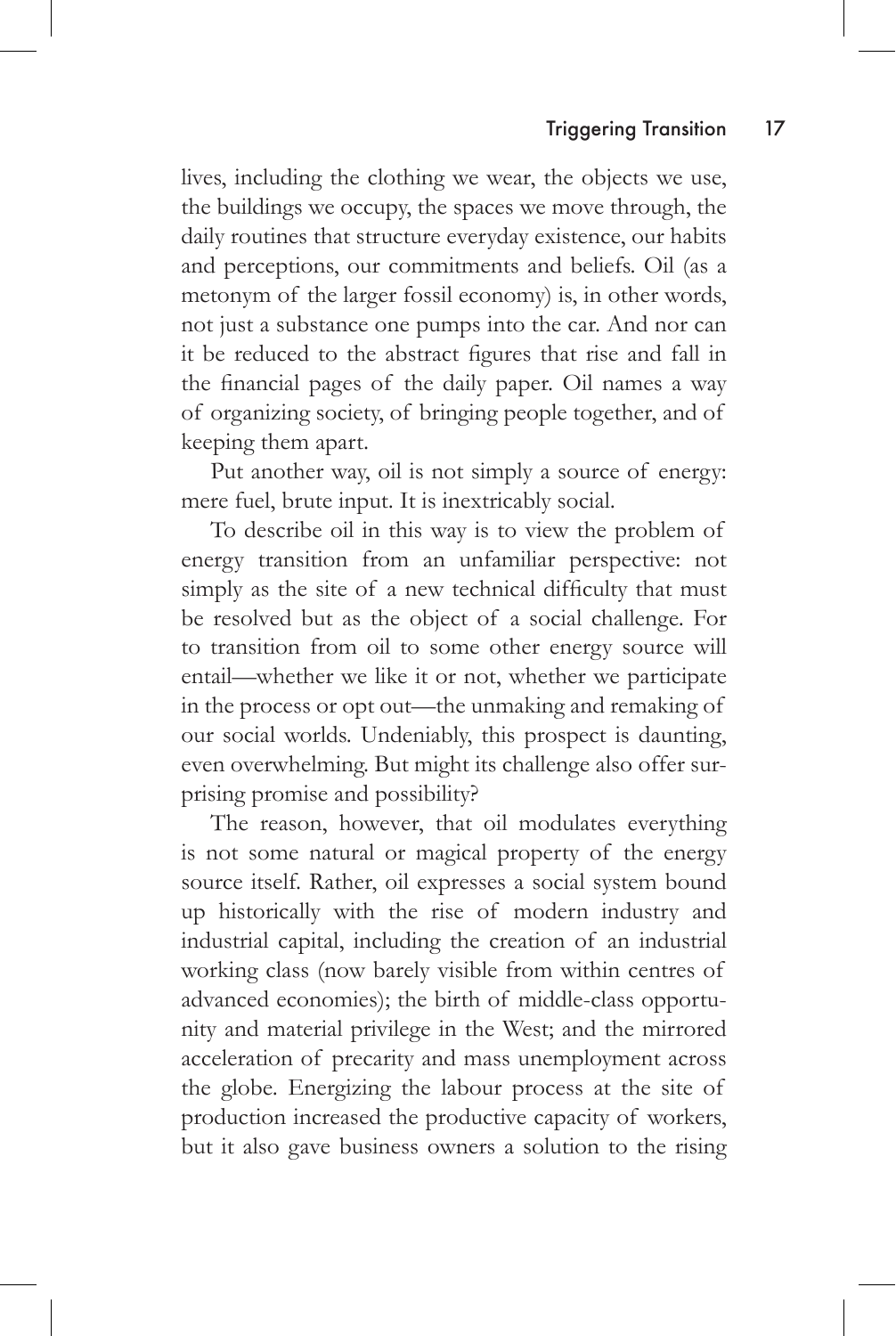lives, including the clothing we wear, the objects we use, the buildings we occupy, the spaces we move through, the daily routines that structure everyday existence, our habits and perceptions, our commitments and beliefs. Oil (as a metonym of the larger fossil economy) is, in other words, not just a substance one pumps into the car. And nor can it be reduced to the abstract figures that rise and fall in the financial pages of the daily paper. Oil names a way of organizing society, of bringing people together, and of keeping them apart.

Put another way, oil is not simply a source of energy: mere fuel, brute input. It is inextricably social.

To describe oil in this way is to view the problem of energy transition from an unfamiliar perspective: not simply as the site of a new technical difficulty that must be resolved but as the object of a social challenge. For to transition from oil to some other energy source will entail—whether we like it or not, whether we participate in the process or opt out—the unmaking and remaking of our social worlds. Undeniably, this prospect is daunting, even overwhelming. But might its challenge also offer surprising promise and possibility?

The reason, however, that oil modulates everything is not some natural or magical property of the energy source itself. Rather, oil expresses a social system bound up historically with the rise of modern industry and industrial capital, including the creation of an industrial working class (now barely visible from within centres of advanced economies); the birth of middle-class opportunity and material privilege in the West; and the mirrored acceleration of precarity and mass unemployment across the globe. Energizing the labour process at the site of production increased the productive capacity of workers, but it also gave business owners a solution to the rising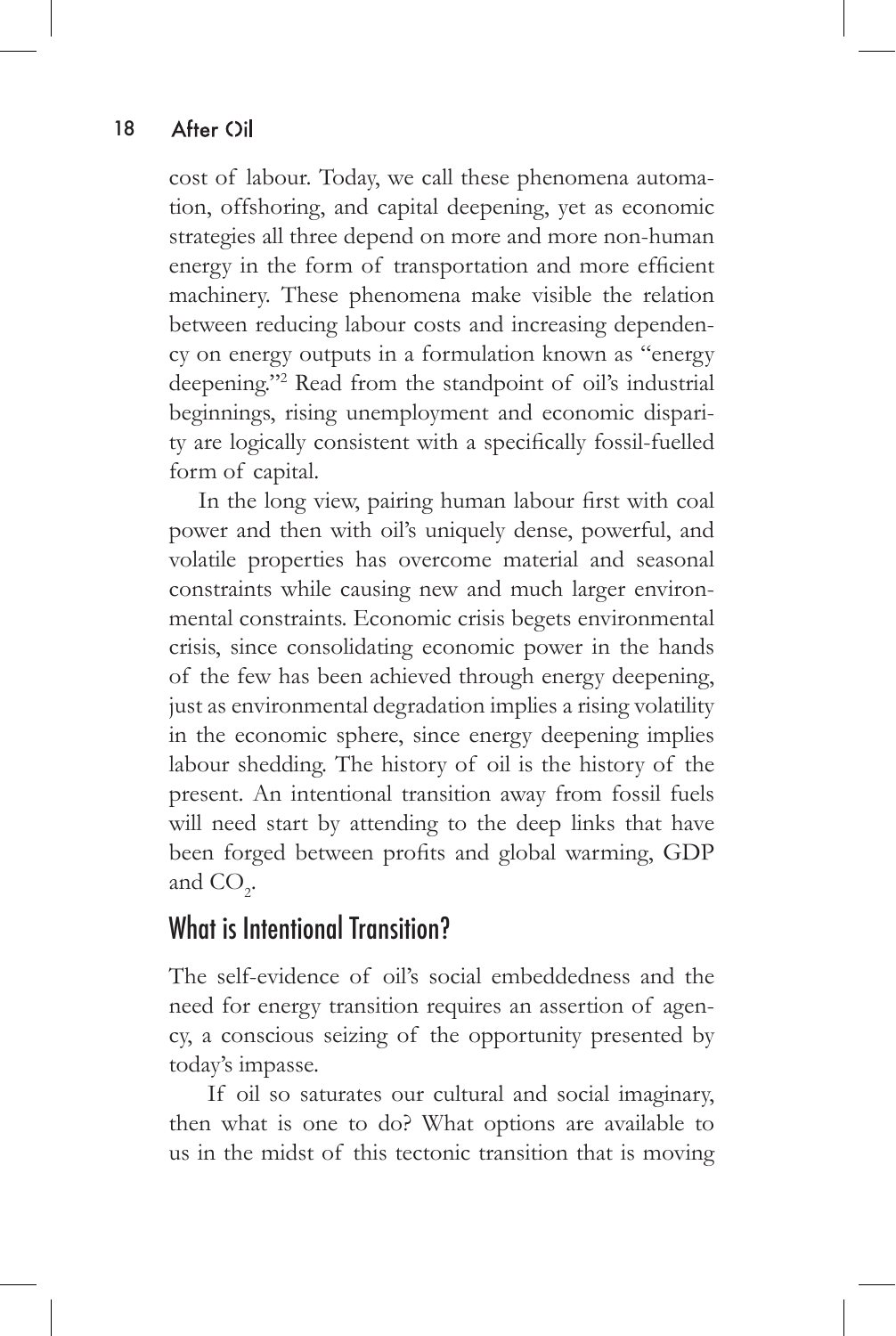cost of labour. Today, we call these phenomena automation, offshoring, and capital deepening, yet as economic strategies all three depend on more and more non-human energy in the form of transportation and more efficient machinery. These phenomena make visible the relation between reducing labour costs and increasing dependency on energy outputs in a formulation known as "energy deepening."2 Read from the standpoint of oil's industrial beginnings, rising unemployment and economic disparity are logically consistent with a specifically fossil-fuelled form of capital.

In the long view, pairing human labour first with coal power and then with oil's uniquely dense, powerful, and volatile properties has overcome material and seasonal constraints while causing new and much larger environmental constraints. Economic crisis begets environmental crisis, since consolidating economic power in the hands of the few has been achieved through energy deepening, just as environmental degradation implies a rising volatility in the economic sphere, since energy deepening implies labour shedding. The history of oil is the history of the present. An intentional transition away from fossil fuels will need start by attending to the deep links that have been forged between profits and global warming, GDP and  $CO_2$ .

### What is Intentional Transition?

The self-evidence of oil's social embeddedness and the need for energy transition requires an assertion of agency, a conscious seizing of the opportunity presented by today's impasse.

 If oil so saturates our cultural and social imaginary, then what is one to do? What options are available to us in the midst of this tectonic transition that is moving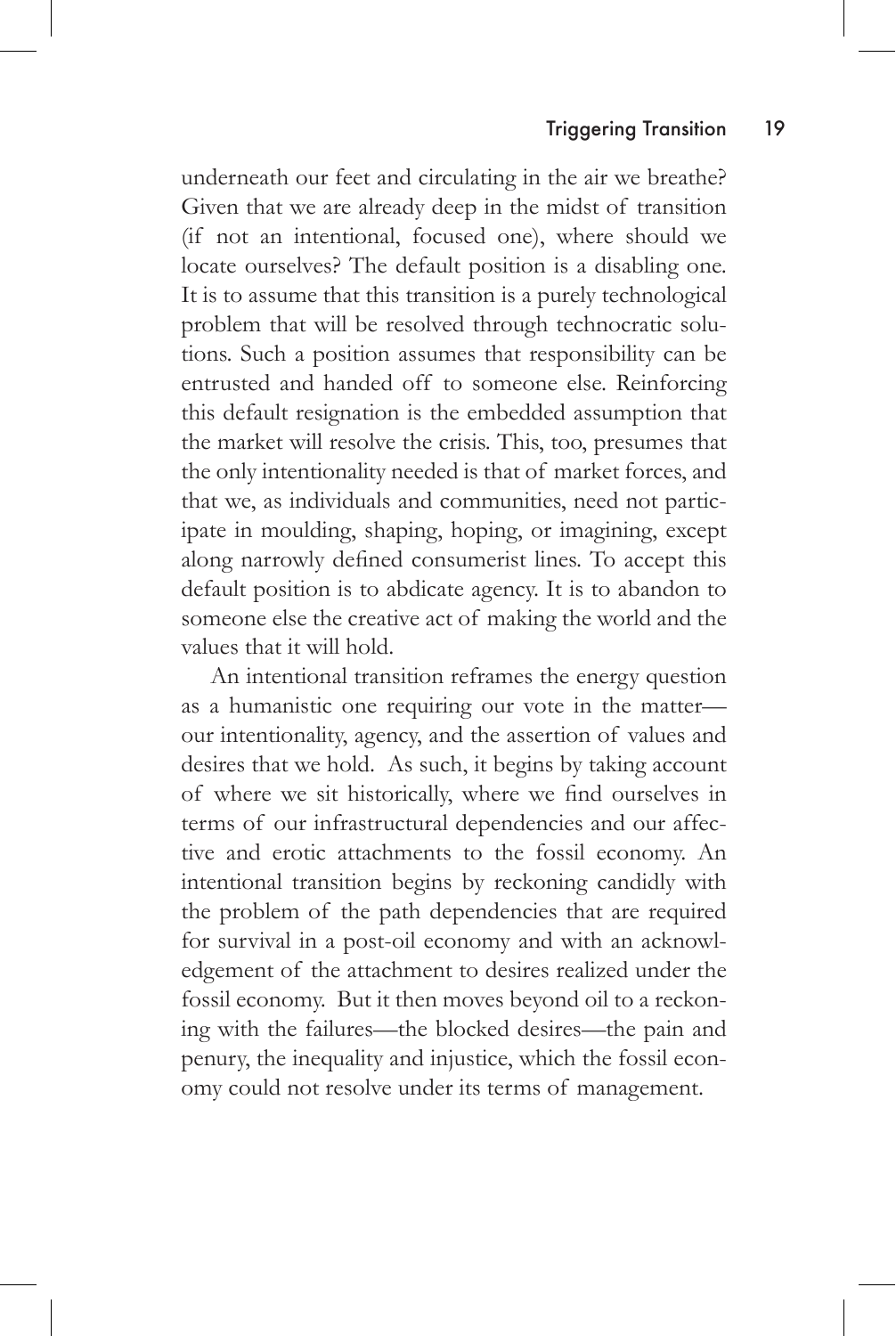underneath our feet and circulating in the air we breathe? Given that we are already deep in the midst of transition (if not an intentional, focused one), where should we locate ourselves? The default position is a disabling one. It is to assume that this transition is a purely technological problem that will be resolved through technocratic solutions. Such a position assumes that responsibility can be entrusted and handed off to someone else. Reinforcing this default resignation is the embedded assumption that the market will resolve the crisis. This, too, presumes that the only intentionality needed is that of market forces, and that we, as individuals and communities, need not participate in moulding, shaping, hoping, or imagining, except along narrowly defined consumerist lines. To accept this default position is to abdicate agency. It is to abandon to someone else the creative act of making the world and the values that it will hold.

An intentional transition reframes the energy question as a humanistic one requiring our vote in the matter our intentionality, agency, and the assertion of values and desires that we hold. As such, it begins by taking account of where we sit historically, where we find ourselves in terms of our infrastructural dependencies and our affective and erotic attachments to the fossil economy. An intentional transition begins by reckoning candidly with the problem of the path dependencies that are required for survival in a post-oil economy and with an acknowledgement of the attachment to desires realized under the fossil economy. But it then moves beyond oil to a reckoning with the failures—the blocked desires—the pain and penury, the inequality and injustice, which the fossil economy could not resolve under its terms of management.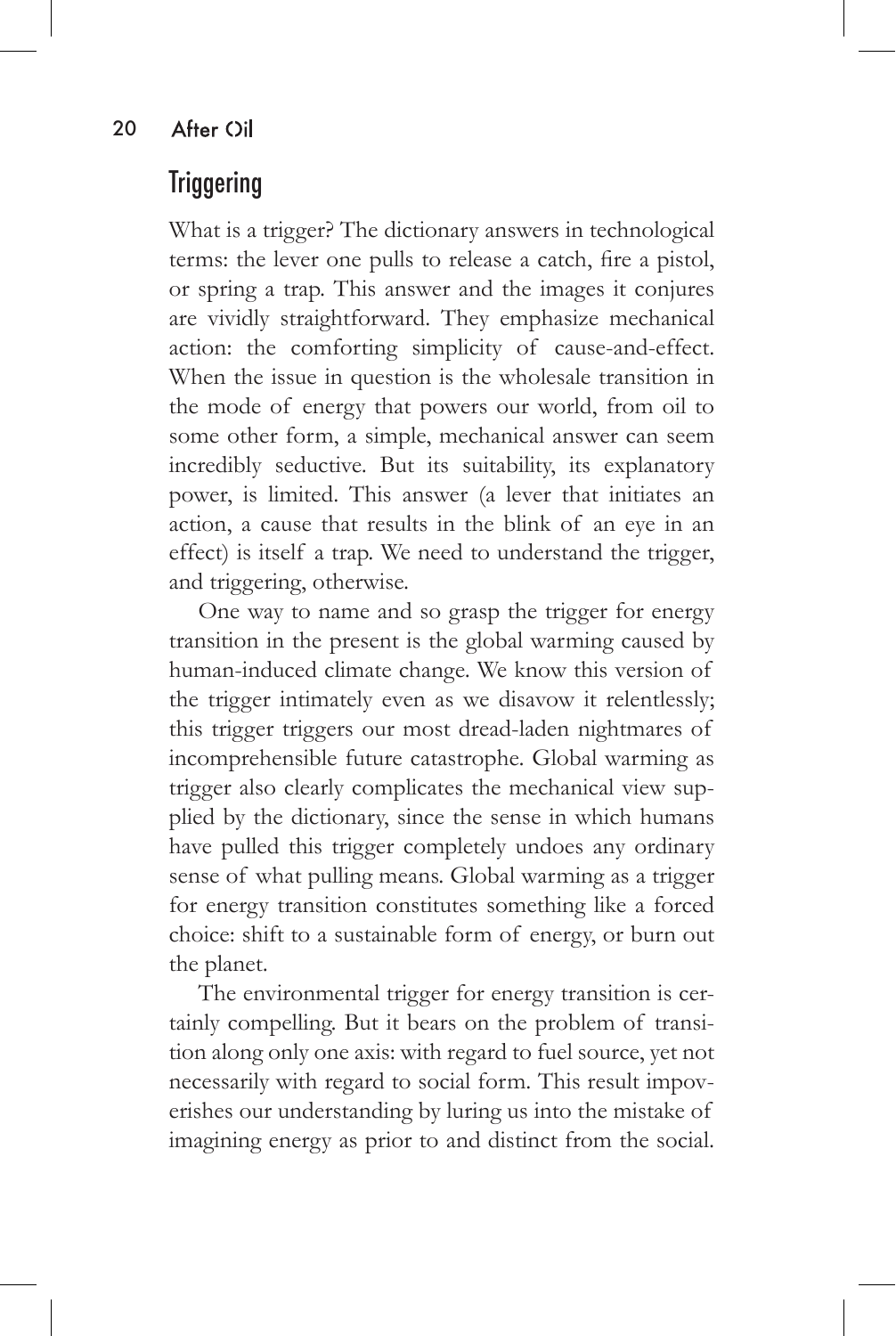#### **Triggering**

What is a trigger? The dictionary answers in technological terms: the lever one pulls to release a catch, fire a pistol, or spring a trap. This answer and the images it conjures are vividly straightforward. They emphasize mechanical action: the comforting simplicity of cause-and-effect. When the issue in question is the wholesale transition in the mode of energy that powers our world, from oil to some other form, a simple, mechanical answer can seem incredibly seductive. But its suitability, its explanatory power, is limited. This answer (a lever that initiates an action, a cause that results in the blink of an eye in an effect) is itself a trap. We need to understand the trigger, and triggering, otherwise.

One way to name and so grasp the trigger for energy transition in the present is the global warming caused by human-induced climate change. We know this version of the trigger intimately even as we disavow it relentlessly; this trigger triggers our most dread-laden nightmares of incomprehensible future catastrophe. Global warming as trigger also clearly complicates the mechanical view supplied by the dictionary, since the sense in which humans have pulled this trigger completely undoes any ordinary sense of what pulling means. Global warming as a trigger for energy transition constitutes something like a forced choice: shift to a sustainable form of energy, or burn out the planet.

The environmental trigger for energy transition is certainly compelling. But it bears on the problem of transition along only one axis: with regard to fuel source, yet not necessarily with regard to social form. This result impoverishes our understanding by luring us into the mistake of imagining energy as prior to and distinct from the social.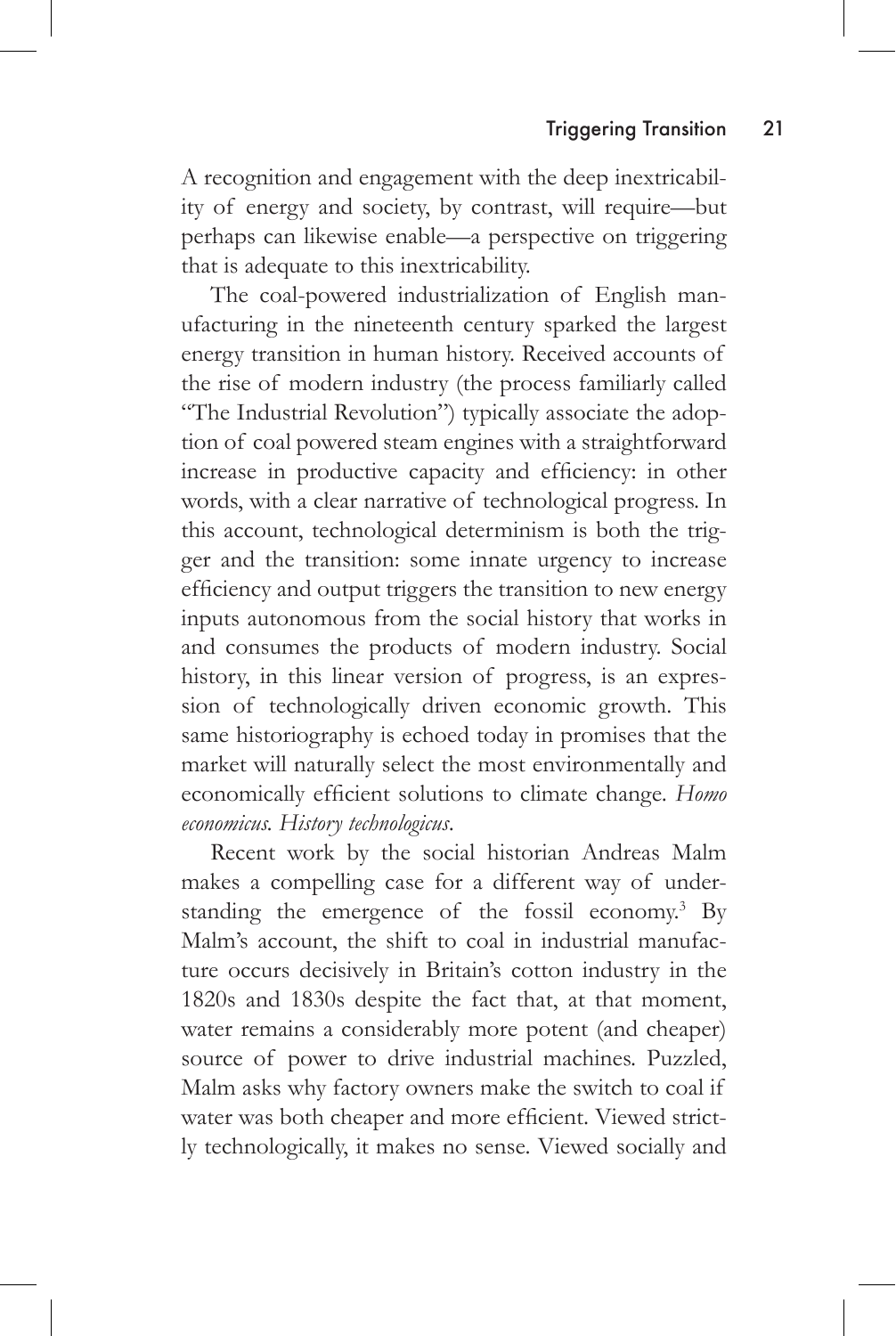A recognition and engagement with the deep inextricability of energy and society, by contrast, will require—but perhaps can likewise enable—a perspective on triggering that is adequate to this inextricability.

The coal-powered industrialization of English manufacturing in the nineteenth century sparked the largest energy transition in human history. Received accounts of the rise of modern industry (the process familiarly called "The Industrial Revolution") typically associate the adoption of coal powered steam engines with a straightforward increase in productive capacity and efficiency: in other words, with a clear narrative of technological progress. In this account, technological determinism is both the trigger and the transition: some innate urgency to increase efficiency and output triggers the transition to new energy inputs autonomous from the social history that works in and consumes the products of modern industry. Social history, in this linear version of progress, is an expression of technologically driven economic growth. This same historiography is echoed today in promises that the market will naturally select the most environmentally and economically efficient solutions to climate change. *Homo economicus. History technologicus*.

Recent work by the social historian Andreas Malm makes a compelling case for a different way of understanding the emergence of the fossil economy.<sup>3</sup> By Malm's account, the shift to coal in industrial manufacture occurs decisively in Britain's cotton industry in the 1820s and 1830s despite the fact that, at that moment, water remains a considerably more potent (and cheaper) source of power to drive industrial machines. Puzzled, Malm asks why factory owners make the switch to coal if water was both cheaper and more efficient. Viewed strictly technologically, it makes no sense. Viewed socially and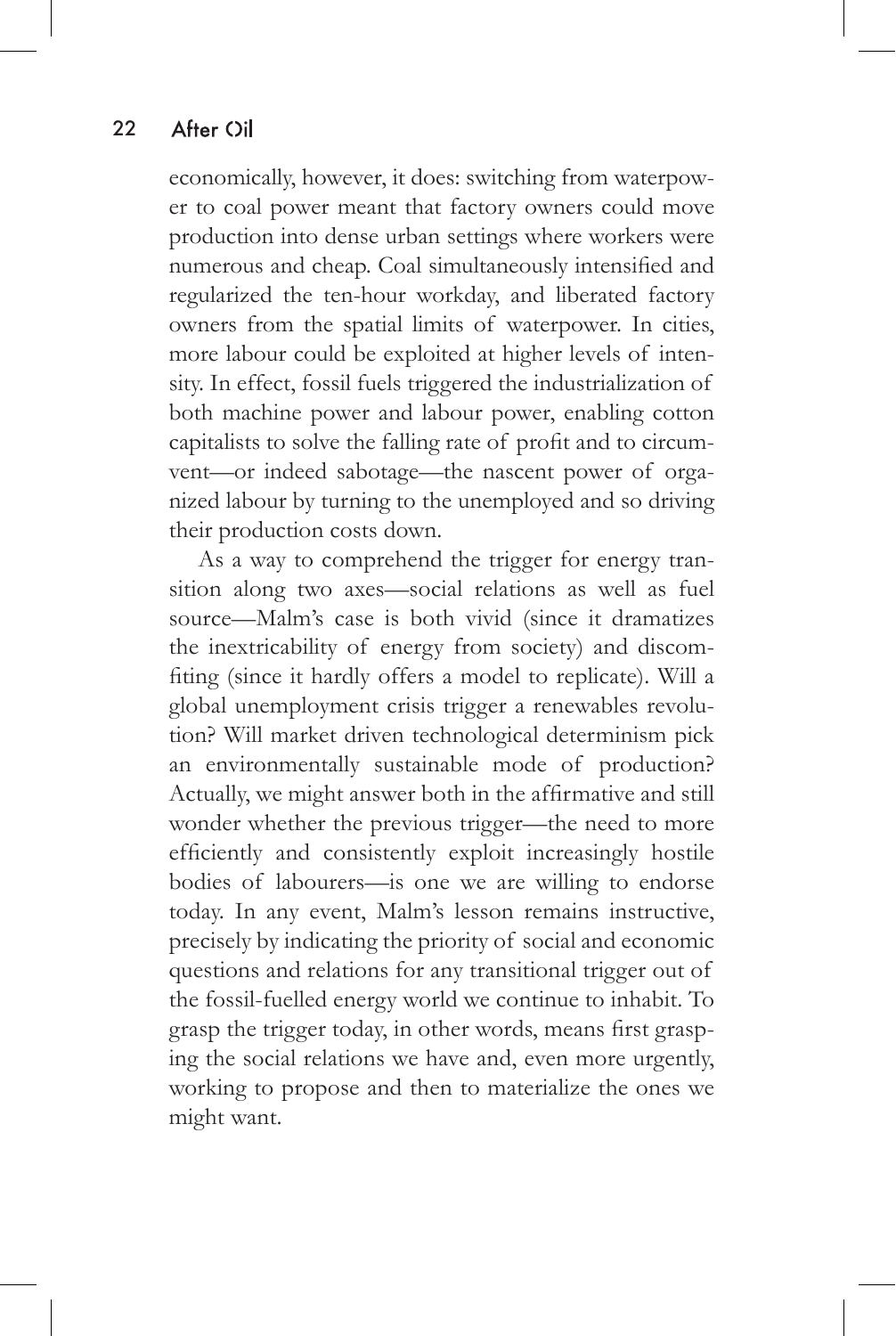economically, however, it does: switching from waterpower to coal power meant that factory owners could move production into dense urban settings where workers were numerous and cheap. Coal simultaneously intensified and regularized the ten-hour workday, and liberated factory owners from the spatial limits of waterpower. In cities, more labour could be exploited at higher levels of intensity. In effect, fossil fuels triggered the industrialization of both machine power and labour power, enabling cotton capitalists to solve the falling rate of profit and to circumvent—or indeed sabotage—the nascent power of organized labour by turning to the unemployed and so driving their production costs down.

As a way to comprehend the trigger for energy transition along two axes—social relations as well as fuel source—Malm's case is both vivid (since it dramatizes the inextricability of energy from society) and discomfiting (since it hardly offers a model to replicate). Will a global unemployment crisis trigger a renewables revolution? Will market driven technological determinism pick an environmentally sustainable mode of production? Actually, we might answer both in the affirmative and still wonder whether the previous trigger—the need to more efficiently and consistently exploit increasingly hostile bodies of labourers—is one we are willing to endorse today. In any event, Malm's lesson remains instructive, precisely by indicating the priority of social and economic questions and relations for any transitional trigger out of the fossil-fuelled energy world we continue to inhabit. To grasp the trigger today, in other words, means first grasping the social relations we have and, even more urgently, working to propose and then to materialize the ones we might want.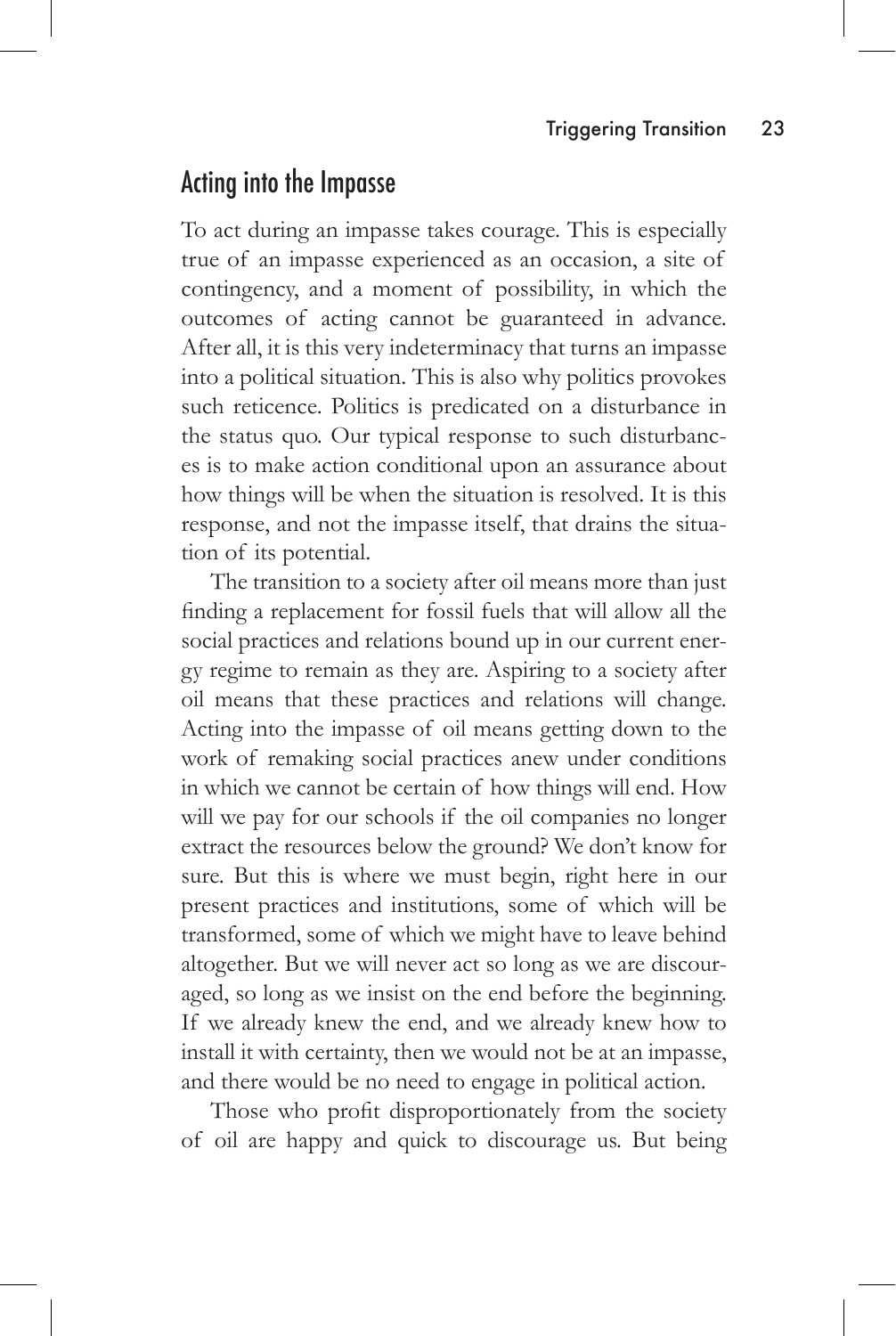### Acting into the Impasse

To act during an impasse takes courage. This is especially true of an impasse experienced as an occasion, a site of contingency, and a moment of possibility, in which the outcomes of acting cannot be guaranteed in advance. After all, it is this very indeterminacy that turns an impasse into a political situation. This is also why politics provokes such reticence. Politics is predicated on a disturbance in the status quo. Our typical response to such disturbances is to make action conditional upon an assurance about how things will be when the situation is resolved. It is this response, and not the impasse itself, that drains the situation of its potential.

The transition to a society after oil means more than just finding a replacement for fossil fuels that will allow all the social practices and relations bound up in our current energy regime to remain as they are. Aspiring to a society after oil means that these practices and relations will change. Acting into the impasse of oil means getting down to the work of remaking social practices anew under conditions in which we cannot be certain of how things will end. How will we pay for our schools if the oil companies no longer extract the resources below the ground? We don't know for sure. But this is where we must begin, right here in our present practices and institutions, some of which will be transformed, some of which we might have to leave behind altogether. But we will never act so long as we are discouraged, so long as we insist on the end before the beginning. If we already knew the end, and we already knew how to install it with certainty, then we would not be at an impasse, and there would be no need to engage in political action.

Those who profit disproportionately from the society of oil are happy and quick to discourage us. But being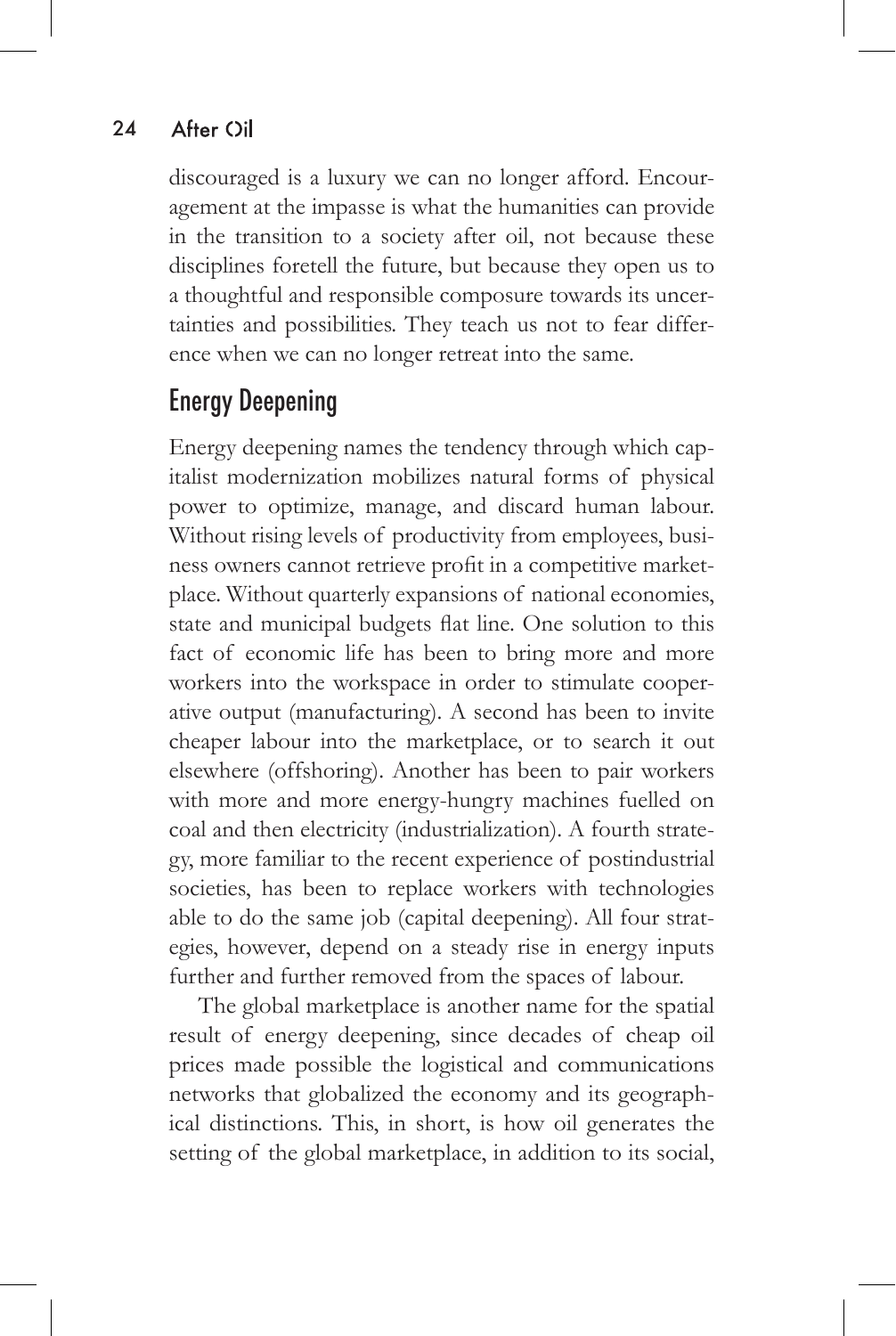discouraged is a luxury we can no longer afford. Encouragement at the impasse is what the humanities can provide in the transition to a society after oil, not because these disciplines foretell the future, but because they open us to a thoughtful and responsible composure towards its uncertainties and possibilities. They teach us not to fear difference when we can no longer retreat into the same.

### Energy Deepening

Energy deepening names the tendency through which capitalist modernization mobilizes natural forms of physical power to optimize, manage, and discard human labour. Without rising levels of productivity from employees, business owners cannot retrieve profit in a competitive marketplace. Without quarterly expansions of national economies, state and municipal budgets flat line. One solution to this fact of economic life has been to bring more and more workers into the workspace in order to stimulate cooperative output (manufacturing). A second has been to invite cheaper labour into the marketplace, or to search it out elsewhere (offshoring). Another has been to pair workers with more and more energy-hungry machines fuelled on coal and then electricity (industrialization). A fourth strategy, more familiar to the recent experience of postindustrial societies, has been to replace workers with technologies able to do the same job (capital deepening). All four strategies, however, depend on a steady rise in energy inputs further and further removed from the spaces of labour.

The global marketplace is another name for the spatial result of energy deepening, since decades of cheap oil prices made possible the logistical and communications networks that globalized the economy and its geographical distinctions. This, in short, is how oil generates the setting of the global marketplace, in addition to its social,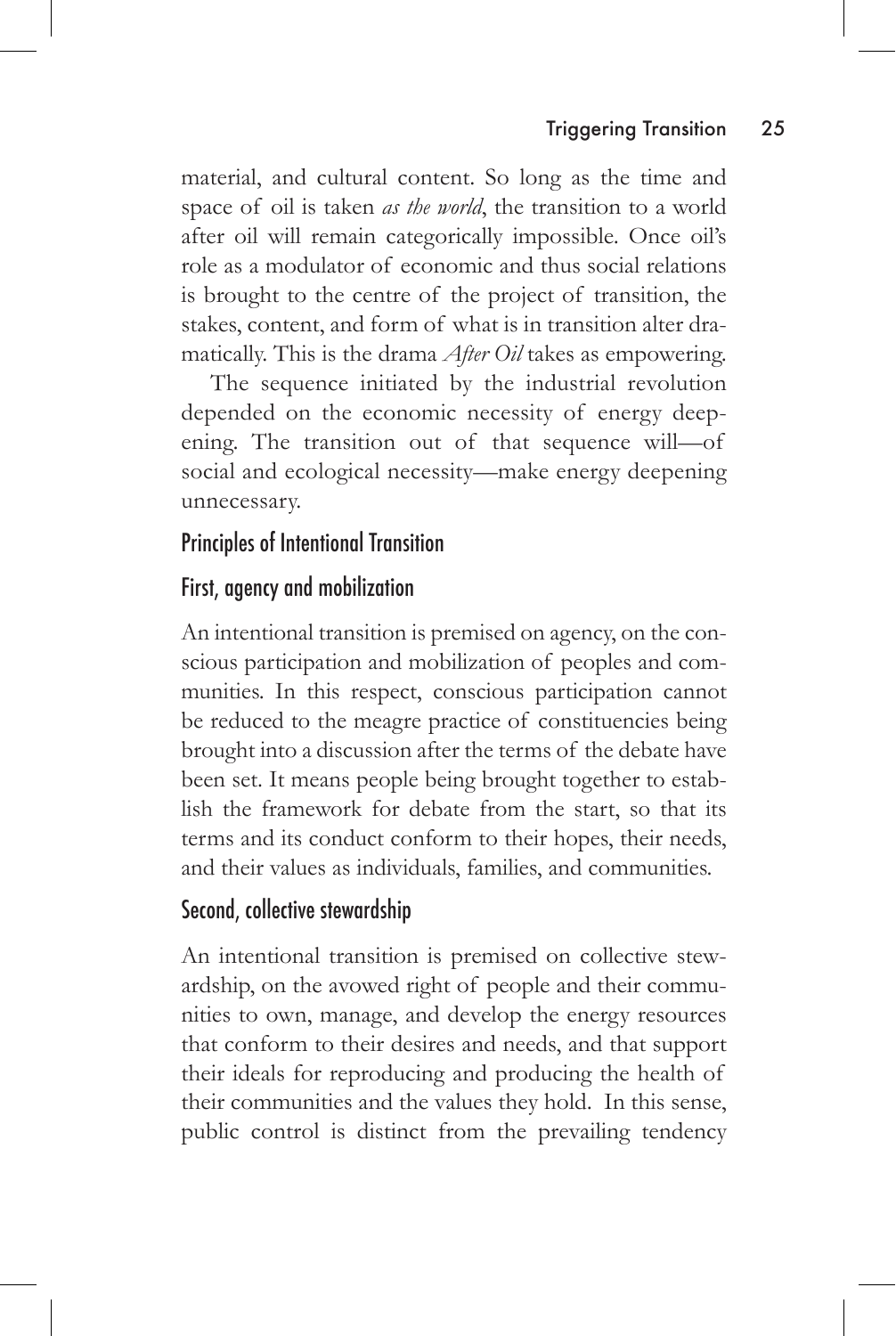#### Triggering Transition 25

material, and cultural content. So long as the time and space of oil is taken *as the world*, the transition to a world after oil will remain categorically impossible. Once oil's role as a modulator of economic and thus social relations is brought to the centre of the project of transition, the stakes, content, and form of what is in transition alter dramatically. This is the drama *After Oil* takes as empowering.

The sequence initiated by the industrial revolution depended on the economic necessity of energy deepening. The transition out of that sequence will—of social and ecological necessity—make energy deepening unnecessary.

#### Principles of Intentional Transition

#### First, agency and mobilization

An intentional transition is premised on agency, on the conscious participation and mobilization of peoples and communities. In this respect, conscious participation cannot be reduced to the meagre practice of constituencies being brought into a discussion after the terms of the debate have been set. It means people being brought together to establish the framework for debate from the start, so that its terms and its conduct conform to their hopes, their needs, and their values as individuals, families, and communities.

#### Second, collective stewardship

An intentional transition is premised on collective stewardship, on the avowed right of people and their communities to own, manage, and develop the energy resources that conform to their desires and needs, and that support their ideals for reproducing and producing the health of their communities and the values they hold. In this sense, public control is distinct from the prevailing tendency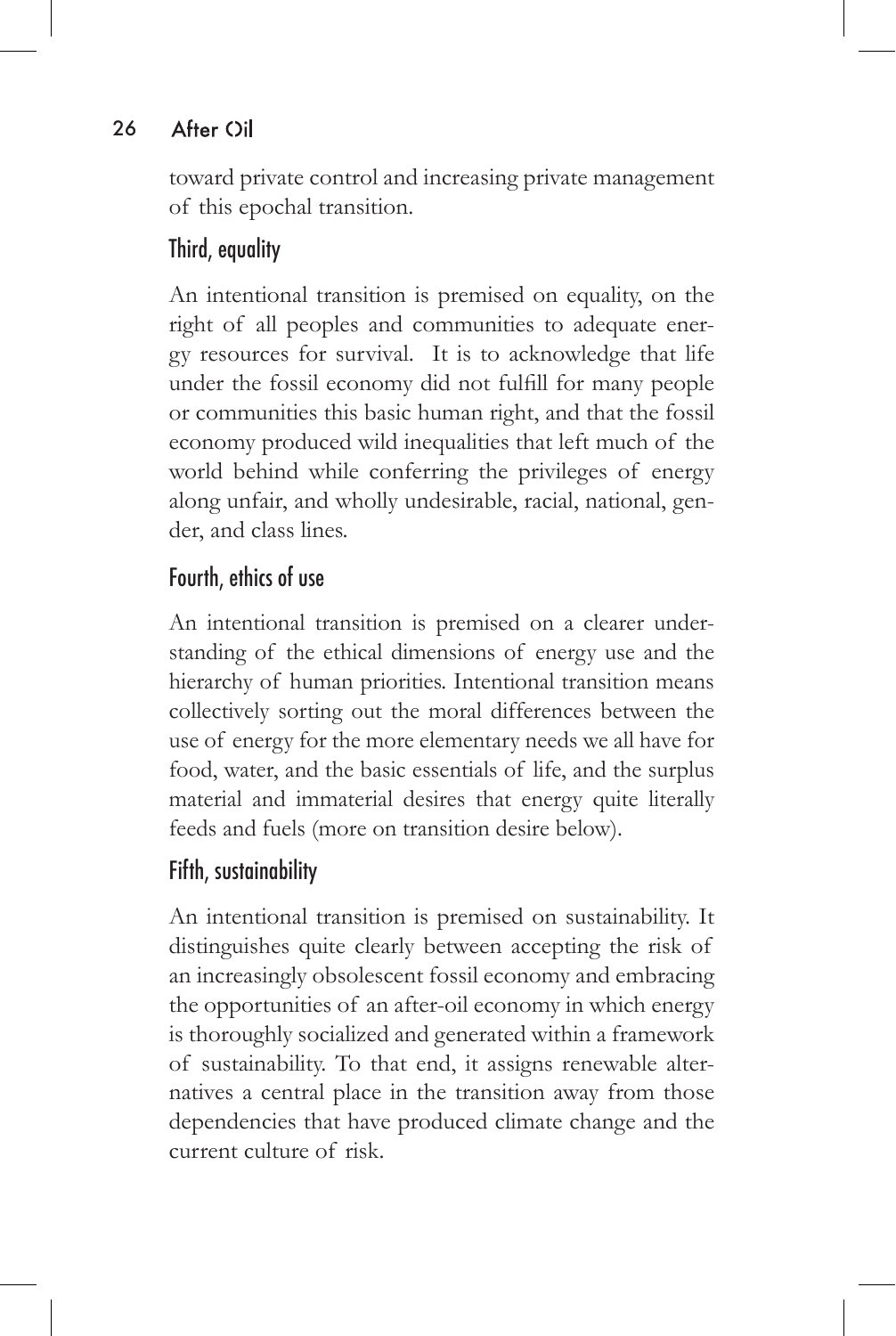toward private control and increasing private management of this epochal transition.

### Third, equality

An intentional transition is premised on equality, on the right of all peoples and communities to adequate energy resources for survival. It is to acknowledge that life under the fossil economy did not fulfill for many people or communities this basic human right, and that the fossil economy produced wild inequalities that left much of the world behind while conferring the privileges of energy along unfair, and wholly undesirable, racial, national, gender, and class lines.

### Fourth, ethics of use

An intentional transition is premised on a clearer understanding of the ethical dimensions of energy use and the hierarchy of human priorities. Intentional transition means collectively sorting out the moral differences between the use of energy for the more elementary needs we all have for food, water, and the basic essentials of life, and the surplus material and immaterial desires that energy quite literally feeds and fuels (more on transition desire below).

### Fifth, sustainability

An intentional transition is premised on sustainability. It distinguishes quite clearly between accepting the risk of an increasingly obsolescent fossil economy and embracing the opportunities of an after-oil economy in which energy is thoroughly socialized and generated within a framework of sustainability. To that end, it assigns renewable alternatives a central place in the transition away from those dependencies that have produced climate change and the current culture of risk.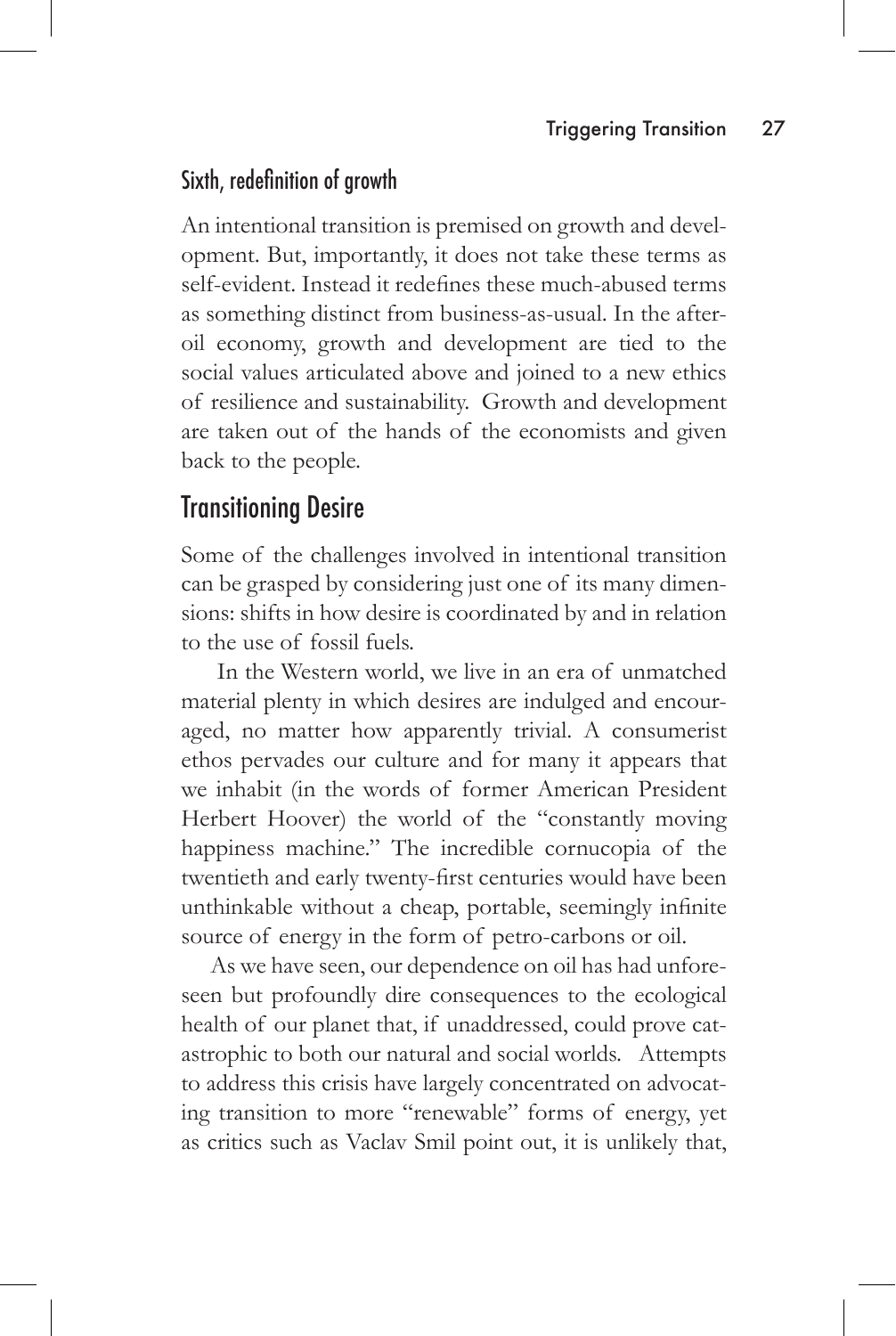#### Sixth, redefinition of growth

An intentional transition is premised on growth and development. But, importantly, it does not take these terms as self-evident. Instead it redefines these much-abused terms as something distinct from business-as-usual. In the afteroil economy, growth and development are tied to the social values articulated above and joined to a new ethics of resilience and sustainability. Growth and development are taken out of the hands of the economists and given back to the people.

### Transitioning Desire

Some of the challenges involved in intentional transition can be grasped by considering just one of its many dimensions: shifts in how desire is coordinated by and in relation to the use of fossil fuels.

 In the Western world, we live in an era of unmatched material plenty in which desires are indulged and encouraged, no matter how apparently trivial. A consumerist ethos pervades our culture and for many it appears that we inhabit (in the words of former American President Herbert Hoover) the world of the "constantly moving happiness machine." The incredible cornucopia of the twentieth and early twenty-first centuries would have been unthinkable without a cheap, portable, seemingly infinite source of energy in the form of petro-carbons or oil.

As we have seen, our dependence on oil has had unforeseen but profoundly dire consequences to the ecological health of our planet that, if unaddressed, could prove catastrophic to both our natural and social worlds. Attempts to address this crisis have largely concentrated on advocating transition to more "renewable" forms of energy, yet as critics such as Vaclav Smil point out, it is unlikely that,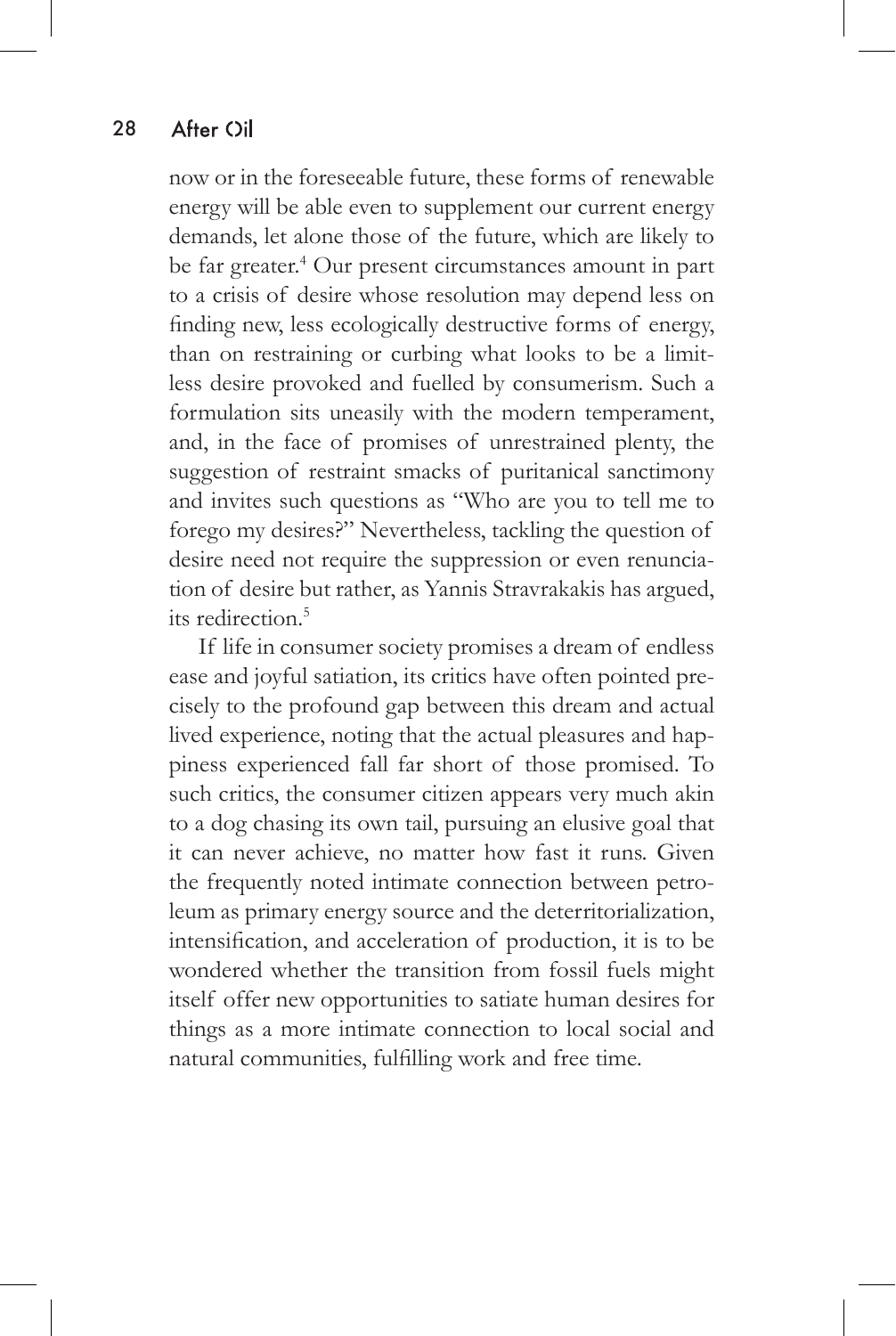now or in the foreseeable future, these forms of renewable energy will be able even to supplement our current energy demands, let alone those of the future, which are likely to be far greater.4 Our present circumstances amount in part to a crisis of desire whose resolution may depend less on finding new, less ecologically destructive forms of energy, than on restraining or curbing what looks to be a limitless desire provoked and fuelled by consumerism. Such a formulation sits uneasily with the modern temperament, and, in the face of promises of unrestrained plenty, the suggestion of restraint smacks of puritanical sanctimony and invites such questions as "Who are you to tell me to forego my desires?" Nevertheless, tackling the question of desire need not require the suppression or even renunciation of desire but rather, as Yannis Stravrakakis has argued, its redirection.<sup>5</sup>

If life in consumer society promises a dream of endless ease and joyful satiation, its critics have often pointed precisely to the profound gap between this dream and actual lived experience, noting that the actual pleasures and happiness experienced fall far short of those promised. To such critics, the consumer citizen appears very much akin to a dog chasing its own tail, pursuing an elusive goal that it can never achieve, no matter how fast it runs. Given the frequently noted intimate connection between petroleum as primary energy source and the deterritorialization, intensification, and acceleration of production, it is to be wondered whether the transition from fossil fuels might itself offer new opportunities to satiate human desires for things as a more intimate connection to local social and natural communities, fulfilling work and free time.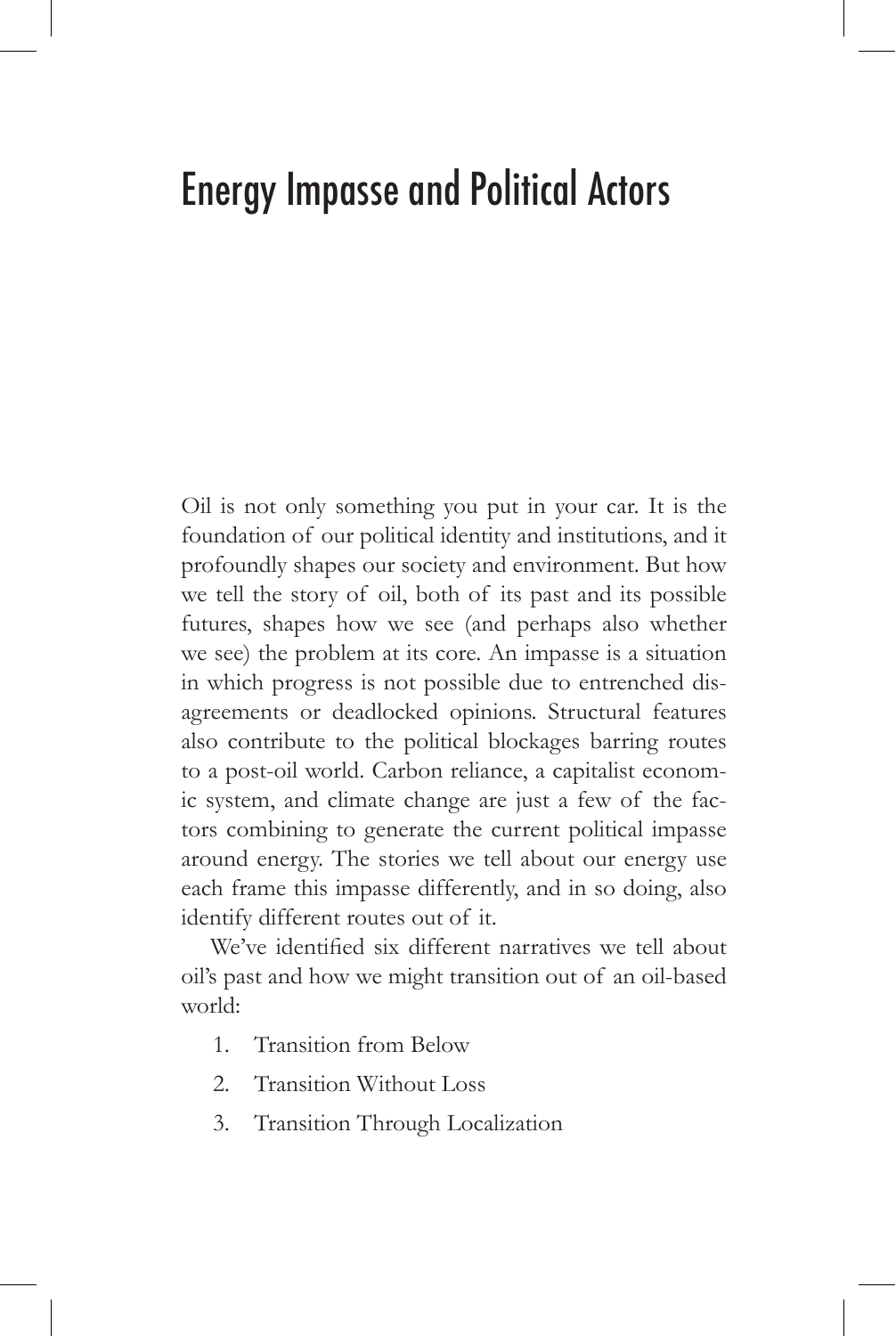## Energy Impasse and Political Actors

Oil is not only something you put in your car. It is the foundation of our political identity and institutions, and it profoundly shapes our society and environment. But how we tell the story of oil, both of its past and its possible futures, shapes how we see (and perhaps also whether we see) the problem at its core. An impasse is a situation in which progress is not possible due to entrenched disagreements or deadlocked opinions. Structural features also contribute to the political blockages barring routes to a post-oil world. Carbon reliance, a capitalist economic system, and climate change are just a few of the factors combining to generate the current political impasse around energy. The stories we tell about our energy use each frame this impasse differently, and in so doing, also identify different routes out of it.

We've identified six different narratives we tell about oil's past and how we might transition out of an oil-based world:

- 1. Transition from Below
- 2. Transition Without Loss
- 3. Transition Through Localization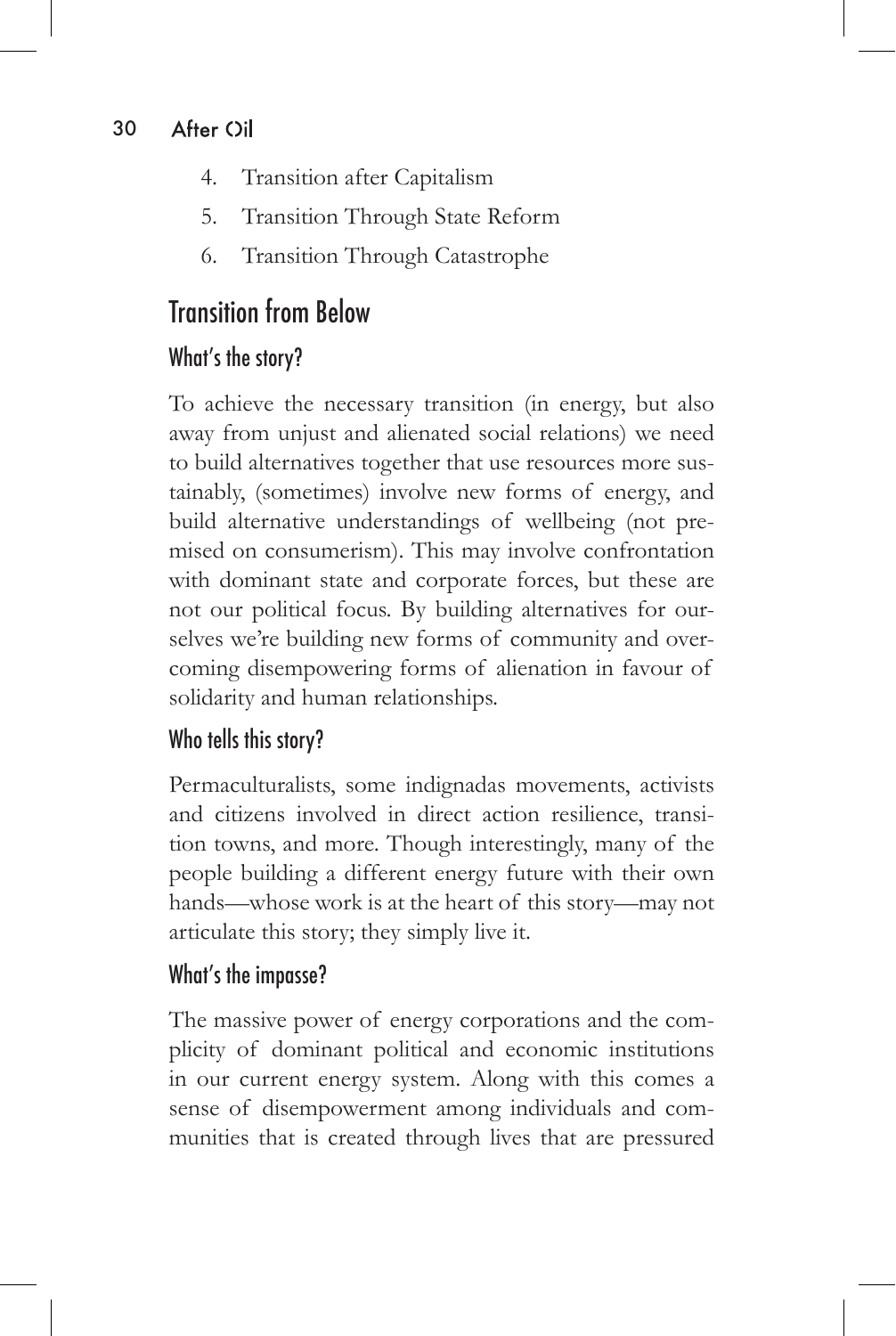- 4. Transition after Capitalism
- 5. Transition Through State Reform
- 6. Transition Through Catastrophe

### Transition from Below

### What's the story?

To achieve the necessary transition (in energy, but also away from unjust and alienated social relations) we need to build alternatives together that use resources more sustainably, (sometimes) involve new forms of energy, and build alternative understandings of wellbeing (not premised on consumerism). This may involve confrontation with dominant state and corporate forces, but these are not our political focus. By building alternatives for ourselves we're building new forms of community and overcoming disempowering forms of alienation in favour of solidarity and human relationships.

### Who tells this story?

Permaculturalists, some indignadas movements, activists and citizens involved in direct action resilience, transition towns, and more. Though interestingly, many of the people building a different energy future with their own hands—whose work is at the heart of this story—may not articulate this story; they simply live it.

### What's the impasse?

The massive power of energy corporations and the complicity of dominant political and economic institutions in our current energy system. Along with this comes a sense of disempowerment among individuals and communities that is created through lives that are pressured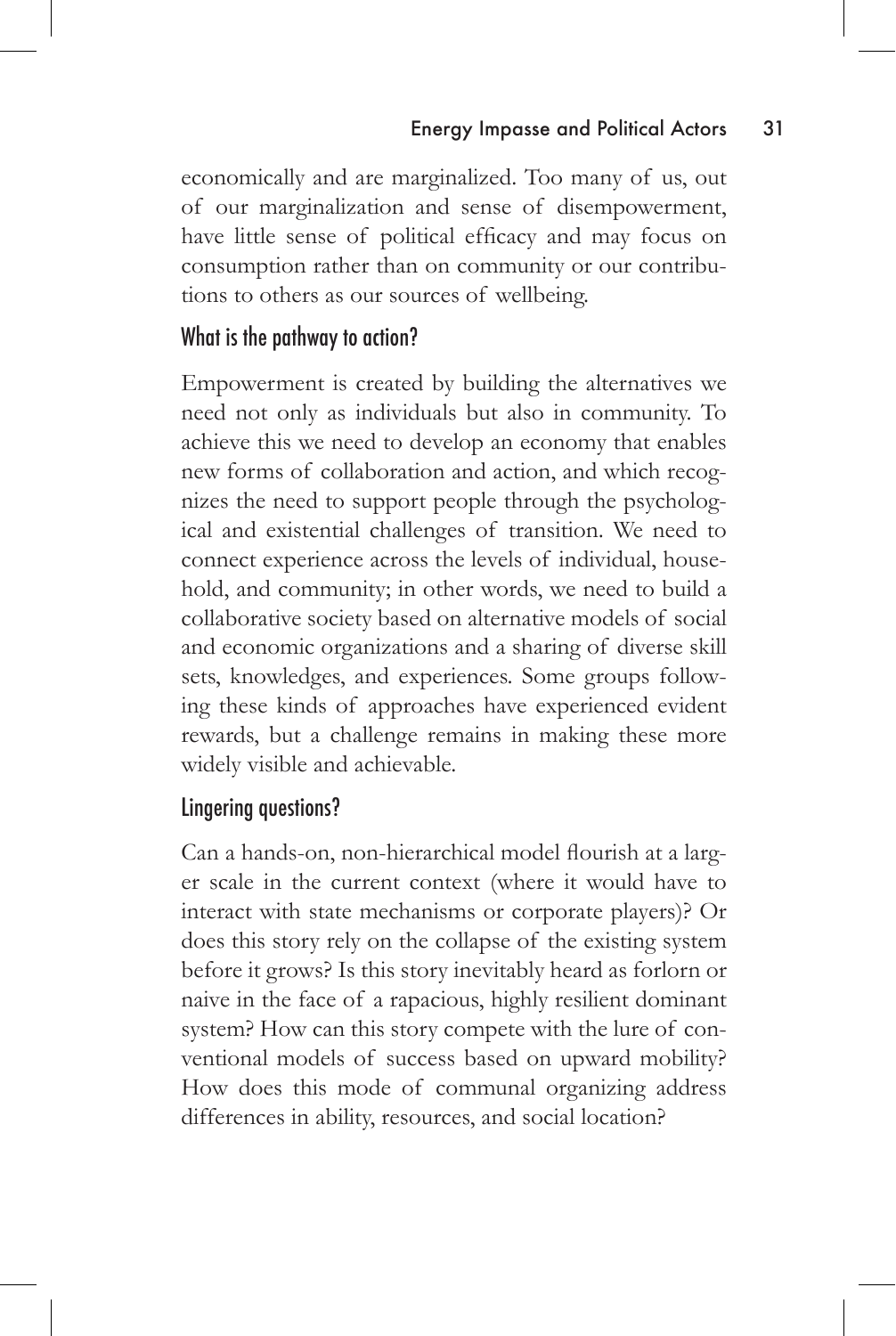economically and are marginalized. Too many of us, out of our marginalization and sense of disempowerment, have little sense of political efficacy and may focus on consumption rather than on community or our contributions to others as our sources of wellbeing.

#### What is the pathway to action?

Empowerment is created by building the alternatives we need not only as individuals but also in community. To achieve this we need to develop an economy that enables new forms of collaboration and action, and which recognizes the need to support people through the psychological and existential challenges of transition. We need to connect experience across the levels of individual, household, and community; in other words, we need to build a collaborative society based on alternative models of social and economic organizations and a sharing of diverse skill sets, knowledges, and experiences. Some groups following these kinds of approaches have experienced evident rewards, but a challenge remains in making these more widely visible and achievable.

#### Lingering questions?

Can a hands-on, non-hierarchical model flourish at a larger scale in the current context (where it would have to interact with state mechanisms or corporate players)? Or does this story rely on the collapse of the existing system before it grows? Is this story inevitably heard as forlorn or naive in the face of a rapacious, highly resilient dominant system? How can this story compete with the lure of conventional models of success based on upward mobility? How does this mode of communal organizing address differences in ability, resources, and social location?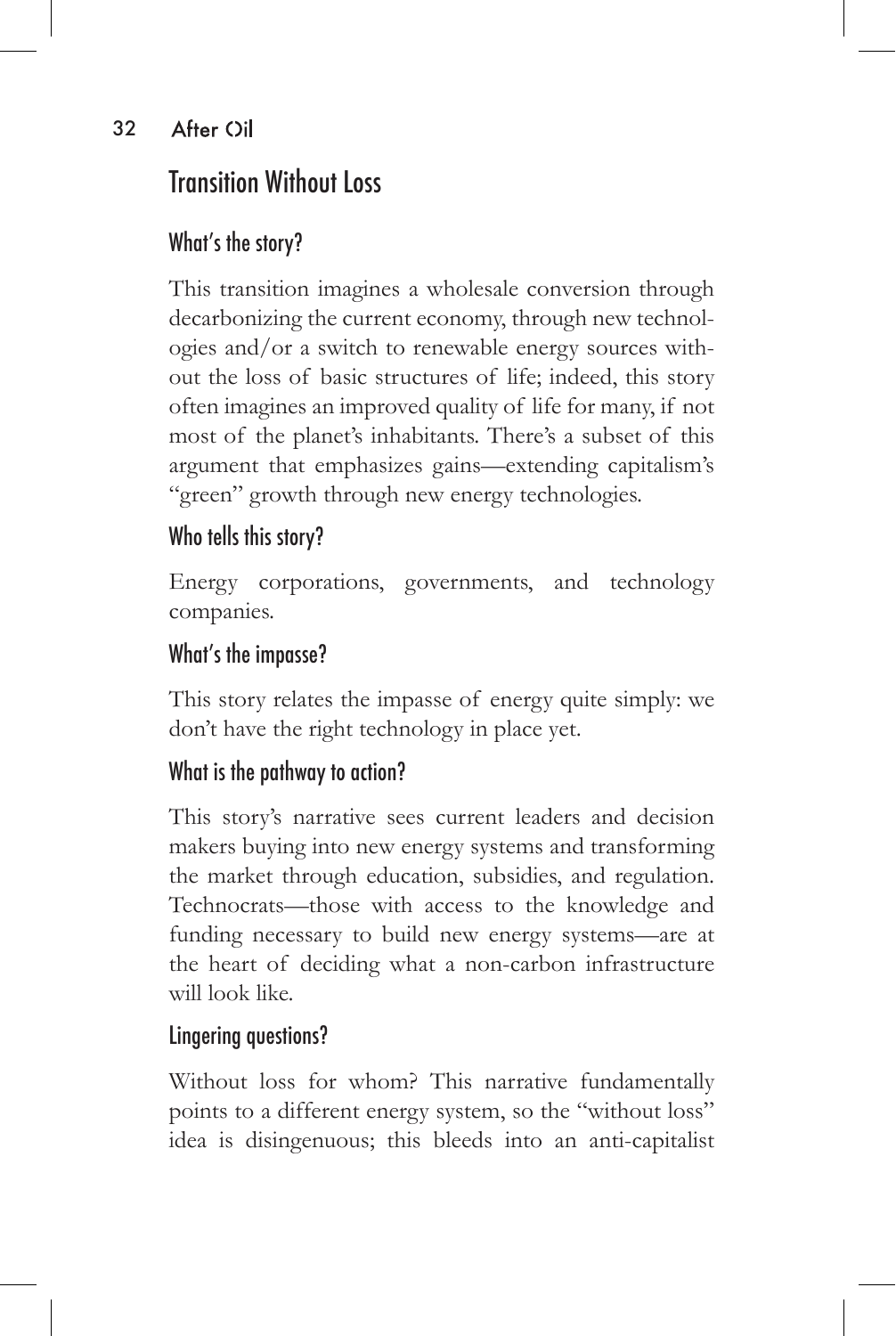### Transition Without Loss

### What's the story?

This transition imagines a wholesale conversion through decarbonizing the current economy, through new technologies and/or a switch to renewable energy sources without the loss of basic structures of life; indeed, this story often imagines an improved quality of life for many, if not most of the planet's inhabitants. There's a subset of this argument that emphasizes gains—extending capitalism's "green" growth through new energy technologies.

#### Who tells this story?

Energy corporations, governments, and technology companies.

#### What's the impasse?

This story relates the impasse of energy quite simply: we don't have the right technology in place yet.

#### What is the pathway to action?

This story's narrative sees current leaders and decision makers buying into new energy systems and transforming the market through education, subsidies, and regulation. Technocrats—those with access to the knowledge and funding necessary to build new energy systems—are at the heart of deciding what a non-carbon infrastructure will look like.

#### Lingering questions?

Without loss for whom? This narrative fundamentally points to a different energy system, so the "without loss" idea is disingenuous; this bleeds into an anti-capitalist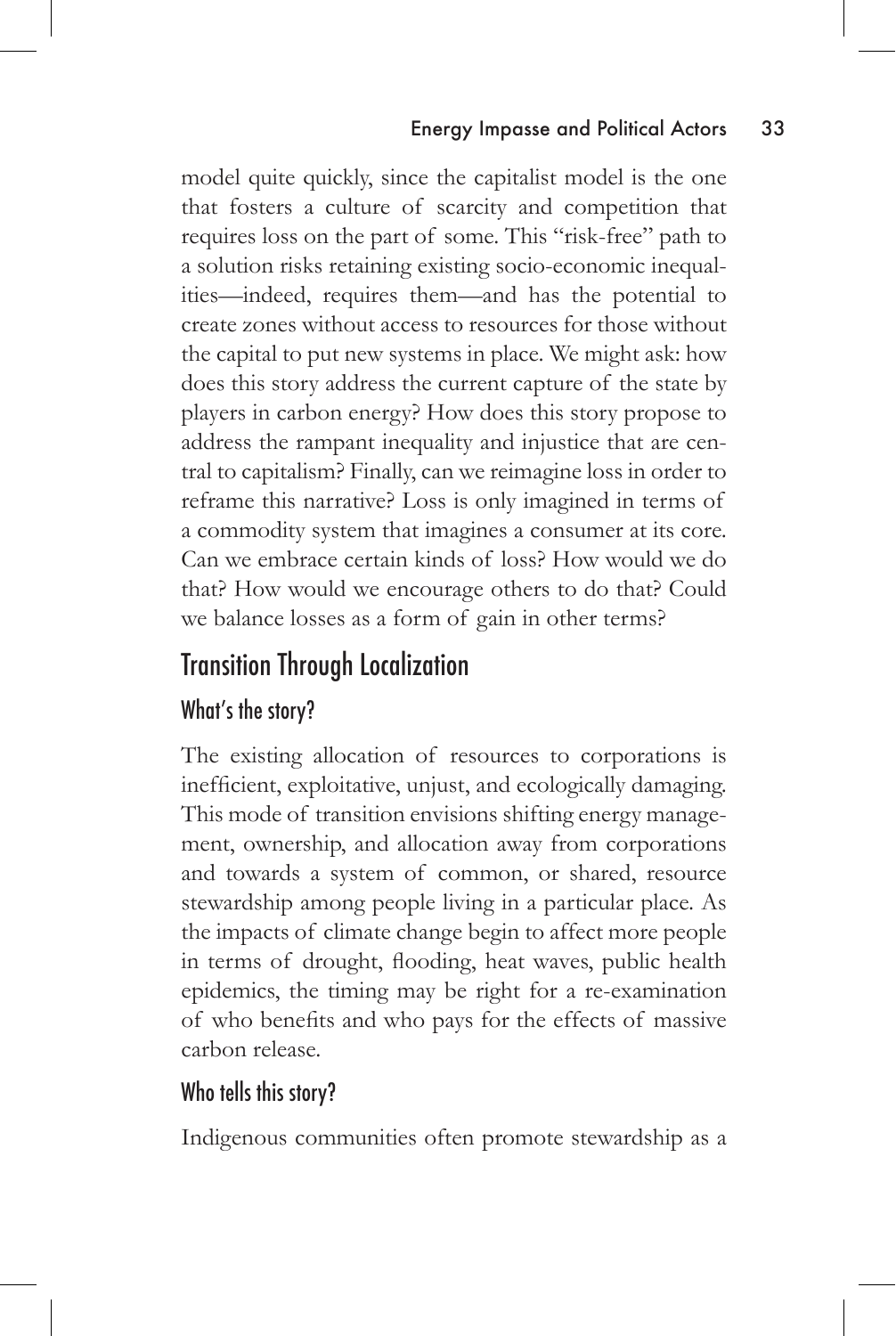#### Energy Impasse and Political Actors 33

model quite quickly, since the capitalist model is the one that fosters a culture of scarcity and competition that requires loss on the part of some. This "risk-free" path to a solution risks retaining existing socio-economic inequalities—indeed, requires them—and has the potential to create zones without access to resources for those without the capital to put new systems in place. We might ask: how does this story address the current capture of the state by players in carbon energy? How does this story propose to address the rampant inequality and injustice that are central to capitalism? Finally, can we reimagine loss in order to reframe this narrative? Loss is only imagined in terms of a commodity system that imagines a consumer at its core. Can we embrace certain kinds of loss? How would we do that? How would we encourage others to do that? Could we balance losses as a form of gain in other terms?

### Transition Through Localization

#### What's the story?

The existing allocation of resources to corporations is inefficient, exploitative, unjust, and ecologically damaging. This mode of transition envisions shifting energy management, ownership, and allocation away from corporations and towards a system of common, or shared, resource stewardship among people living in a particular place. As the impacts of climate change begin to affect more people in terms of drought, flooding, heat waves, public health epidemics, the timing may be right for a re-examination of who benefits and who pays for the effects of massive carbon release.

#### Who tells this story?

Indigenous communities often promote stewardship as a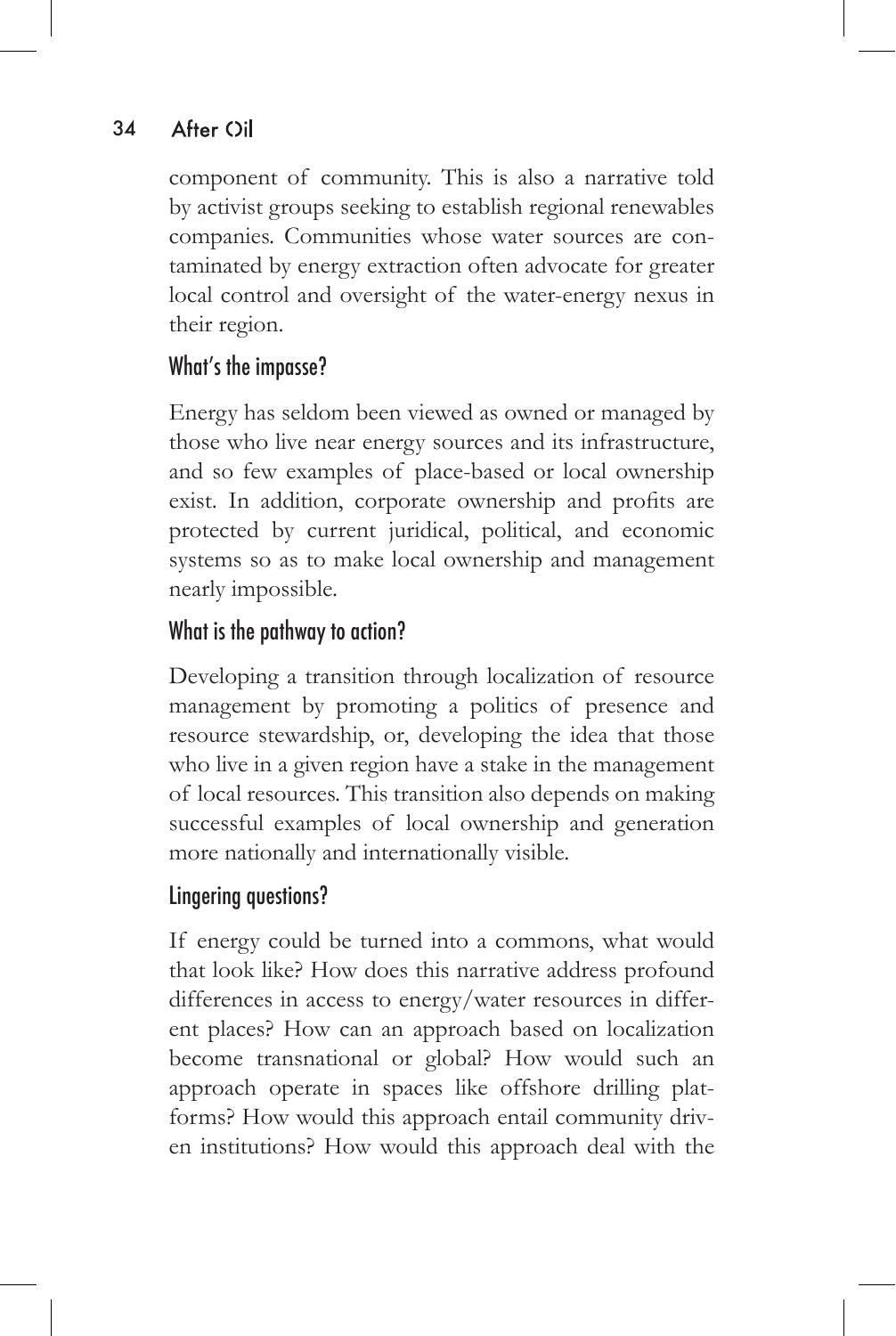component of community. This is also a narrative told by activist groups seeking to establish regional renewables companies. Communities whose water sources are contaminated by energy extraction often advocate for greater local control and oversight of the water-energy nexus in their region.

#### What's the impasse?

Energy has seldom been viewed as owned or managed by those who live near energy sources and its infrastructure, and so few examples of place-based or local ownership exist. In addition, corporate ownership and profits are protected by current juridical, political, and economic systems so as to make local ownership and management nearly impossible.

#### What is the pathway to action?

Developing a transition through localization of resource management by promoting a politics of presence and resource stewardship, or, developing the idea that those who live in a given region have a stake in the management of local resources. This transition also depends on making successful examples of local ownership and generation more nationally and internationally visible.

#### Lingering questions?

If energy could be turned into a commons, what would that look like? How does this narrative address profound differences in access to energy/water resources in different places? How can an approach based on localization become transnational or global? How would such an approach operate in spaces like offshore drilling platforms? How would this approach entail community driven institutions? How would this approach deal with the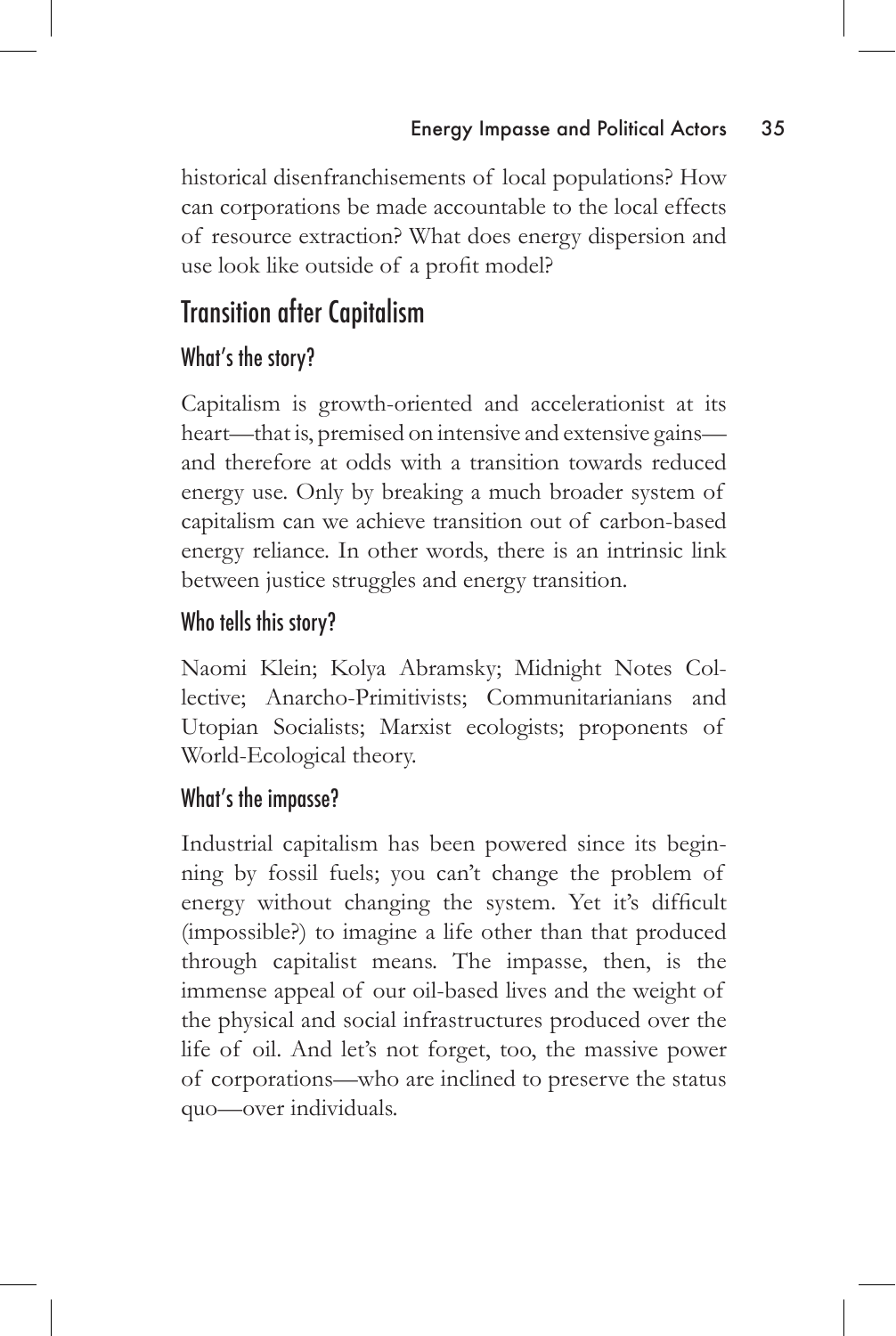historical disenfranchisements of local populations? How can corporations be made accountable to the local effects of resource extraction? What does energy dispersion and use look like outside of a profit model?

### Transition after Capitalism

#### What's the story?

Capitalism is growth-oriented and accelerationist at its heart—that is, premised on intensive and extensive gains and therefore at odds with a transition towards reduced energy use. Only by breaking a much broader system of capitalism can we achieve transition out of carbon-based energy reliance. In other words, there is an intrinsic link between justice struggles and energy transition.

#### Who tells this story?

Naomi Klein; Kolya Abramsky; Midnight Notes Collective; Anarcho-Primitivists; Communitarianians and Utopian Socialists; Marxist ecologists; proponents of World-Ecological theory.

#### What's the impasse?

Industrial capitalism has been powered since its beginning by fossil fuels; you can't change the problem of energy without changing the system. Yet it's difficult (impossible?) to imagine a life other than that produced through capitalist means. The impasse, then, is the immense appeal of our oil-based lives and the weight of the physical and social infrastructures produced over the life of oil. And let's not forget, too, the massive power of corporations—who are inclined to preserve the status quo—over individuals.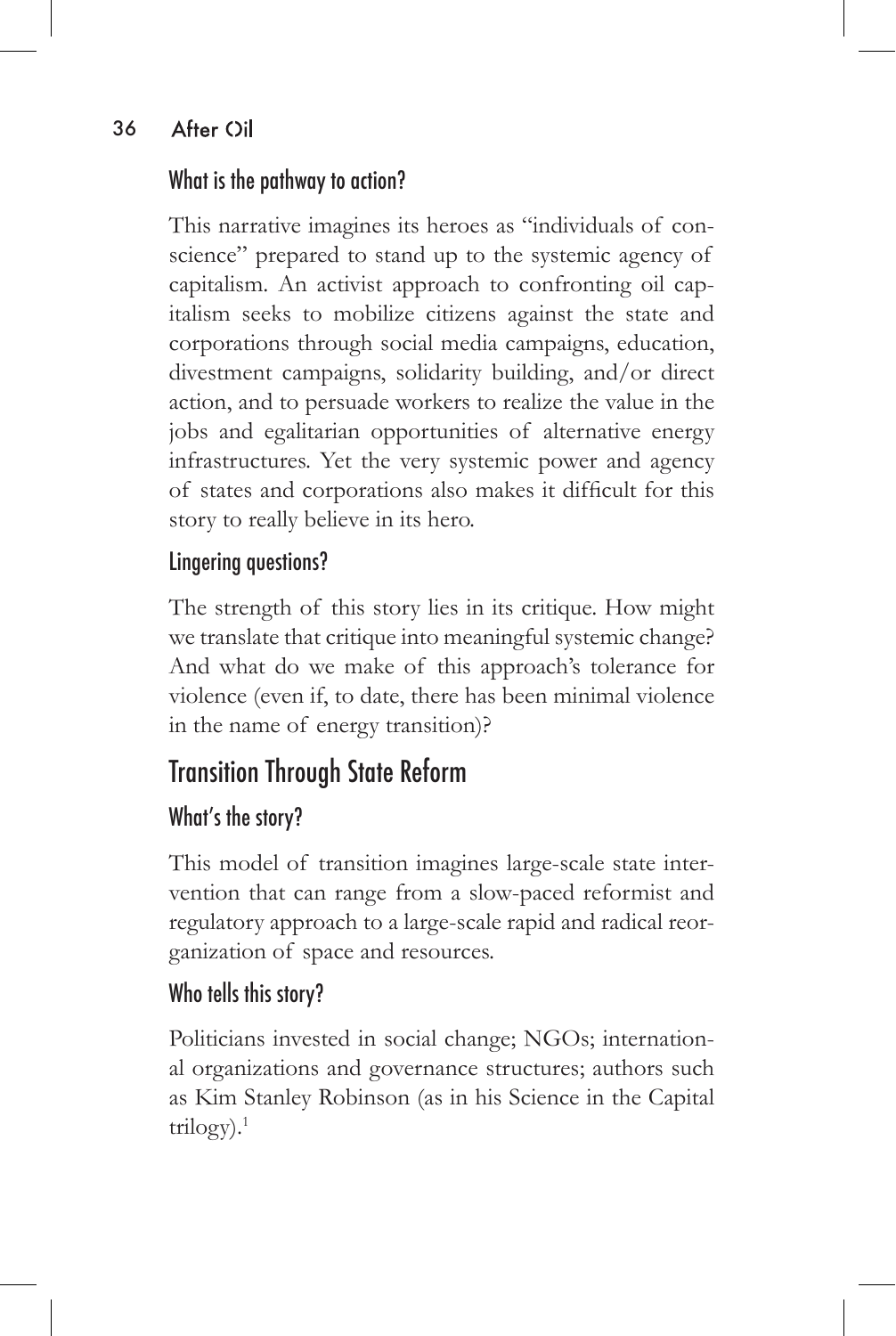#### What is the pathway to action?

This narrative imagines its heroes as "individuals of conscience" prepared to stand up to the systemic agency of capitalism. An activist approach to confronting oil capitalism seeks to mobilize citizens against the state and corporations through social media campaigns, education, divestment campaigns, solidarity building, and/or direct action, and to persuade workers to realize the value in the jobs and egalitarian opportunities of alternative energy infrastructures. Yet the very systemic power and agency of states and corporations also makes it difficult for this story to really believe in its hero.

#### Lingering questions?

The strength of this story lies in its critique. How might we translate that critique into meaningful systemic change? And what do we make of this approach's tolerance for violence (even if, to date, there has been minimal violence in the name of energy transition)?

### Transition Through State Reform

#### What's the story?

This model of transition imagines large-scale state intervention that can range from a slow-paced reformist and regulatory approach to a large-scale rapid and radical reorganization of space and resources.

#### Who tells this story?

Politicians invested in social change; NGOs; international organizations and governance structures; authors such as Kim Stanley Robinson (as in his Science in the Capital trilogy). $<sup>1</sup>$ </sup>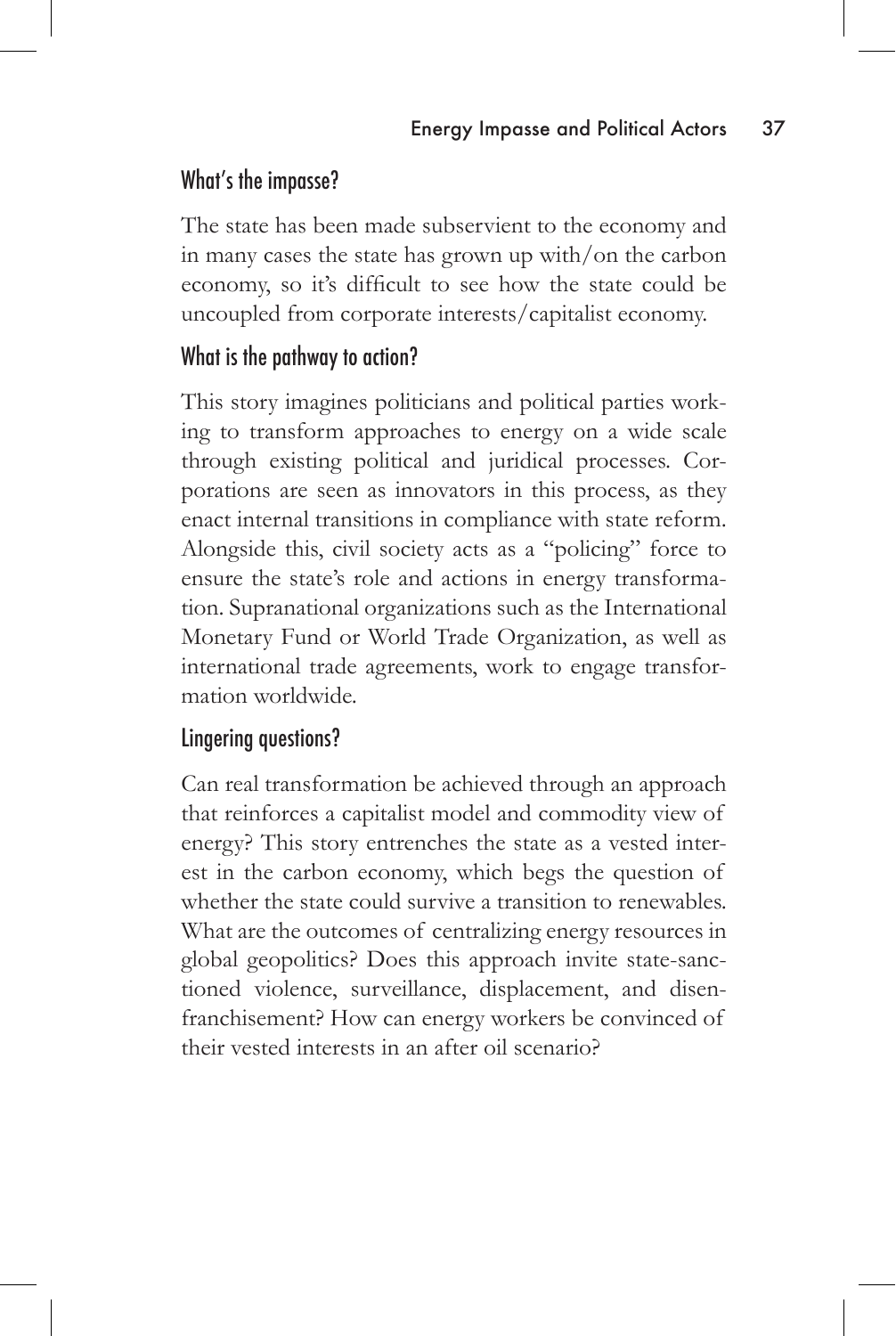#### What's the impasse?

The state has been made subservient to the economy and in many cases the state has grown up with/on the carbon economy, so it's difficult to see how the state could be uncoupled from corporate interests/capitalist economy.

#### What is the pathway to action?

This story imagines politicians and political parties working to transform approaches to energy on a wide scale through existing political and juridical processes. Corporations are seen as innovators in this process, as they enact internal transitions in compliance with state reform. Alongside this, civil society acts as a "policing" force to ensure the state's role and actions in energy transformation. Supranational organizations such as the International Monetary Fund or World Trade Organization, as well as international trade agreements, work to engage transformation worldwide.

#### Lingering questions?

Can real transformation be achieved through an approach that reinforces a capitalist model and commodity view of energy? This story entrenches the state as a vested interest in the carbon economy, which begs the question of whether the state could survive a transition to renewables. What are the outcomes of centralizing energy resources in global geopolitics? Does this approach invite state-sanctioned violence, surveillance, displacement, and disenfranchisement? How can energy workers be convinced of their vested interests in an after oil scenario?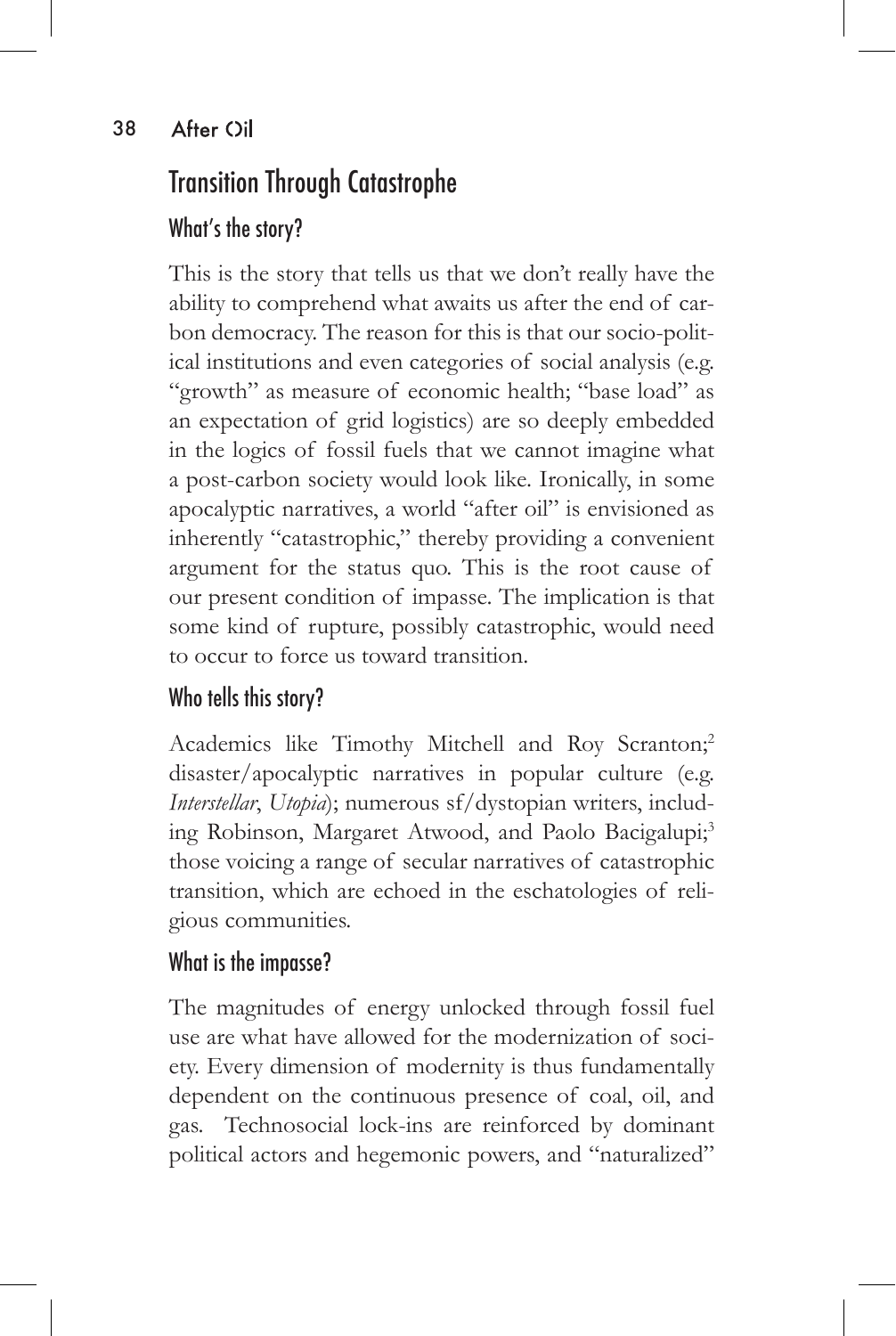# Transition Through Catastrophe

# What's the story?

This is the story that tells us that we don't really have the ability to comprehend what awaits us after the end of carbon democracy. The reason for this is that our socio-political institutions and even categories of social analysis (e.g. "growth" as measure of economic health; "base load" as an expectation of grid logistics) are so deeply embedded in the logics of fossil fuels that we cannot imagine what a post-carbon society would look like. Ironically, in some apocalyptic narratives, a world "after oil" is envisioned as inherently "catastrophic," thereby providing a convenient argument for the status quo. This is the root cause of our present condition of impasse. The implication is that some kind of rupture, possibly catastrophic, would need to occur to force us toward transition.

# Who tells this story?

Academics like Timothy Mitchell and Roy Scranton;<sup>2</sup> disaster/apocalyptic narratives in popular culture (e.g. *Interstellar*, *Utopia*); numerous sf/dystopian writers, including Robinson, Margaret Atwood, and Paolo Bacigalupi;<sup>3</sup> those voicing a range of secular narratives of catastrophic transition, which are echoed in the eschatologies of religious communities.

# What is the impasse?

The magnitudes of energy unlocked through fossil fuel use are what have allowed for the modernization of society. Every dimension of modernity is thus fundamentally dependent on the continuous presence of coal, oil, and gas. Technosocial lock-ins are reinforced by dominant political actors and hegemonic powers, and "naturalized"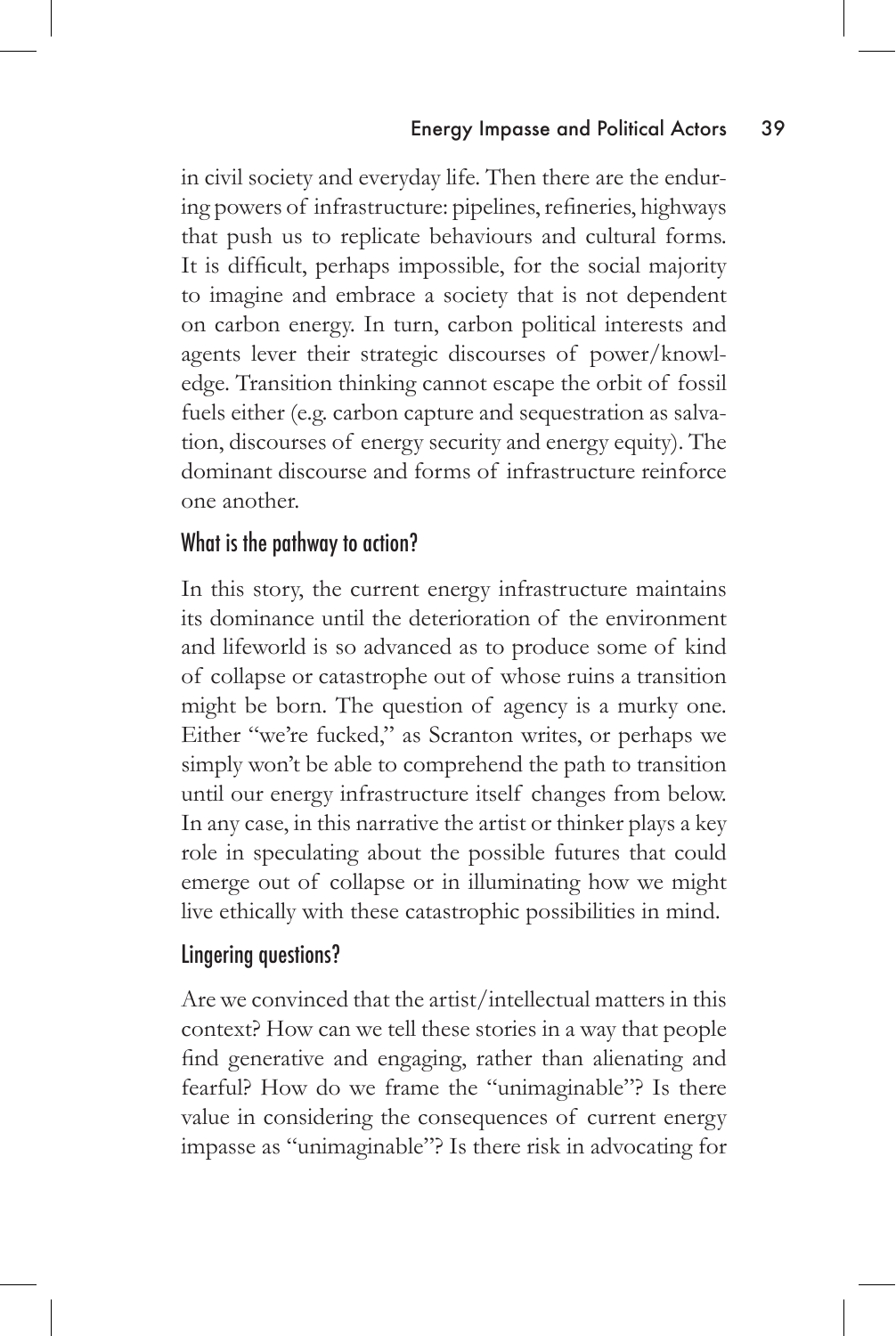in civil society and everyday life. Then there are the enduring powers of infrastructure: pipelines, refineries, highways that push us to replicate behaviours and cultural forms. It is difficult, perhaps impossible, for the social majority to imagine and embrace a society that is not dependent on carbon energy. In turn, carbon political interests and agents lever their strategic discourses of power/knowledge. Transition thinking cannot escape the orbit of fossil fuels either (e.g. carbon capture and sequestration as salvation, discourses of energy security and energy equity). The dominant discourse and forms of infrastructure reinforce one another.

## What is the pathway to action?

In this story, the current energy infrastructure maintains its dominance until the deterioration of the environment and lifeworld is so advanced as to produce some of kind of collapse or catastrophe out of whose ruins a transition might be born. The question of agency is a murky one. Either "we're fucked," as Scranton writes, or perhaps we simply won't be able to comprehend the path to transition until our energy infrastructure itself changes from below. In any case, in this narrative the artist or thinker plays a key role in speculating about the possible futures that could emerge out of collapse or in illuminating how we might live ethically with these catastrophic possibilities in mind.

#### Lingering questions?

Are we convinced that the artist/intellectual matters in this context? How can we tell these stories in a way that people find generative and engaging, rather than alienating and fearful? How do we frame the "unimaginable"? Is there value in considering the consequences of current energy impasse as "unimaginable"? Is there risk in advocating for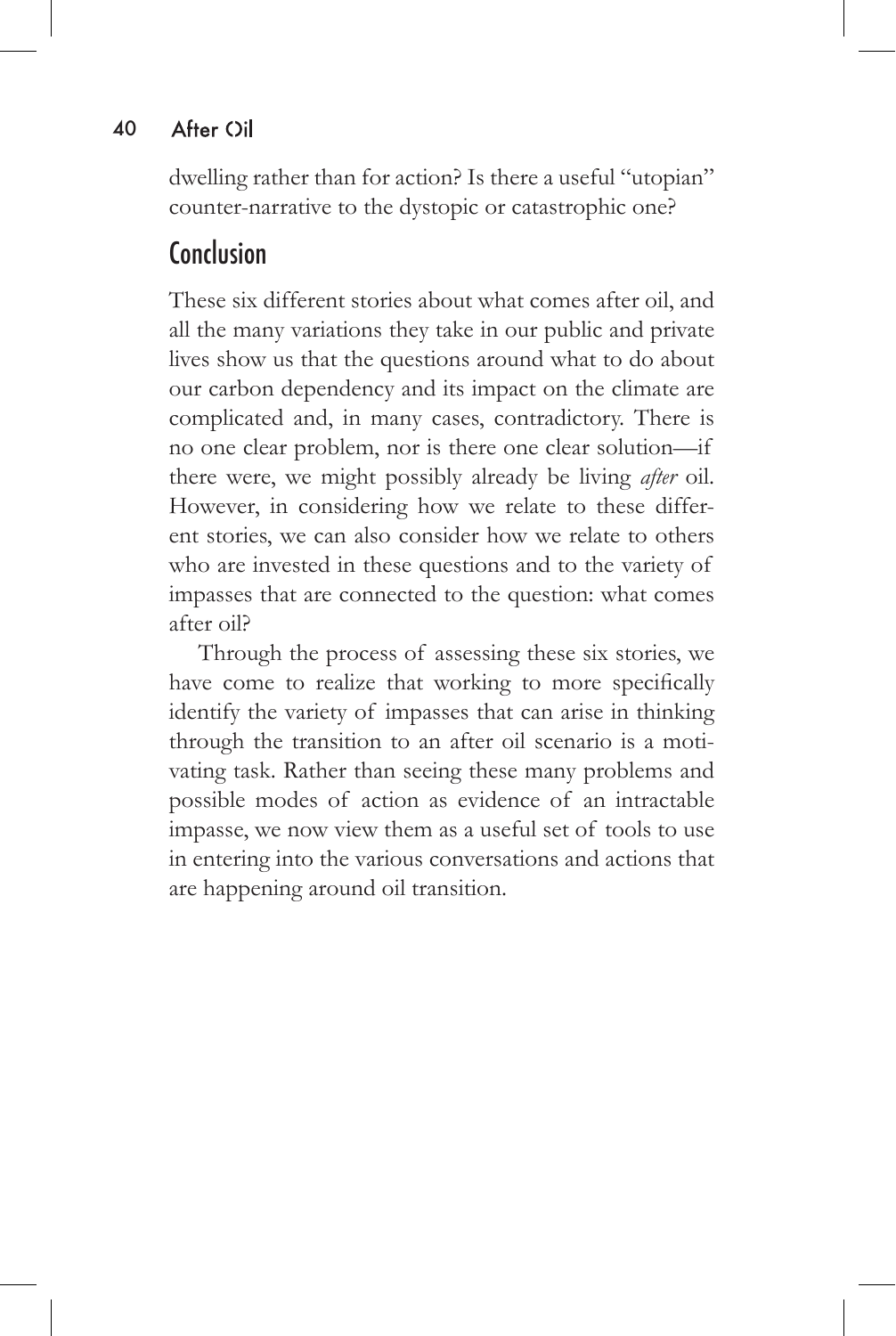dwelling rather than for action? Is there a useful "utopian" counter-narrative to the dystopic or catastrophic one?

# Conclusion

These six different stories about what comes after oil, and all the many variations they take in our public and private lives show us that the questions around what to do about our carbon dependency and its impact on the climate are complicated and, in many cases, contradictory. There is no one clear problem, nor is there one clear solution—if there were, we might possibly already be living *after* oil. However, in considering how we relate to these different stories, we can also consider how we relate to others who are invested in these questions and to the variety of impasses that are connected to the question: what comes after oil?

Through the process of assessing these six stories, we have come to realize that working to more specifically identify the variety of impasses that can arise in thinking through the transition to an after oil scenario is a motivating task. Rather than seeing these many problems and possible modes of action as evidence of an intractable impasse, we now view them as a useful set of tools to use in entering into the various conversations and actions that are happening around oil transition.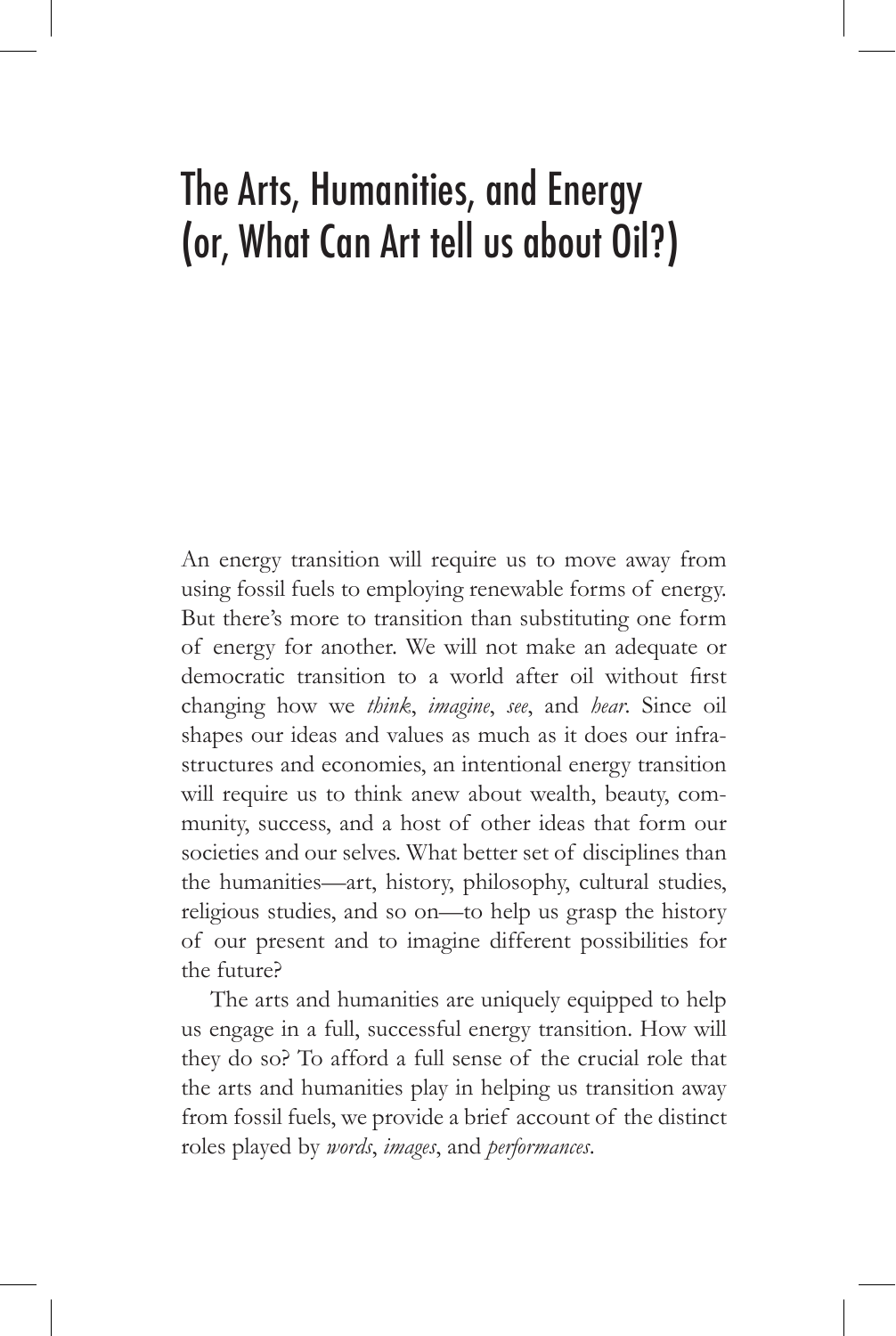# The Arts, Humanities, and Energy (or, What Can Art tell us about Oil?)

An energy transition will require us to move away from using fossil fuels to employing renewable forms of energy. But there's more to transition than substituting one form of energy for another. We will not make an adequate or democratic transition to a world after oil without first changing how we *think*, *imagine*, *see*, and *hear*. Since oil shapes our ideas and values as much as it does our infrastructures and economies, an intentional energy transition will require us to think anew about wealth, beauty, community, success, and a host of other ideas that form our societies and our selves. What better set of disciplines than the humanities—art, history, philosophy, cultural studies, religious studies, and so on—to help us grasp the history of our present and to imagine different possibilities for the future?

The arts and humanities are uniquely equipped to help us engage in a full, successful energy transition. How will they do so? To afford a full sense of the crucial role that the arts and humanities play in helping us transition away from fossil fuels, we provide a brief account of the distinct roles played by *words*, *images*, and *performances*.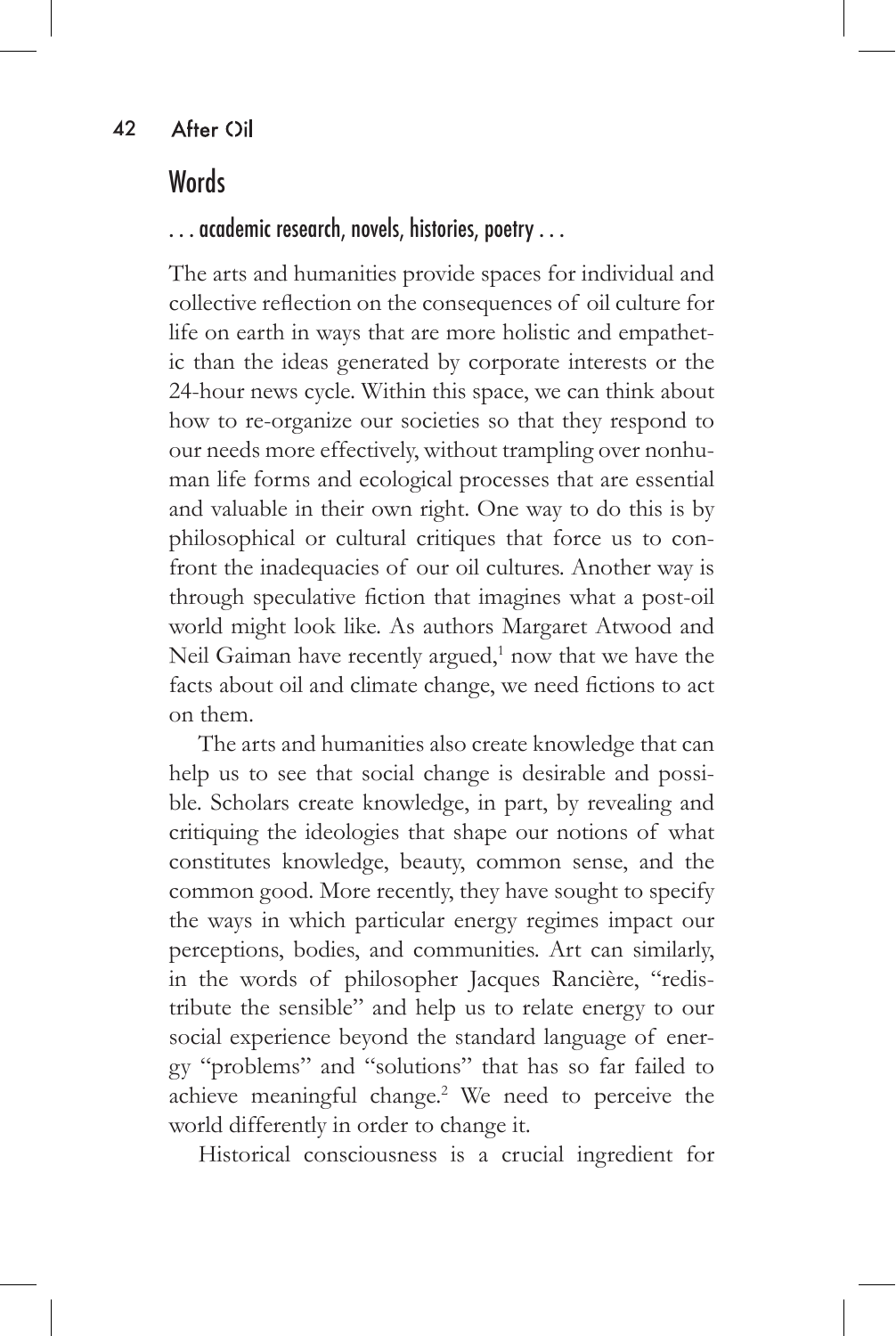# **Words**

## . . . academic research, novels, histories, poetry . . .

The arts and humanities provide spaces for individual and collective reflection on the consequences of oil culture for life on earth in ways that are more holistic and empathetic than the ideas generated by corporate interests or the 24-hour news cycle. Within this space, we can think about how to re-organize our societies so that they respond to our needs more effectively, without trampling over nonhuman life forms and ecological processes that are essential and valuable in their own right. One way to do this is by philosophical or cultural critiques that force us to confront the inadequacies of our oil cultures. Another way is through speculative fiction that imagines what a post-oil world might look like. As authors Margaret Atwood and Neil Gaiman have recently argued, $1$  now that we have the facts about oil and climate change, we need fictions to act on them.

The arts and humanities also create knowledge that can help us to see that social change is desirable and possible. Scholars create knowledge, in part, by revealing and critiquing the ideologies that shape our notions of what constitutes knowledge, beauty, common sense, and the common good. More recently, they have sought to specify the ways in which particular energy regimes impact our perceptions, bodies, and communities. Art can similarly, in the words of philosopher Jacques Rancière, "redistribute the sensible" and help us to relate energy to our social experience beyond the standard language of energy "problems" and "solutions" that has so far failed to achieve meaningful change.<sup>2</sup> We need to perceive the world differently in order to change it.

Historical consciousness is a crucial ingredient for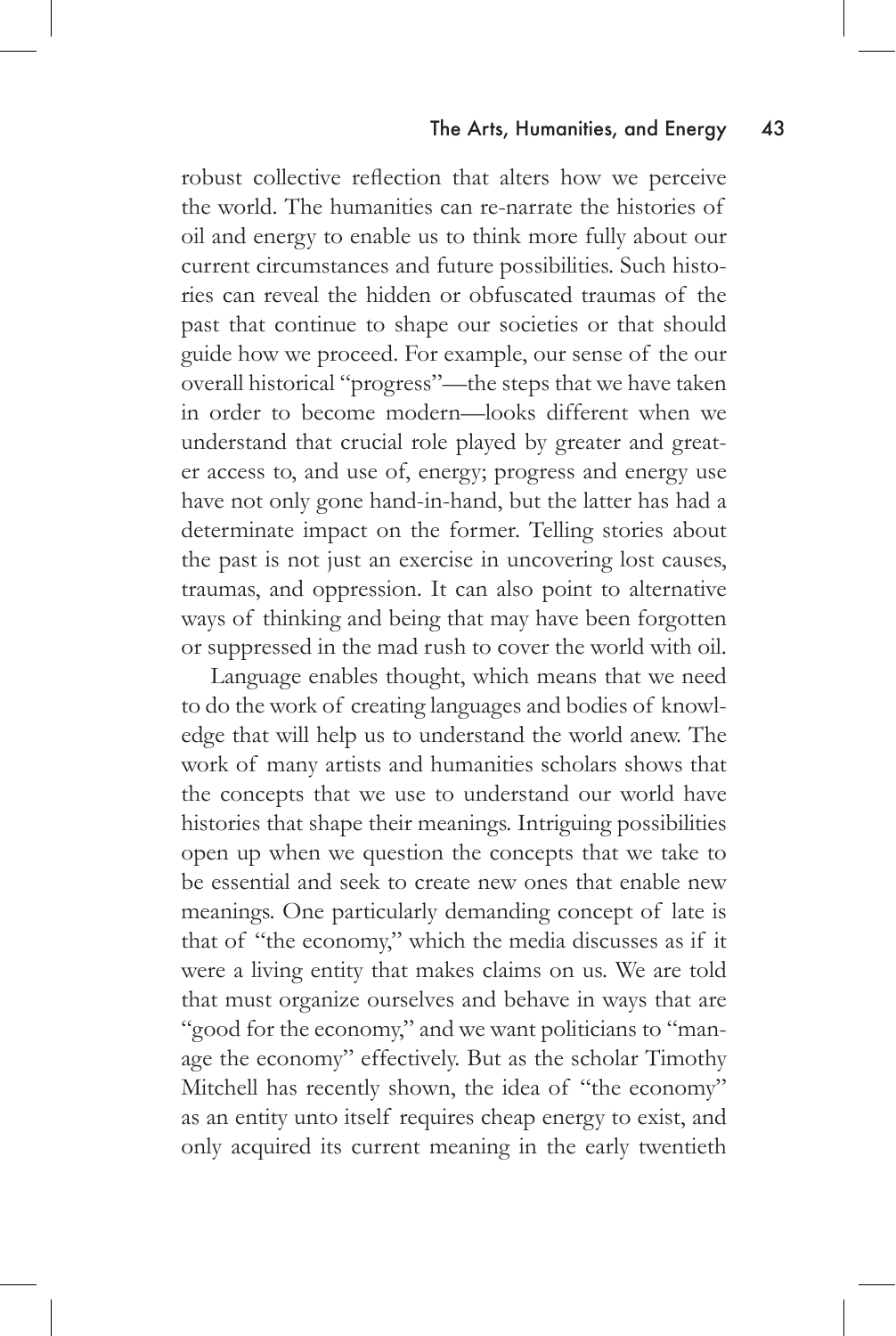#### The Arts, Humanities, and Energy 43

robust collective reflection that alters how we perceive the world. The humanities can re-narrate the histories of oil and energy to enable us to think more fully about our current circumstances and future possibilities. Such histories can reveal the hidden or obfuscated traumas of the past that continue to shape our societies or that should guide how we proceed. For example, our sense of the our overall historical "progress"—the steps that we have taken in order to become modern—looks different when we understand that crucial role played by greater and greater access to, and use of, energy; progress and energy use have not only gone hand-in-hand, but the latter has had a determinate impact on the former. Telling stories about the past is not just an exercise in uncovering lost causes, traumas, and oppression. It can also point to alternative ways of thinking and being that may have been forgotten or suppressed in the mad rush to cover the world with oil.

Language enables thought, which means that we need to do the work of creating languages and bodies of knowledge that will help us to understand the world anew. The work of many artists and humanities scholars shows that the concepts that we use to understand our world have histories that shape their meanings. Intriguing possibilities open up when we question the concepts that we take to be essential and seek to create new ones that enable new meanings. One particularly demanding concept of late is that of "the economy," which the media discusses as if it were a living entity that makes claims on us. We are told that must organize ourselves and behave in ways that are "good for the economy," and we want politicians to "manage the economy" effectively. But as the scholar Timothy Mitchell has recently shown, the idea of "the economy" as an entity unto itself requires cheap energy to exist, and only acquired its current meaning in the early twentieth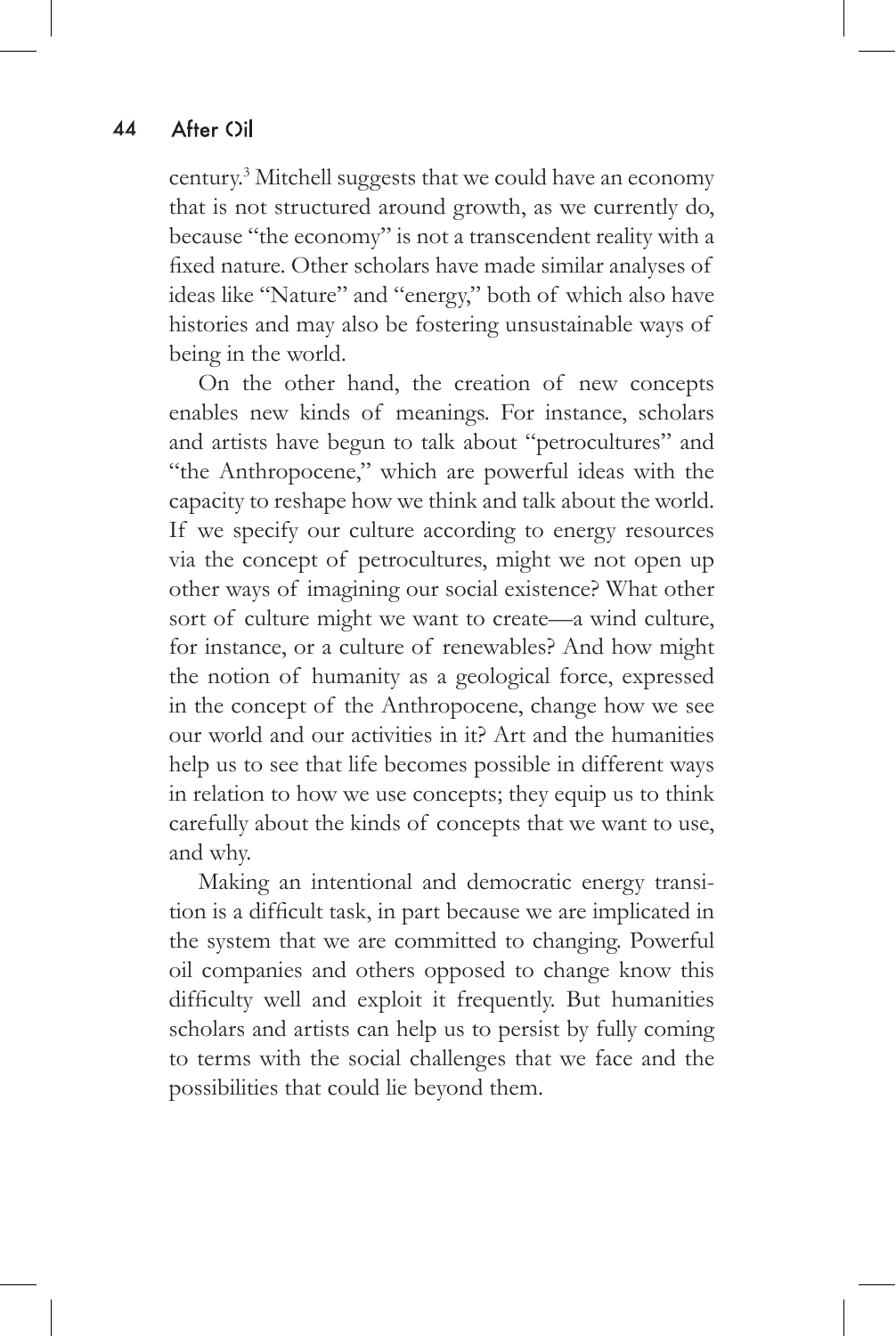century.3 Mitchell suggests that we could have an economy that is not structured around growth, as we currently do, because "the economy" is not a transcendent reality with a fixed nature. Other scholars have made similar analyses of ideas like "Nature" and "energy," both of which also have histories and may also be fostering unsustainable ways of being in the world.

On the other hand, the creation of new concepts enables new kinds of meanings. For instance, scholars and artists have begun to talk about "petrocultures" and "the Anthropocene," which are powerful ideas with the capacity to reshape how we think and talk about the world. If we specify our culture according to energy resources via the concept of petrocultures, might we not open up other ways of imagining our social existence? What other sort of culture might we want to create—a wind culture, for instance, or a culture of renewables? And how might the notion of humanity as a geological force, expressed in the concept of the Anthropocene, change how we see our world and our activities in it? Art and the humanities help us to see that life becomes possible in different ways in relation to how we use concepts; they equip us to think carefully about the kinds of concepts that we want to use, and why.

Making an intentional and democratic energy transition is a difficult task, in part because we are implicated in the system that we are committed to changing. Powerful oil companies and others opposed to change know this difficulty well and exploit it frequently. But humanities scholars and artists can help us to persist by fully coming to terms with the social challenges that we face and the possibilities that could lie beyond them.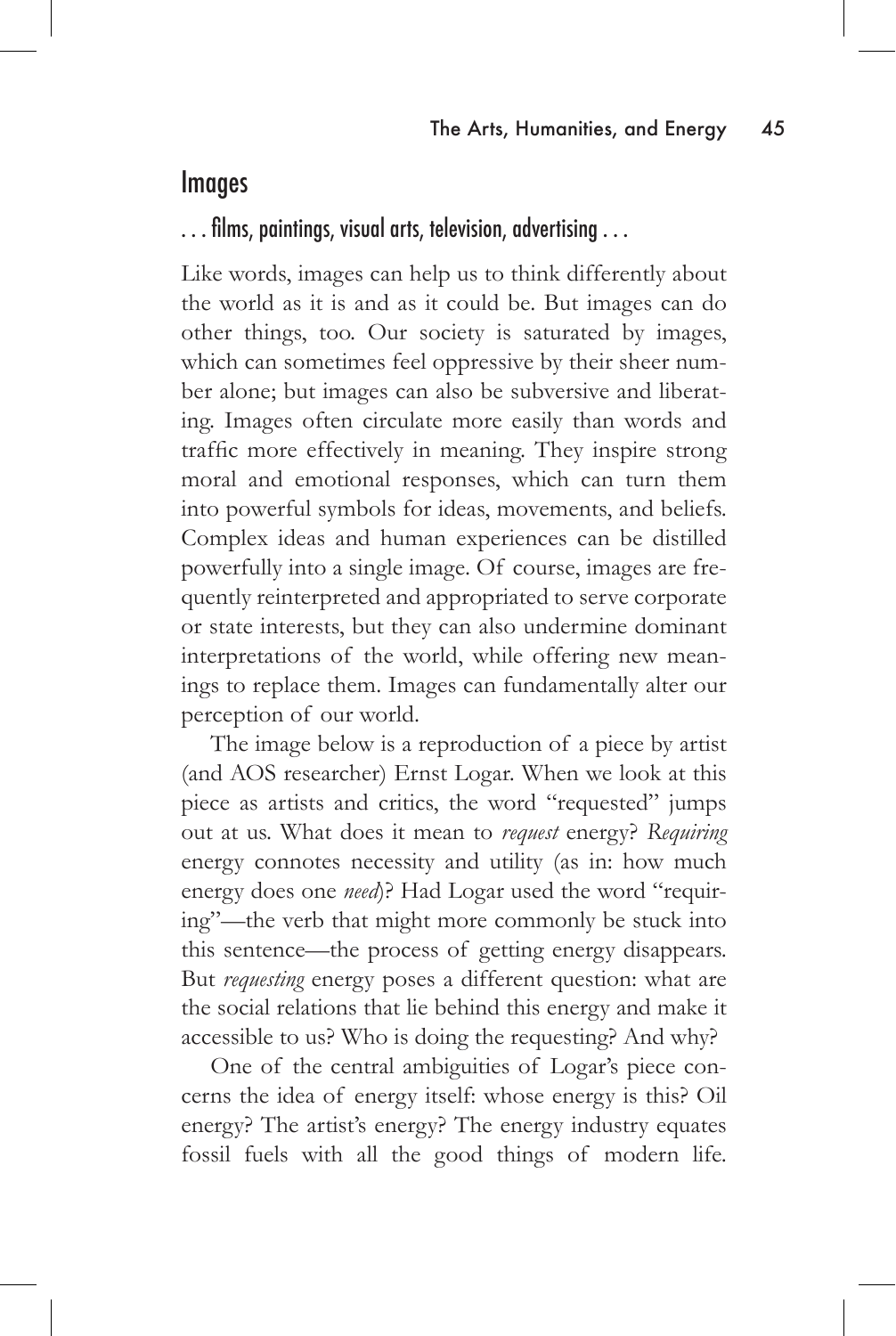## Images

#### . . . films, paintings, visual arts, television, advertising . . .

Like words, images can help us to think differently about the world as it is and as it could be. But images can do other things, too. Our society is saturated by images, which can sometimes feel oppressive by their sheer number alone; but images can also be subversive and liberating. Images often circulate more easily than words and traffic more effectively in meaning. They inspire strong moral and emotional responses, which can turn them into powerful symbols for ideas, movements, and beliefs. Complex ideas and human experiences can be distilled powerfully into a single image. Of course, images are frequently reinterpreted and appropriated to serve corporate or state interests, but they can also undermine dominant interpretations of the world, while offering new meanings to replace them. Images can fundamentally alter our perception of our world.

The image below is a reproduction of a piece by artist (and AOS researcher) Ernst Logar. When we look at this piece as artists and critics, the word "requested" jumps out at us. What does it mean to *request* energy? *Requiring* energy connotes necessity and utility (as in: how much energy does one *need*)? Had Logar used the word "requiring"—the verb that might more commonly be stuck into this sentence—the process of getting energy disappears. But *requesting* energy poses a different question: what are the social relations that lie behind this energy and make it accessible to us? Who is doing the requesting? And why?

One of the central ambiguities of Logar's piece concerns the idea of energy itself: whose energy is this? Oil energy? The artist's energy? The energy industry equates fossil fuels with all the good things of modern life.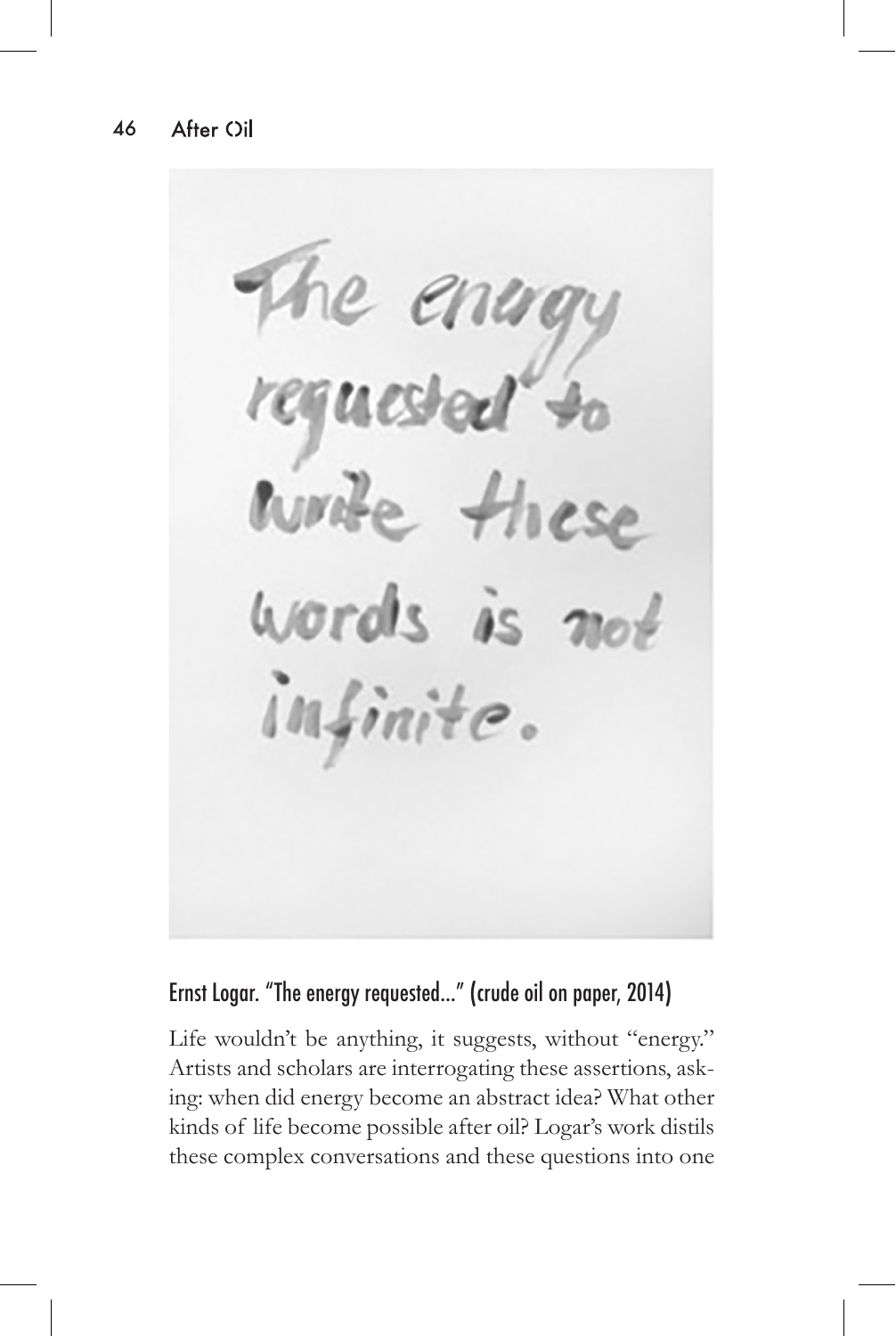The energy enuested 4 ounte these words is not infinite.

## Ernst Logar. "The energy requested…" (crude oil on paper, 2014)

Life wouldn't be anything, it suggests, without "energy." Artists and scholars are interrogating these assertions, asking: when did energy become an abstract idea? What other kinds of life become possible after oil? Logar's work distils these complex conversations and these questions into one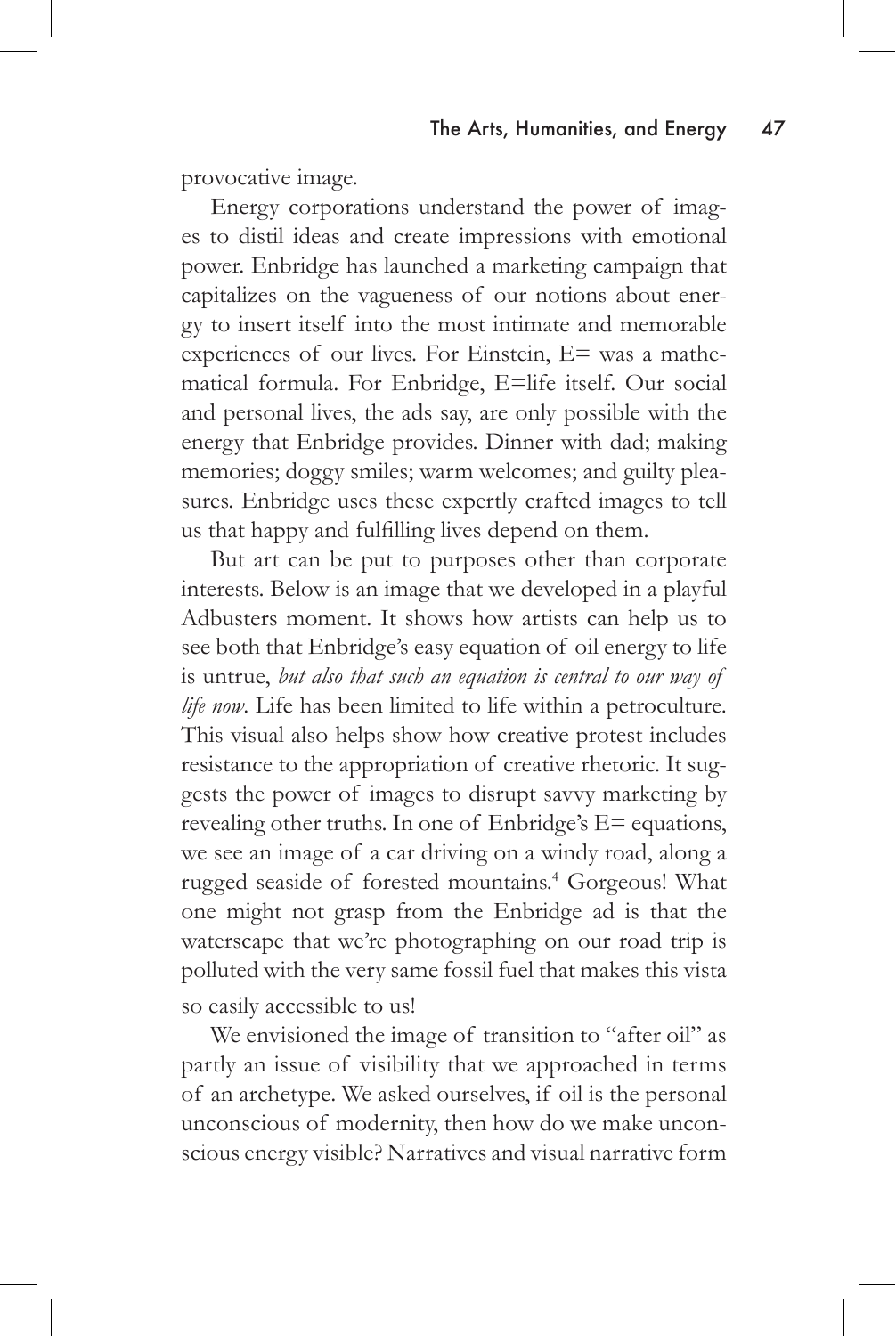provocative image.

Energy corporations understand the power of images to distil ideas and create impressions with emotional power. Enbridge has launched a marketing campaign that capitalizes on the vagueness of our notions about energy to insert itself into the most intimate and memorable experiences of our lives. For Einstein, E= was a mathematical formula. For Enbridge, E=life itself. Our social and personal lives, the ads say, are only possible with the energy that Enbridge provides. Dinner with dad; making memories; doggy smiles; warm welcomes; and guilty pleasures. Enbridge uses these expertly crafted images to tell us that happy and fulfilling lives depend on them.

But art can be put to purposes other than corporate interests. Below is an image that we developed in a playful Adbusters moment. It shows how artists can help us to see both that Enbridge's easy equation of oil energy to life is untrue, *but also that such an equation is central to our way of life now*. Life has been limited to life within a petroculture. This visual also helps show how creative protest includes resistance to the appropriation of creative rhetoric. It suggests the power of images to disrupt savvy marketing by revealing other truths. In one of Enbridge's E= equations, we see an image of a car driving on a windy road, along a rugged seaside of forested mountains.4 Gorgeous! What one might not grasp from the Enbridge ad is that the waterscape that we're photographing on our road trip is polluted with the very same fossil fuel that makes this vista so easily accessible to us!

We envisioned the image of transition to "after oil" as partly an issue of visibility that we approached in terms of an archetype. We asked ourselves, if oil is the personal unconscious of modernity, then how do we make unconscious energy visible? Narratives and visual narrative form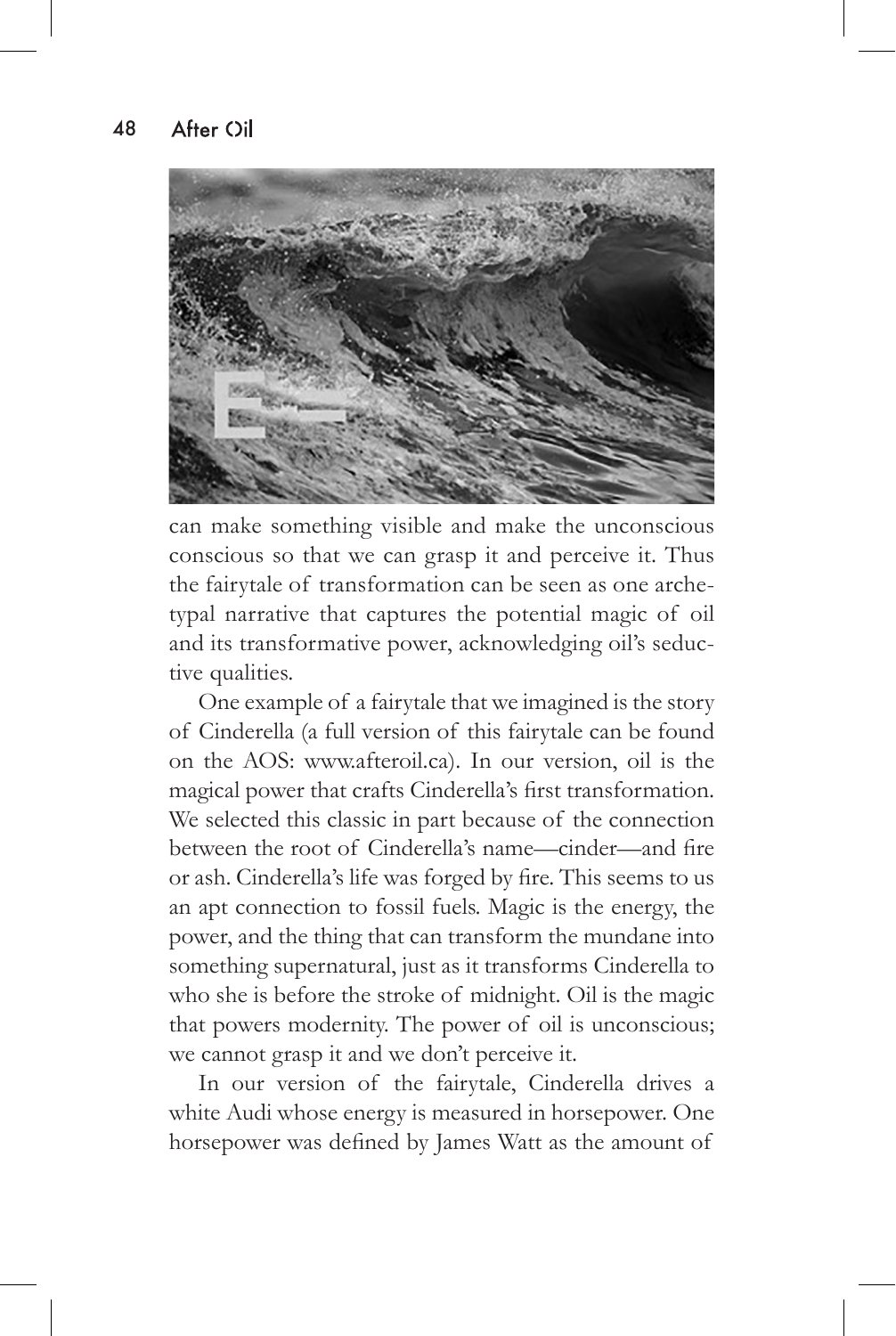

can make something visible and make the unconscious conscious so that we can grasp it and perceive it. Thus the fairytale of transformation can be seen as one archetypal narrative that captures the potential magic of oil and its transformative power, acknowledging oil's seductive qualities.

One example of a fairytale that we imagined is the story of Cinderella (a full version of this fairytale can be found on the AOS: www.afteroil.ca). In our version, oil is the magical power that crafts Cinderella's first transformation. We selected this classic in part because of the connection between the root of Cinderella's name—cinder—and fire or ash. Cinderella's life was forged by fire. This seems to us an apt connection to fossil fuels. Magic is the energy, the power, and the thing that can transform the mundane into something supernatural, just as it transforms Cinderella to who she is before the stroke of midnight. Oil is the magic that powers modernity. The power of oil is unconscious; we cannot grasp it and we don't perceive it.

In our version of the fairytale, Cinderella drives a white Audi whose energy is measured in horsepower. One horsepower was defined by James Watt as the amount of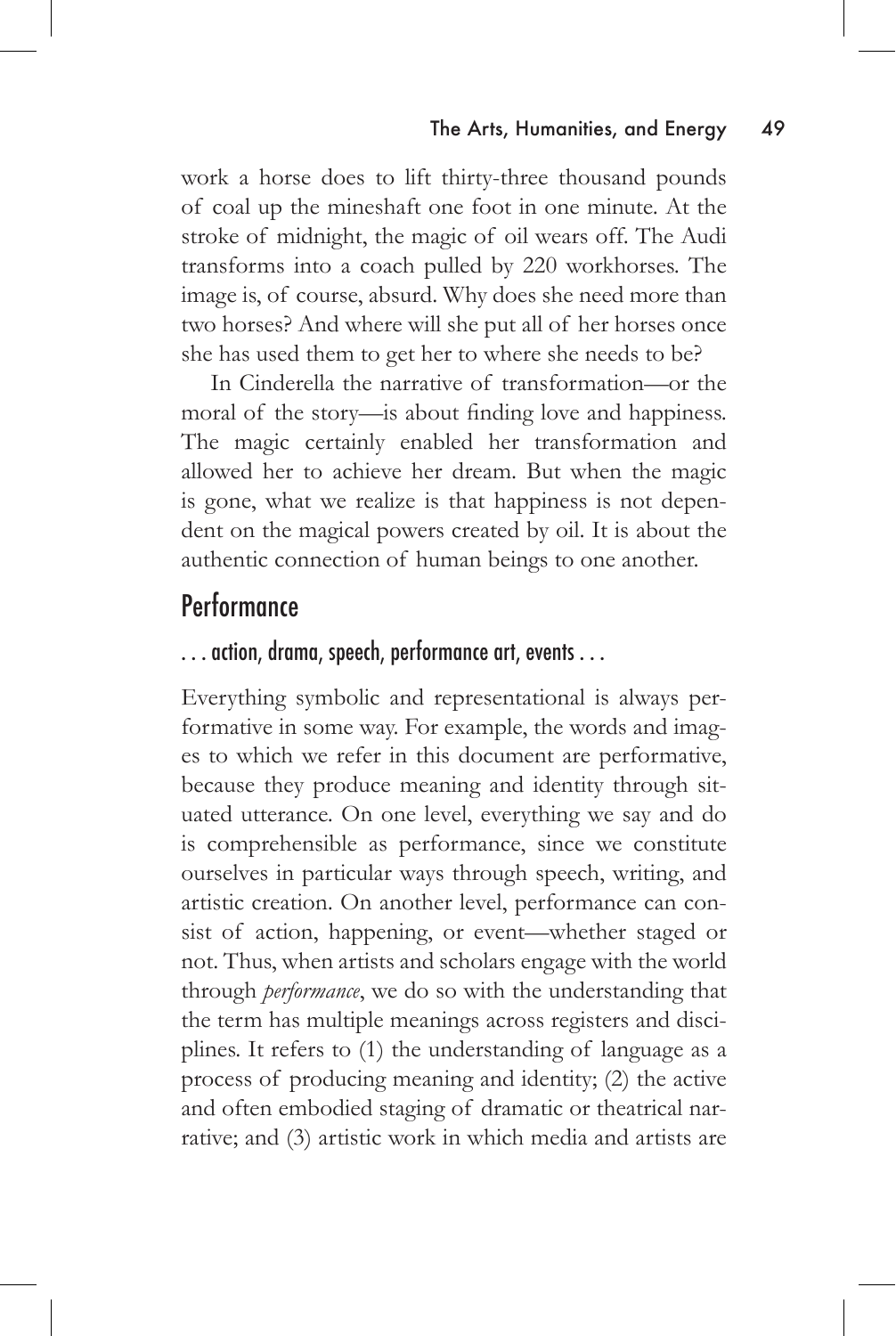#### The Arts, Humanities, and Energy 49

work a horse does to lift thirty-three thousand pounds of coal up the mineshaft one foot in one minute. At the stroke of midnight, the magic of oil wears off. The Audi transforms into a coach pulled by 220 workhorses. The image is, of course, absurd. Why does she need more than two horses? And where will she put all of her horses once she has used them to get her to where she needs to be?

In Cinderella the narrative of transformation—or the moral of the story—is about finding love and happiness. The magic certainly enabled her transformation and allowed her to achieve her dream. But when the magic is gone, what we realize is that happiness is not dependent on the magical powers created by oil. It is about the authentic connection of human beings to one another.

# **Performance**

#### . . . action, drama, speech, performance art, events . . .

Everything symbolic and representational is always performative in some way. For example, the words and images to which we refer in this document are performative, because they produce meaning and identity through situated utterance. On one level, everything we say and do is comprehensible as performance, since we constitute ourselves in particular ways through speech, writing, and artistic creation. On another level, performance can consist of action, happening, or event—whether staged or not. Thus, when artists and scholars engage with the world through *performance*, we do so with the understanding that the term has multiple meanings across registers and disciplines. It refers to (1) the understanding of language as a process of producing meaning and identity; (2) the active and often embodied staging of dramatic or theatrical narrative; and (3) artistic work in which media and artists are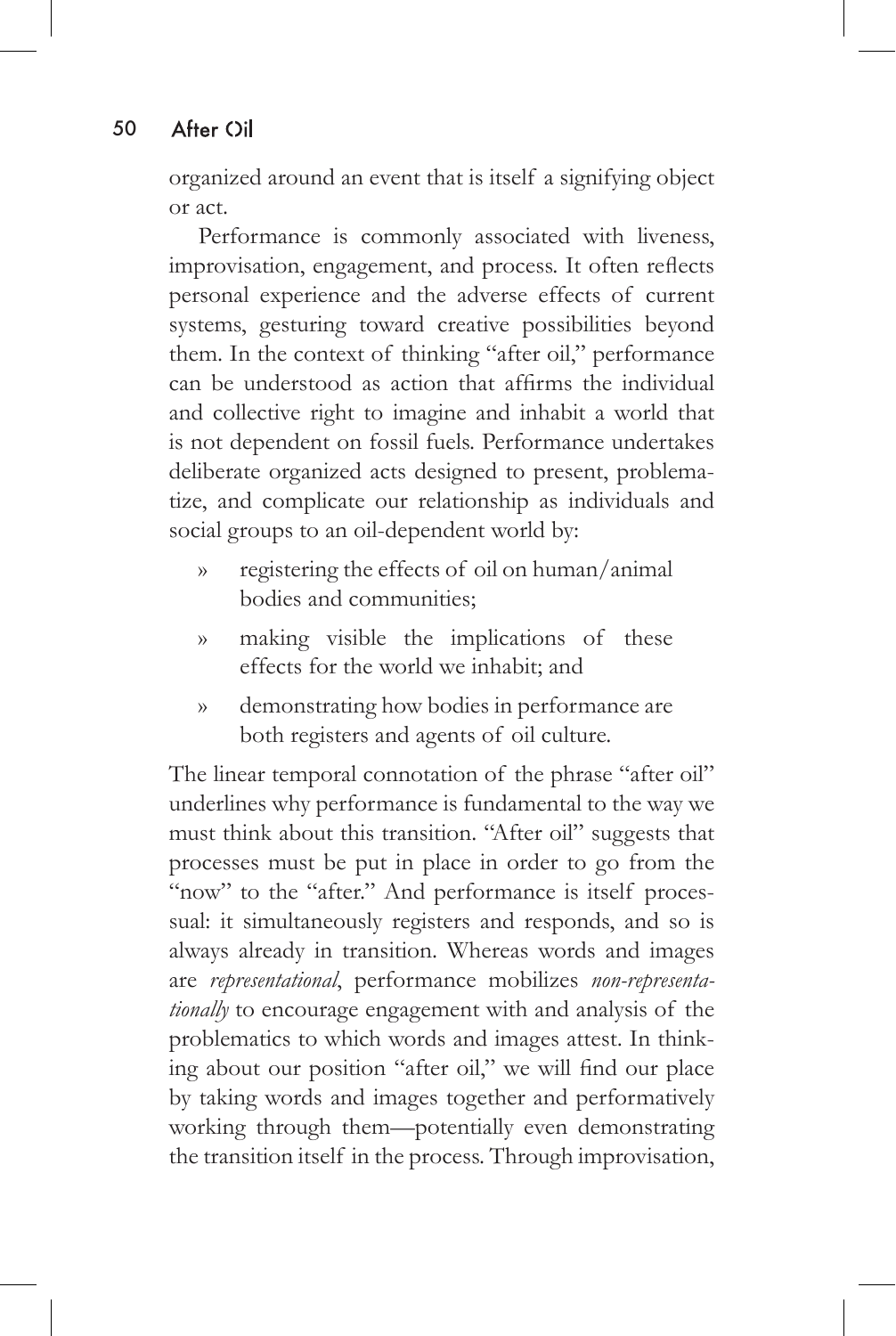organized around an event that is itself a signifying object or act.

Performance is commonly associated with liveness, improvisation, engagement, and process. It often reflects personal experience and the adverse effects of current systems, gesturing toward creative possibilities beyond them. In the context of thinking "after oil," performance can be understood as action that affirms the individual and collective right to imagine and inhabit a world that is not dependent on fossil fuels. Performance undertakes deliberate organized acts designed to present, problematize, and complicate our relationship as individuals and social groups to an oil-dependent world by:

- »» registering the effects of oil on human/animal bodies and communities;
- »» making visible the implications of these effects for the world we inhabit; and
- »» demonstrating how bodies in performance are both registers and agents of oil culture.

The linear temporal connotation of the phrase "after oil" underlines why performance is fundamental to the way we must think about this transition. "After oil" suggests that processes must be put in place in order to go from the "now" to the "after." And performance is itself processual: it simultaneously registers and responds, and so is always already in transition. Whereas words and images are *representational*, performance mobilizes *non-representationally* to encourage engagement with and analysis of the problematics to which words and images attest. In thinking about our position "after oil," we will find our place by taking words and images together and performatively working through them—potentially even demonstrating the transition itself in the process. Through improvisation,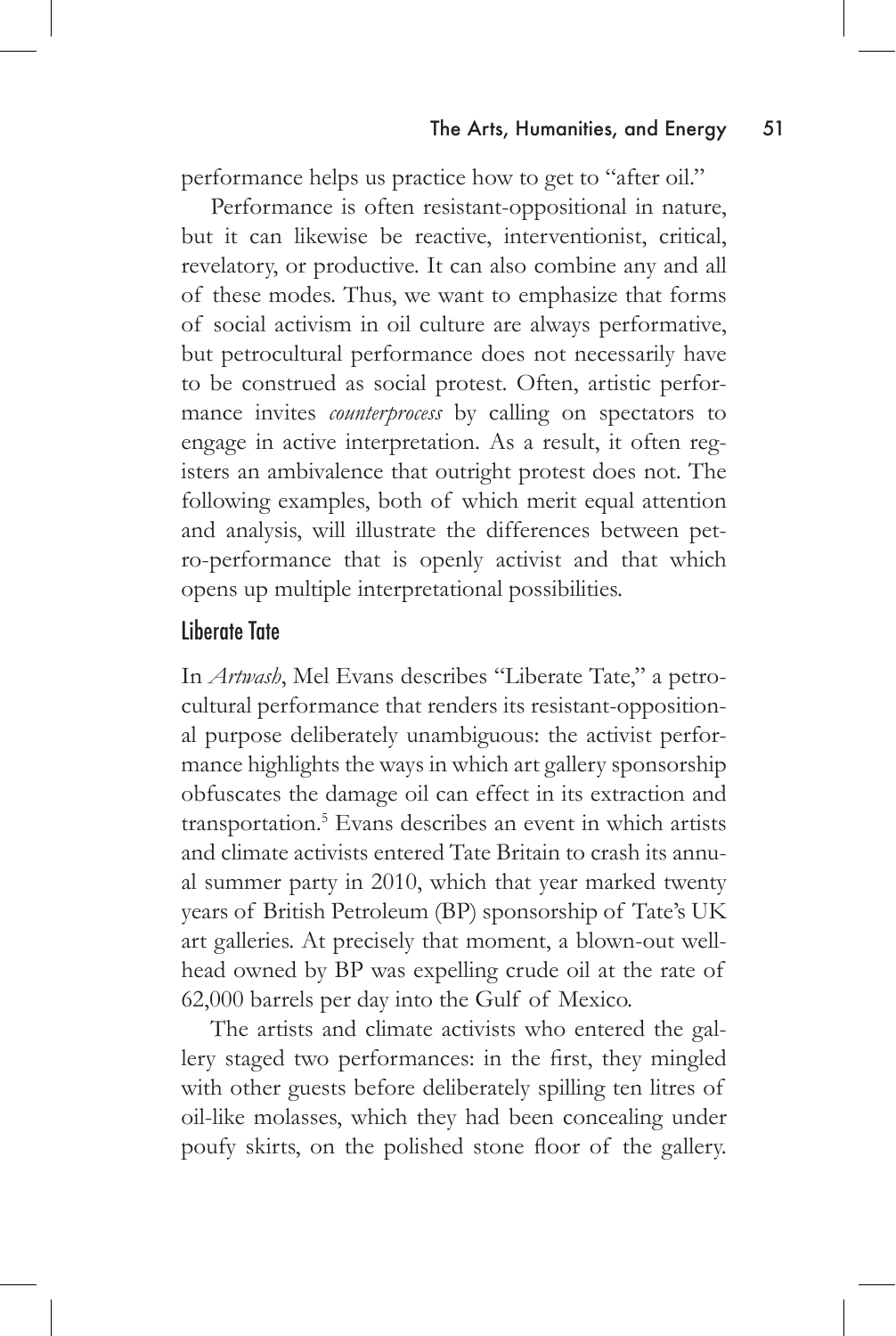performance helps us practice how to get to "after oil."

Performance is often resistant-oppositional in nature, but it can likewise be reactive, interventionist, critical, revelatory, or productive. It can also combine any and all of these modes. Thus, we want to emphasize that forms of social activism in oil culture are always performative, but petrocultural performance does not necessarily have to be construed as social protest. Often, artistic performance invites *counterprocess* by calling on spectators to engage in active interpretation. As a result, it often registers an ambivalence that outright protest does not. The following examples, both of which merit equal attention and analysis, will illustrate the differences between petro-performance that is openly activist and that which opens up multiple interpretational possibilities.

#### Liberate Tate

In *Artwash*, Mel Evans describes "Liberate Tate," a petrocultural performance that renders its resistant-oppositional purpose deliberately unambiguous: the activist performance highlights the ways in which art gallery sponsorship obfuscates the damage oil can effect in its extraction and transportation.5 Evans describes an event in which artists and climate activists entered Tate Britain to crash its annual summer party in 2010, which that year marked twenty years of British Petroleum (BP) sponsorship of Tate's UK art galleries. At precisely that moment, a blown-out wellhead owned by BP was expelling crude oil at the rate of 62,000 barrels per day into the Gulf of Mexico.

The artists and climate activists who entered the gallery staged two performances: in the first, they mingled with other guests before deliberately spilling ten litres of oil-like molasses, which they had been concealing under poufy skirts, on the polished stone floor of the gallery.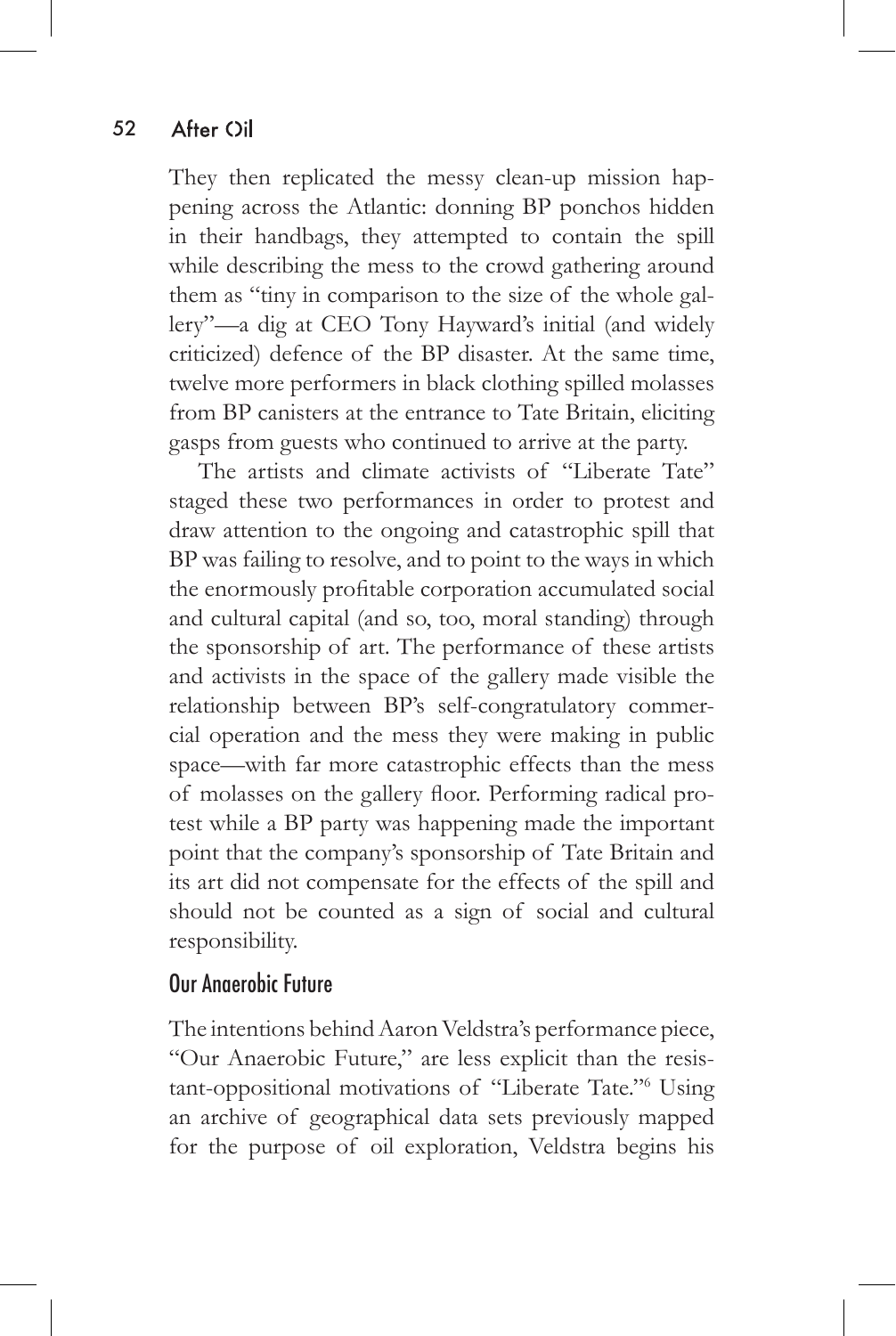They then replicated the messy clean-up mission happening across the Atlantic: donning BP ponchos hidden in their handbags, they attempted to contain the spill while describing the mess to the crowd gathering around them as "tiny in comparison to the size of the whole gallery"—a dig at CEO Tony Hayward's initial (and widely criticized) defence of the BP disaster. At the same time, twelve more performers in black clothing spilled molasses from BP canisters at the entrance to Tate Britain, eliciting gasps from guests who continued to arrive at the party.

The artists and climate activists of "Liberate Tate" staged these two performances in order to protest and draw attention to the ongoing and catastrophic spill that BP was failing to resolve, and to point to the ways in which the enormously profitable corporation accumulated social and cultural capital (and so, too, moral standing) through the sponsorship of art. The performance of these artists and activists in the space of the gallery made visible the relationship between BP's self-congratulatory commercial operation and the mess they were making in public space—with far more catastrophic effects than the mess of molasses on the gallery floor. Performing radical protest while a BP party was happening made the important point that the company's sponsorship of Tate Britain and its art did not compensate for the effects of the spill and should not be counted as a sign of social and cultural responsibility.

#### Our Anaerobic Future

The intentions behind Aaron Veldstra's performance piece, "Our Anaerobic Future," are less explicit than the resistant-oppositional motivations of "Liberate Tate."6 Using an archive of geographical data sets previously mapped for the purpose of oil exploration, Veldstra begins his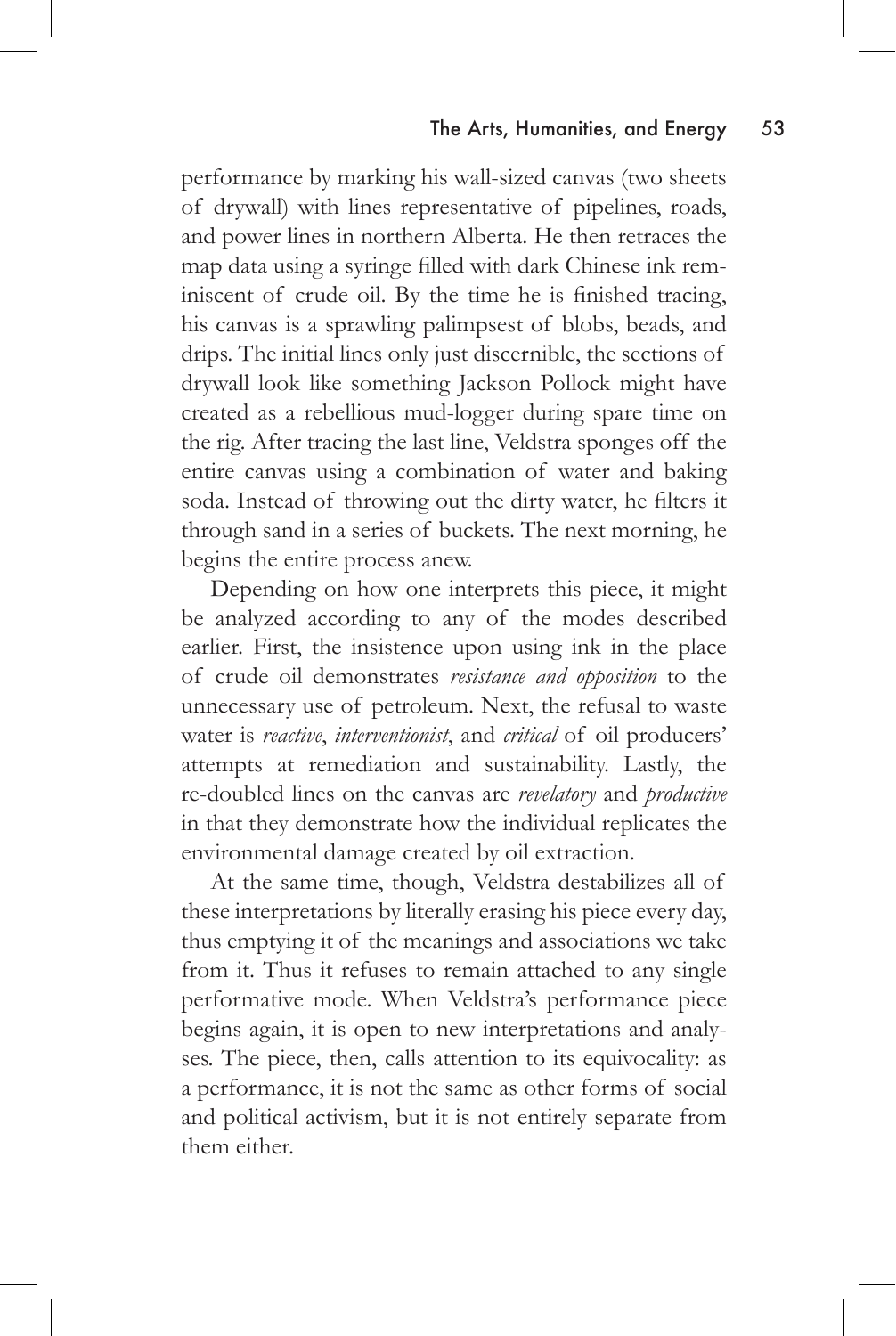#### The Arts, Humanities, and Energy 53

performance by marking his wall-sized canvas (two sheets of drywall) with lines representative of pipelines, roads, and power lines in northern Alberta. He then retraces the map data using a syringe filled with dark Chinese ink reminiscent of crude oil. By the time he is finished tracing, his canvas is a sprawling palimpsest of blobs, beads, and drips. The initial lines only just discernible, the sections of drywall look like something Jackson Pollock might have created as a rebellious mud-logger during spare time on the rig. After tracing the last line, Veldstra sponges off the entire canvas using a combination of water and baking soda. Instead of throwing out the dirty water, he filters it through sand in a series of buckets. The next morning, he begins the entire process anew.

Depending on how one interprets this piece, it might be analyzed according to any of the modes described earlier. First, the insistence upon using ink in the place of crude oil demonstrates *resistance and opposition* to the unnecessary use of petroleum. Next, the refusal to waste water is *reactive*, *interventionist*, and *critical* of oil producers' attempts at remediation and sustainability. Lastly, the re-doubled lines on the canvas are *revelatory* and *productive* in that they demonstrate how the individual replicates the environmental damage created by oil extraction.

At the same time, though, Veldstra destabilizes all of these interpretations by literally erasing his piece every day, thus emptying it of the meanings and associations we take from it. Thus it refuses to remain attached to any single performative mode. When Veldstra's performance piece begins again, it is open to new interpretations and analyses. The piece, then, calls attention to its equivocality: as a performance, it is not the same as other forms of social and political activism, but it is not entirely separate from them either.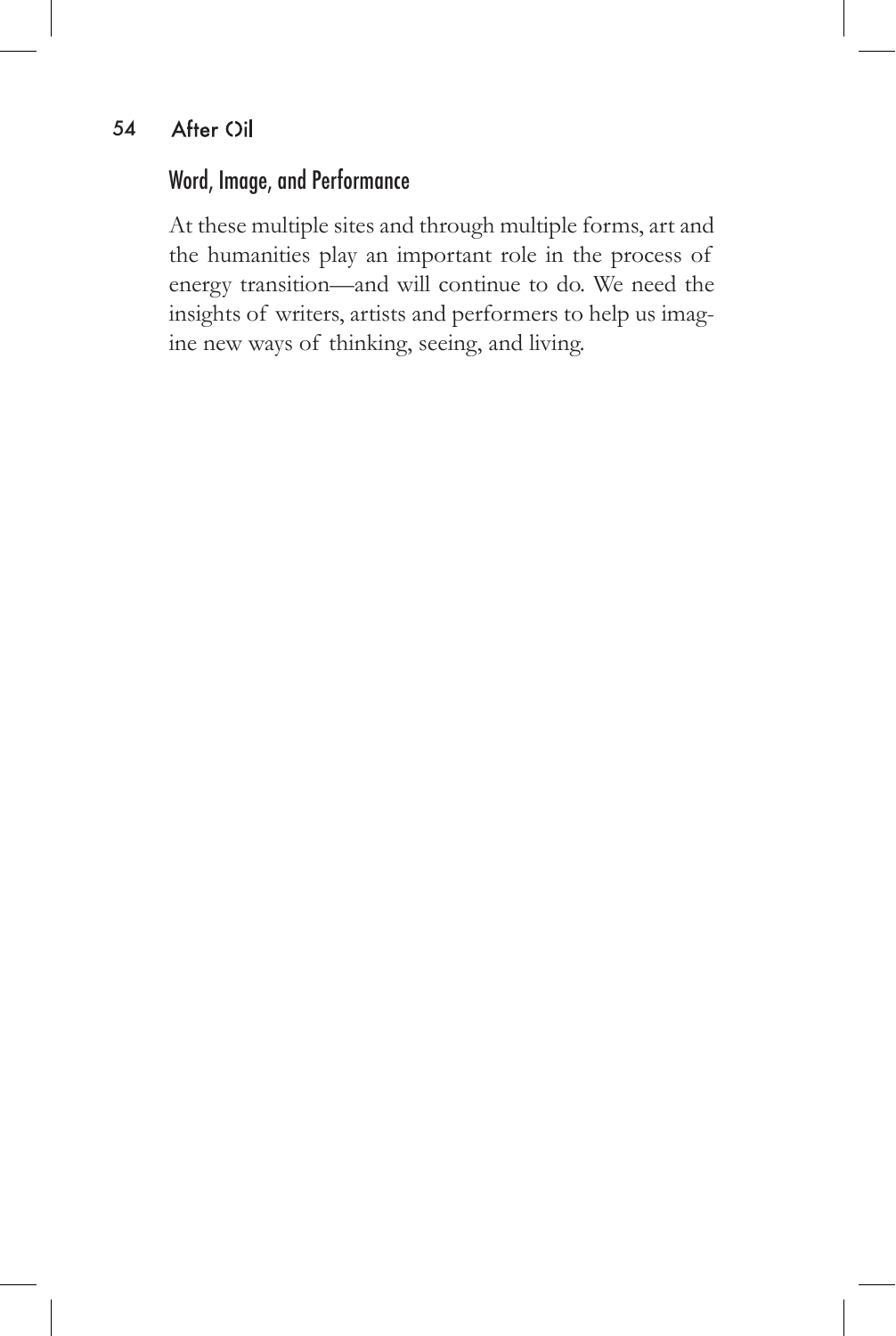## Word, Image, and Performance

At these multiple sites and through multiple forms, art and the humanities play an important role in the process of energy transition—and will continue to do. We need the insights of writers, artists and performers to help us imagine new ways of thinking, seeing, and living.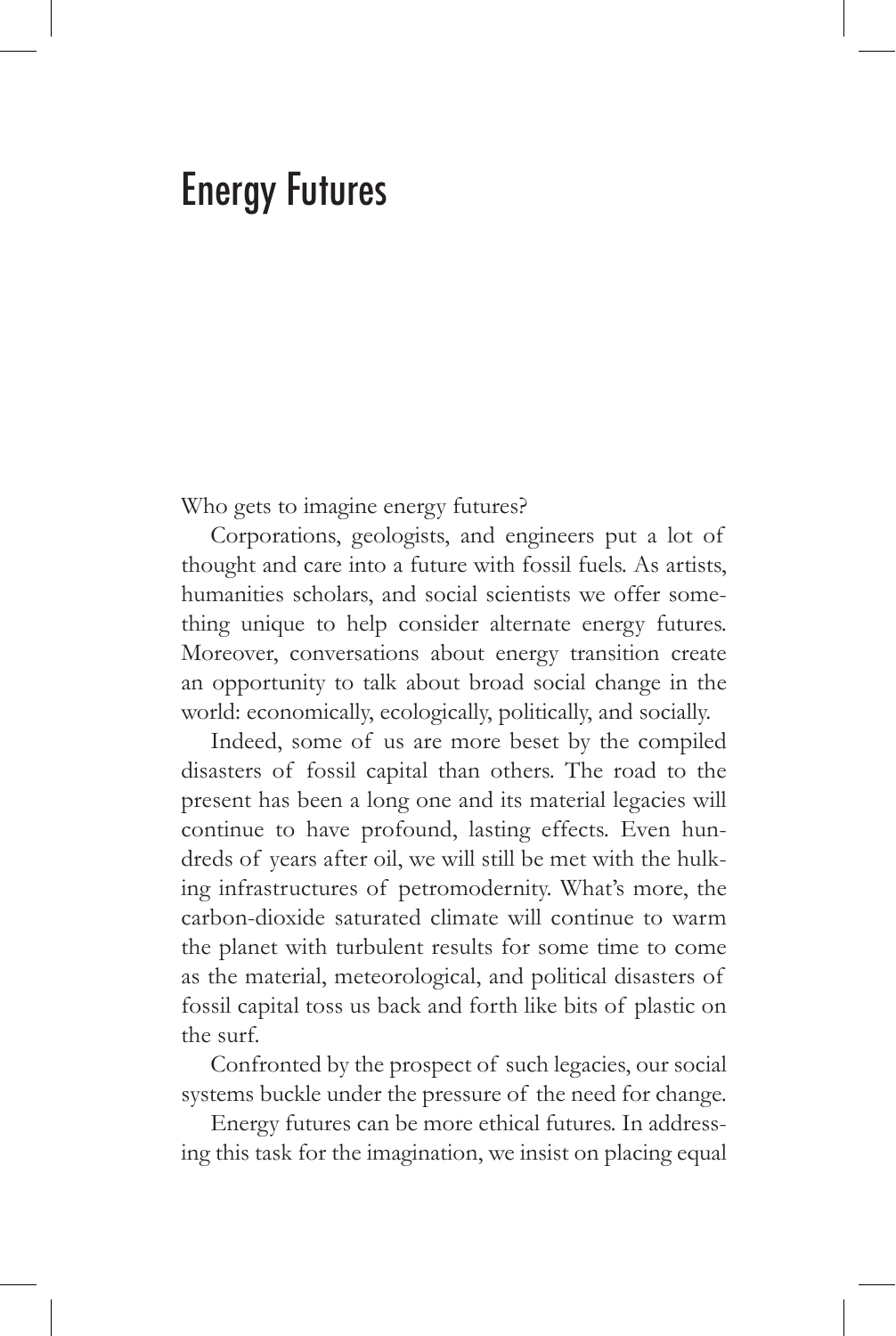# Energy Futures

Who gets to imagine energy futures?

Corporations, geologists, and engineers put a lot of thought and care into a future with fossil fuels. As artists, humanities scholars, and social scientists we offer something unique to help consider alternate energy futures. Moreover, conversations about energy transition create an opportunity to talk about broad social change in the world: economically, ecologically, politically, and socially.

Indeed, some of us are more beset by the compiled disasters of fossil capital than others. The road to the present has been a long one and its material legacies will continue to have profound, lasting effects. Even hundreds of years after oil, we will still be met with the hulking infrastructures of petromodernity. What's more, the carbon-dioxide saturated climate will continue to warm the planet with turbulent results for some time to come as the material, meteorological, and political disasters of fossil capital toss us back and forth like bits of plastic on the surf.

Confronted by the prospect of such legacies, our social systems buckle under the pressure of the need for change.

Energy futures can be more ethical futures. In addressing this task for the imagination, we insist on placing equal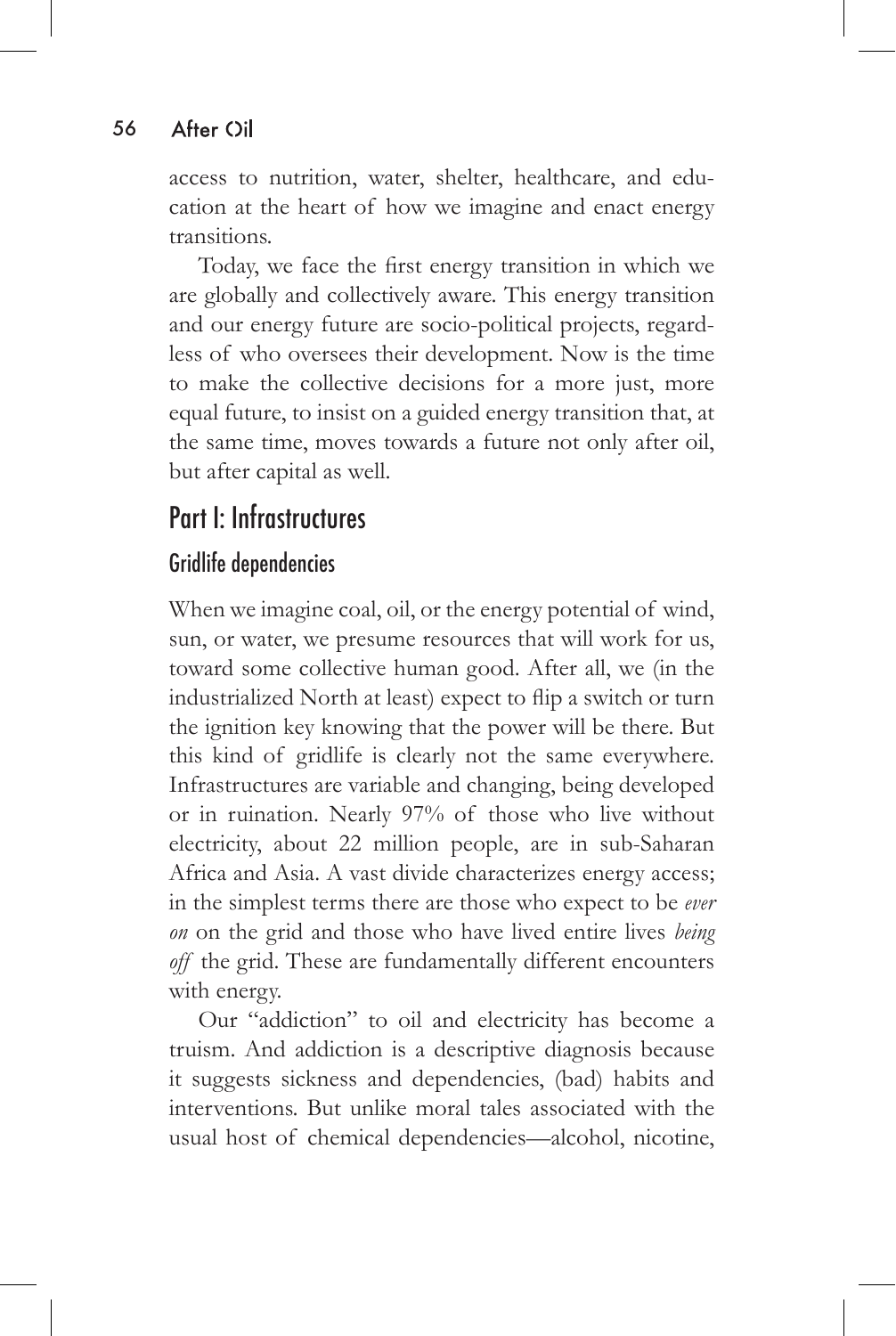access to nutrition, water, shelter, healthcare, and education at the heart of how we imagine and enact energy transitions.

Today, we face the first energy transition in which we are globally and collectively aware. This energy transition and our energy future are socio-political projects, regardless of who oversees their development. Now is the time to make the collective decisions for a more just, more equal future, to insist on a guided energy transition that, at the same time, moves towards a future not only after oil, but after capital as well.

# Part I: Infrastructures

## Gridlife dependencies

When we imagine coal, oil, or the energy potential of wind, sun, or water, we presume resources that will work for us, toward some collective human good. After all, we (in the industrialized North at least) expect to flip a switch or turn the ignition key knowing that the power will be there. But this kind of gridlife is clearly not the same everywhere. Infrastructures are variable and changing, being developed or in ruination. Nearly 97% of those who live without electricity, about 22 million people, are in sub-Saharan Africa and Asia. A vast divide characterizes energy access; in the simplest terms there are those who expect to be *ever on* on the grid and those who have lived entire lives *being off* the grid. These are fundamentally different encounters with energy.

Our "addiction" to oil and electricity has become a truism. And addiction is a descriptive diagnosis because it suggests sickness and dependencies, (bad) habits and interventions. But unlike moral tales associated with the usual host of chemical dependencies—alcohol, nicotine,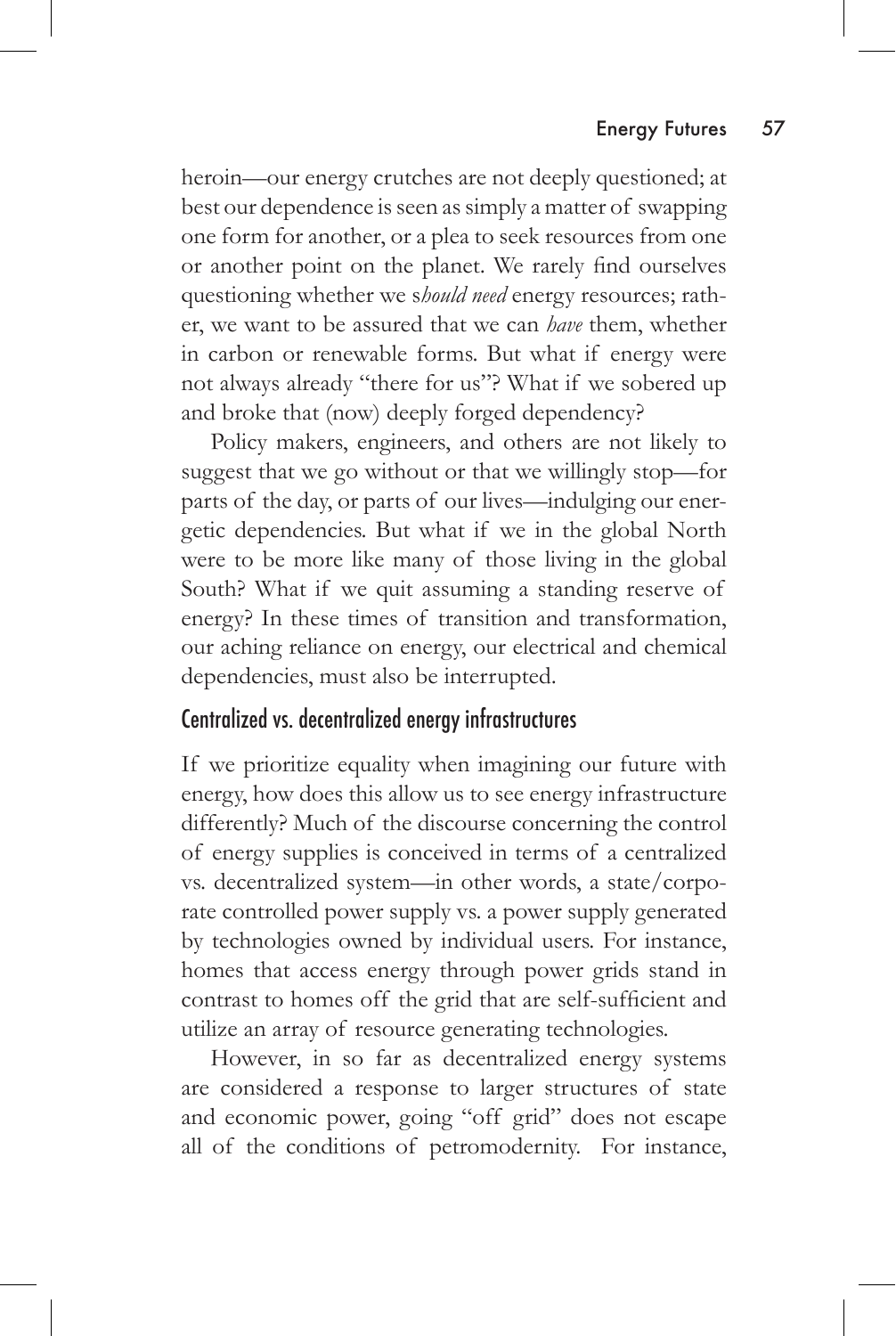#### Energy Futures 57

heroin—our energy crutches are not deeply questioned; at best our dependence is seen as simply a matter of swapping one form for another, or a plea to seek resources from one or another point on the planet. We rarely find ourselves questioning whether we s*hould need* energy resources; rather, we want to be assured that we can *have* them, whether in carbon or renewable forms. But what if energy were not always already "there for us"? What if we sobered up and broke that (now) deeply forged dependency?

Policy makers, engineers, and others are not likely to suggest that we go without or that we willingly stop—for parts of the day, or parts of our lives—indulging our energetic dependencies. But what if we in the global North were to be more like many of those living in the global South? What if we quit assuming a standing reserve of energy? In these times of transition and transformation, our aching reliance on energy, our electrical and chemical dependencies, must also be interrupted.

## Centralized vs. decentralized energy infrastructures

If we prioritize equality when imagining our future with energy, how does this allow us to see energy infrastructure differently? Much of the discourse concerning the control of energy supplies is conceived in terms of a centralized vs. decentralized system—in other words, a state/corporate controlled power supply vs. a power supply generated by technologies owned by individual users. For instance, homes that access energy through power grids stand in contrast to homes off the grid that are self-sufficient and utilize an array of resource generating technologies.

However, in so far as decentralized energy systems are considered a response to larger structures of state and economic power, going "off grid" does not escape all of the conditions of petromodernity. For instance,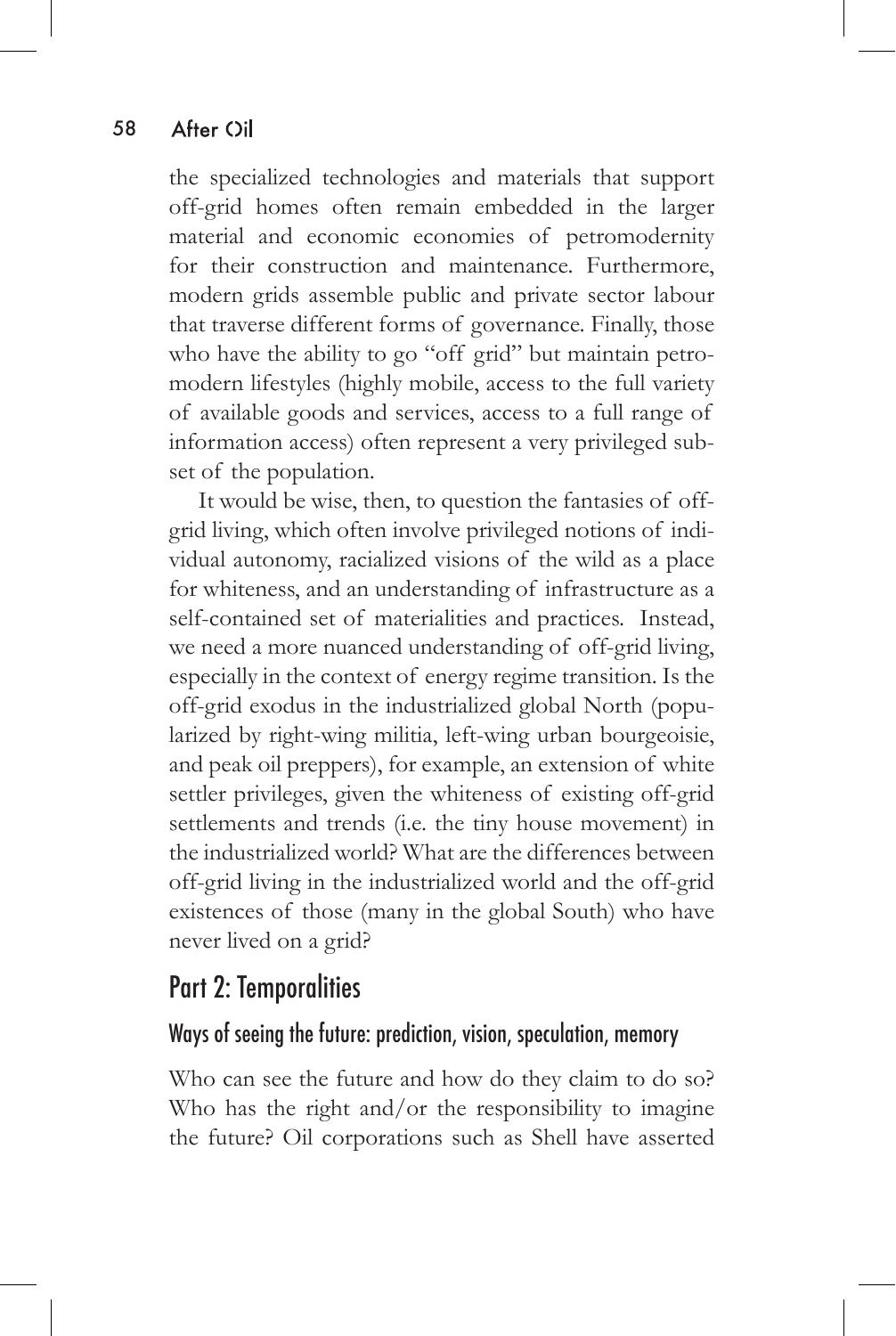the specialized technologies and materials that support off-grid homes often remain embedded in the larger material and economic economies of petromodernity for their construction and maintenance. Furthermore, modern grids assemble public and private sector labour that traverse different forms of governance. Finally, those who have the ability to go "off grid" but maintain petromodern lifestyles (highly mobile, access to the full variety of available goods and services, access to a full range of information access) often represent a very privileged subset of the population.

It would be wise, then, to question the fantasies of offgrid living, which often involve privileged notions of individual autonomy, racialized visions of the wild as a place for whiteness, and an understanding of infrastructure as a self-contained set of materialities and practices. Instead, we need a more nuanced understanding of off-grid living, especially in the context of energy regime transition. Is the off-grid exodus in the industrialized global North (popularized by right-wing militia, left-wing urban bourgeoisie, and peak oil preppers), for example, an extension of white settler privileges, given the whiteness of existing off-grid settlements and trends (i.e. the tiny house movement) in the industrialized world? What are the differences between off-grid living in the industrialized world and the off-grid existences of those (many in the global South) who have never lived on a grid?

## Part 2: Temporalities

## Ways of seeing the future: prediction, vision, speculation, memory

Who can see the future and how do they claim to do so? Who has the right and/or the responsibility to imagine the future? Oil corporations such as Shell have asserted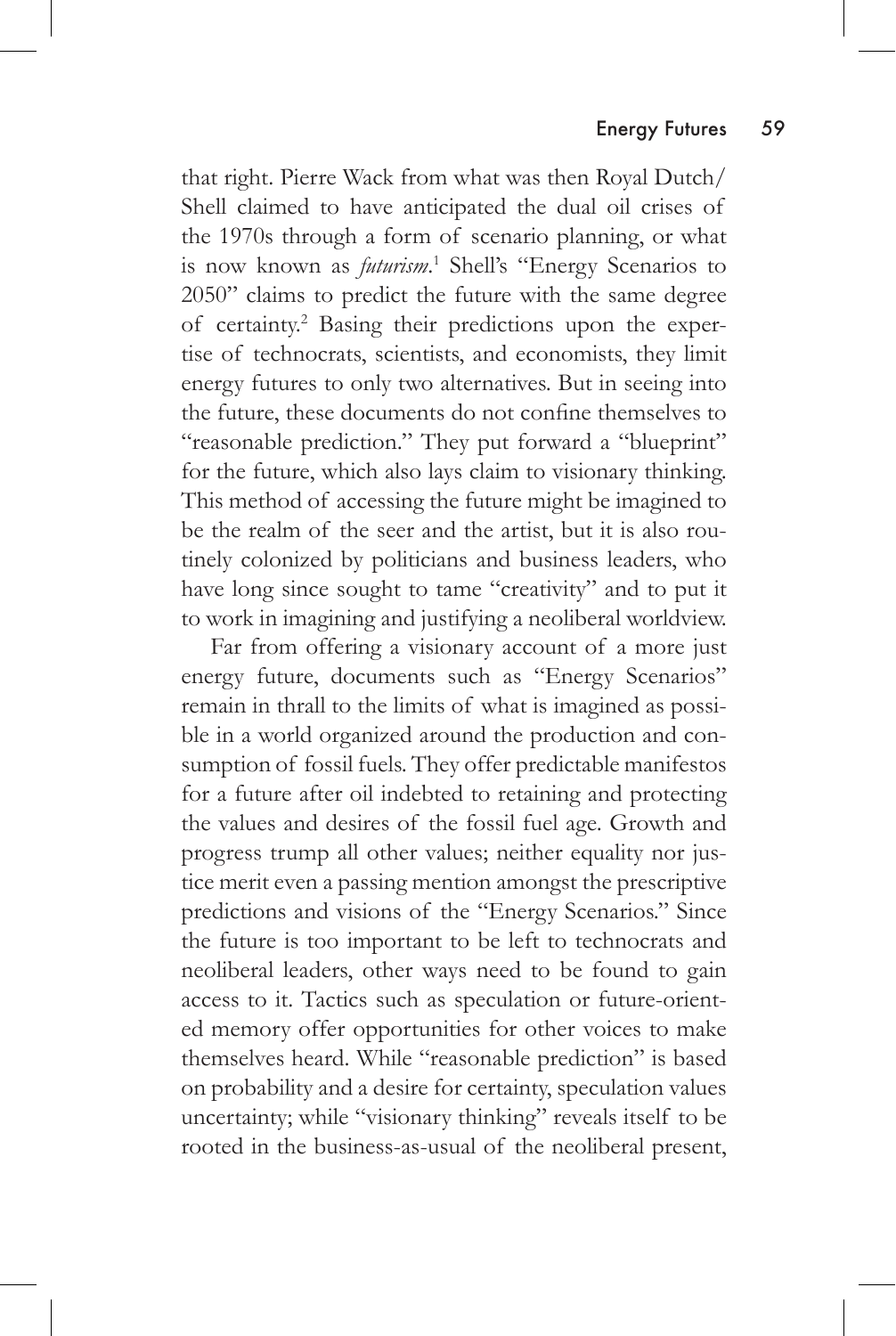that right. Pierre Wack from what was then Royal Dutch/ Shell claimed to have anticipated the dual oil crises of the 1970s through a form of scenario planning, or what is now known as *futurism*.<sup>1</sup> Shell's "Energy Scenarios to 2050" claims to predict the future with the same degree of certainty.2 Basing their predictions upon the expertise of technocrats, scientists, and economists, they limit energy futures to only two alternatives. But in seeing into the future, these documents do not confine themselves to "reasonable prediction." They put forward a "blueprint" for the future, which also lays claim to visionary thinking. This method of accessing the future might be imagined to be the realm of the seer and the artist, but it is also routinely colonized by politicians and business leaders, who have long since sought to tame "creativity" and to put it to work in imagining and justifying a neoliberal worldview.

Far from offering a visionary account of a more just energy future, documents such as "Energy Scenarios" remain in thrall to the limits of what is imagined as possible in a world organized around the production and consumption of fossil fuels. They offer predictable manifestos for a future after oil indebted to retaining and protecting the values and desires of the fossil fuel age. Growth and progress trump all other values; neither equality nor justice merit even a passing mention amongst the prescriptive predictions and visions of the "Energy Scenarios." Since the future is too important to be left to technocrats and neoliberal leaders, other ways need to be found to gain access to it. Tactics such as speculation or future-oriented memory offer opportunities for other voices to make themselves heard. While "reasonable prediction" is based on probability and a desire for certainty, speculation values uncertainty; while "visionary thinking" reveals itself to be rooted in the business-as-usual of the neoliberal present,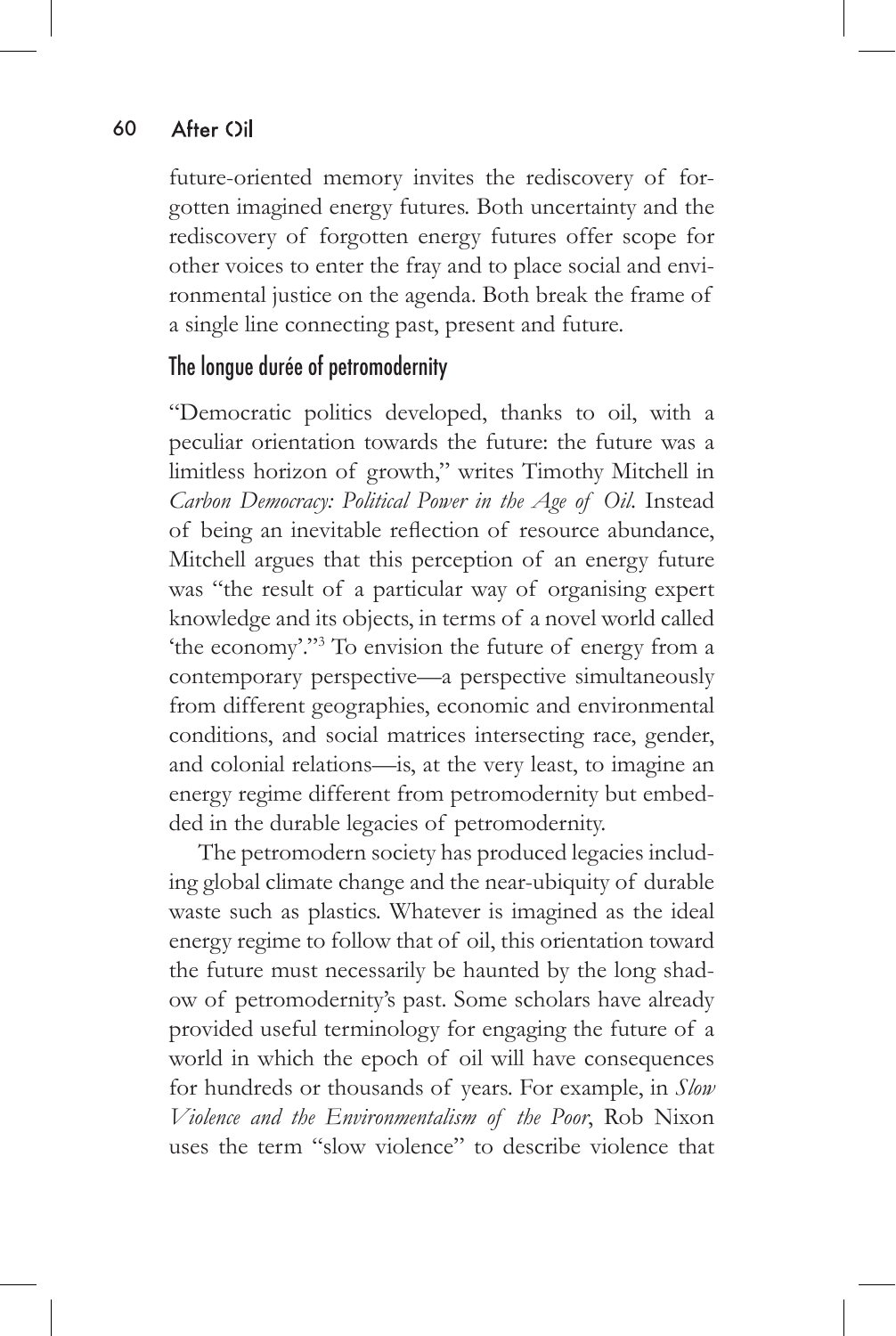future-oriented memory invites the rediscovery of forgotten imagined energy futures. Both uncertainty and the rediscovery of forgotten energy futures offer scope for other voices to enter the fray and to place social and environmental justice on the agenda. Both break the frame of a single line connecting past, present and future.

## The longue durée of petromodernity

"Democratic politics developed, thanks to oil, with a peculiar orientation towards the future: the future was a limitless horizon of growth," writes Timothy Mitchell in *Carbon Democracy: Political Power in the Age of Oil*. Instead of being an inevitable reflection of resource abundance, Mitchell argues that this perception of an energy future was "the result of a particular way of organising expert knowledge and its objects, in terms of a novel world called 'the economy'."<sup>3</sup> To envision the future of energy from a contemporary perspective—a perspective simultaneously from different geographies, economic and environmental conditions, and social matrices intersecting race, gender, and colonial relations—is, at the very least, to imagine an energy regime different from petromodernity but embedded in the durable legacies of petromodernity.

The petromodern society has produced legacies including global climate change and the near-ubiquity of durable waste such as plastics. Whatever is imagined as the ideal energy regime to follow that of oil, this orientation toward the future must necessarily be haunted by the long shadow of petromodernity's past. Some scholars have already provided useful terminology for engaging the future of a world in which the epoch of oil will have consequences for hundreds or thousands of years. For example, in *Slow Violence and the Environmentalism of the Poor*, Rob Nixon uses the term "slow violence" to describe violence that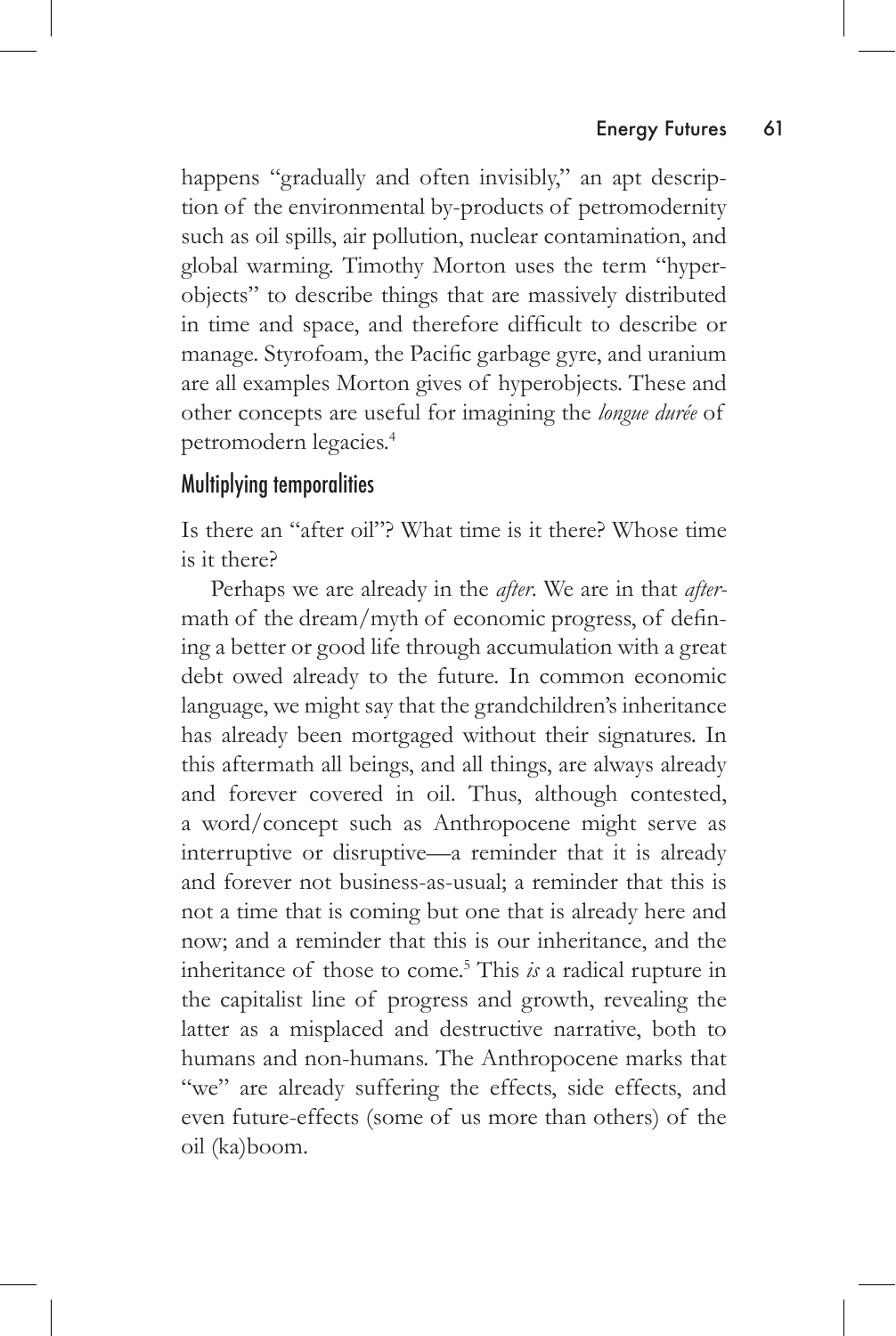happens "gradually and often invisibly," an apt description of the environmental by-products of petromodernity such as oil spills, air pollution, nuclear contamination, and global warming. Timothy Morton uses the term "hyperobjects" to describe things that are massively distributed in time and space, and therefore difficult to describe or manage. Styrofoam, the Pacific garbage gyre, and uranium are all examples Morton gives of hyperobjects. These and other concepts are useful for imagining the *longue durée* of petromodern legacies.4

## Multiplying temporalities

Is there an "after oil"? What time is it there? Whose time is it there?

Perhaps we are already in the *after*. We are in that *after*math of the dream/myth of economic progress, of defining a better or good life through accumulation with a great debt owed already to the future. In common economic language, we might say that the grandchildren's inheritance has already been mortgaged without their signatures. In this aftermath all beings, and all things, are always already and forever covered in oil. Thus, although contested, a word/concept such as Anthropocene might serve as interruptive or disruptive—a reminder that it is already and forever not business-as-usual; a reminder that this is not a time that is coming but one that is already here and now; and a reminder that this is our inheritance, and the inheritance of those to come.5 This *is* a radical rupture in the capitalist line of progress and growth, revealing the latter as a misplaced and destructive narrative, both to humans and non-humans. The Anthropocene marks that "we" are already suffering the effects, side effects, and even future-effects (some of us more than others) of the oil (ka)boom.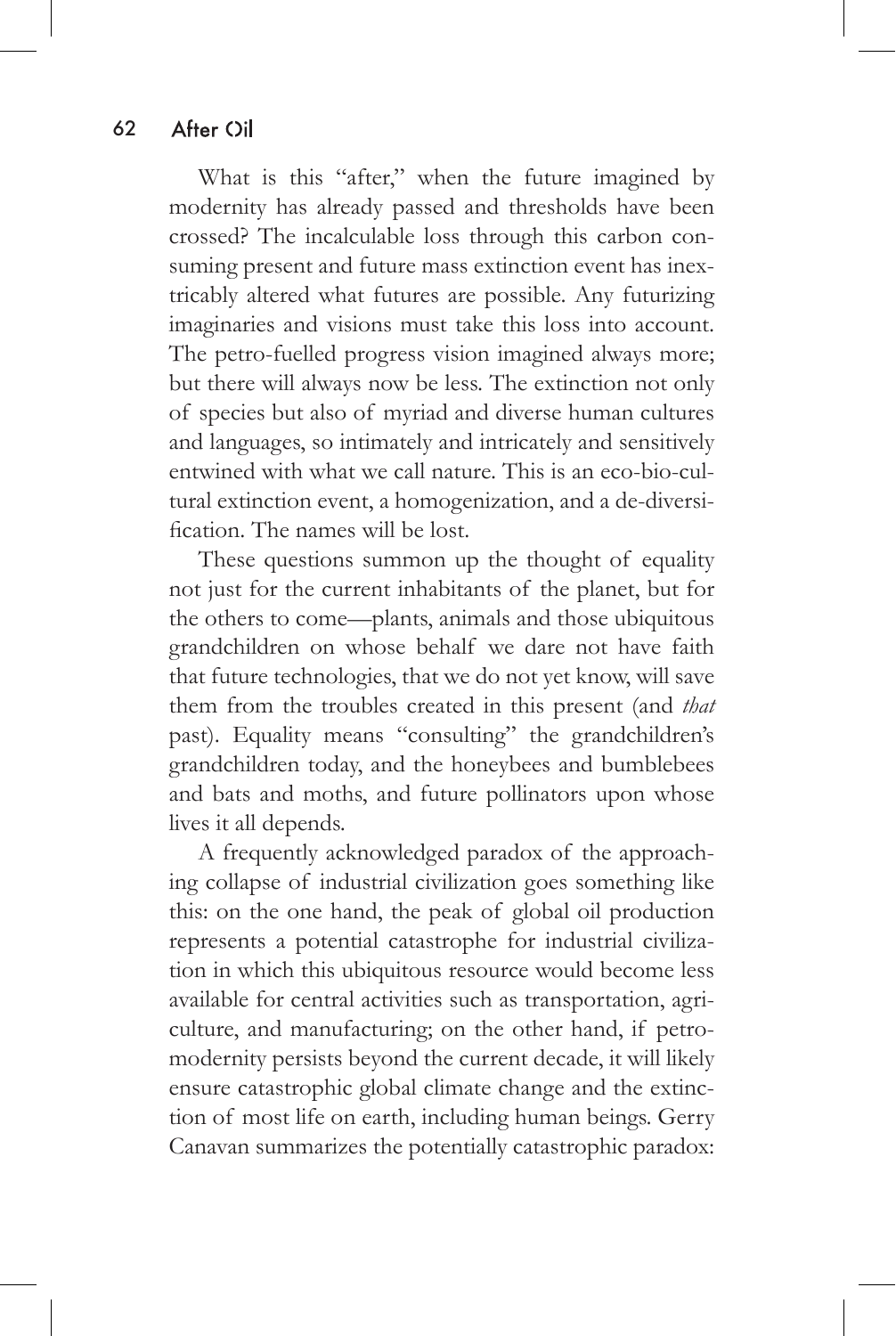What is this "after," when the future imagined by modernity has already passed and thresholds have been crossed? The incalculable loss through this carbon consuming present and future mass extinction event has inextricably altered what futures are possible. Any futurizing imaginaries and visions must take this loss into account. The petro-fuelled progress vision imagined always more; but there will always now be less. The extinction not only of species but also of myriad and diverse human cultures and languages, so intimately and intricately and sensitively entwined with what we call nature. This is an eco-bio-cultural extinction event, a homogenization, and a de-diversification. The names will be lost.

These questions summon up the thought of equality not just for the current inhabitants of the planet, but for the others to come—plants, animals and those ubiquitous grandchildren on whose behalf we dare not have faith that future technologies, that we do not yet know, will save them from the troubles created in this present (and *that* past). Equality means "consulting" the grandchildren's grandchildren today, and the honeybees and bumblebees and bats and moths, and future pollinators upon whose lives it all depends.

A frequently acknowledged paradox of the approaching collapse of industrial civilization goes something like this: on the one hand, the peak of global oil production represents a potential catastrophe for industrial civilization in which this ubiquitous resource would become less available for central activities such as transportation, agriculture, and manufacturing; on the other hand, if petromodernity persists beyond the current decade, it will likely ensure catastrophic global climate change and the extinction of most life on earth, including human beings. Gerry Canavan summarizes the potentially catastrophic paradox: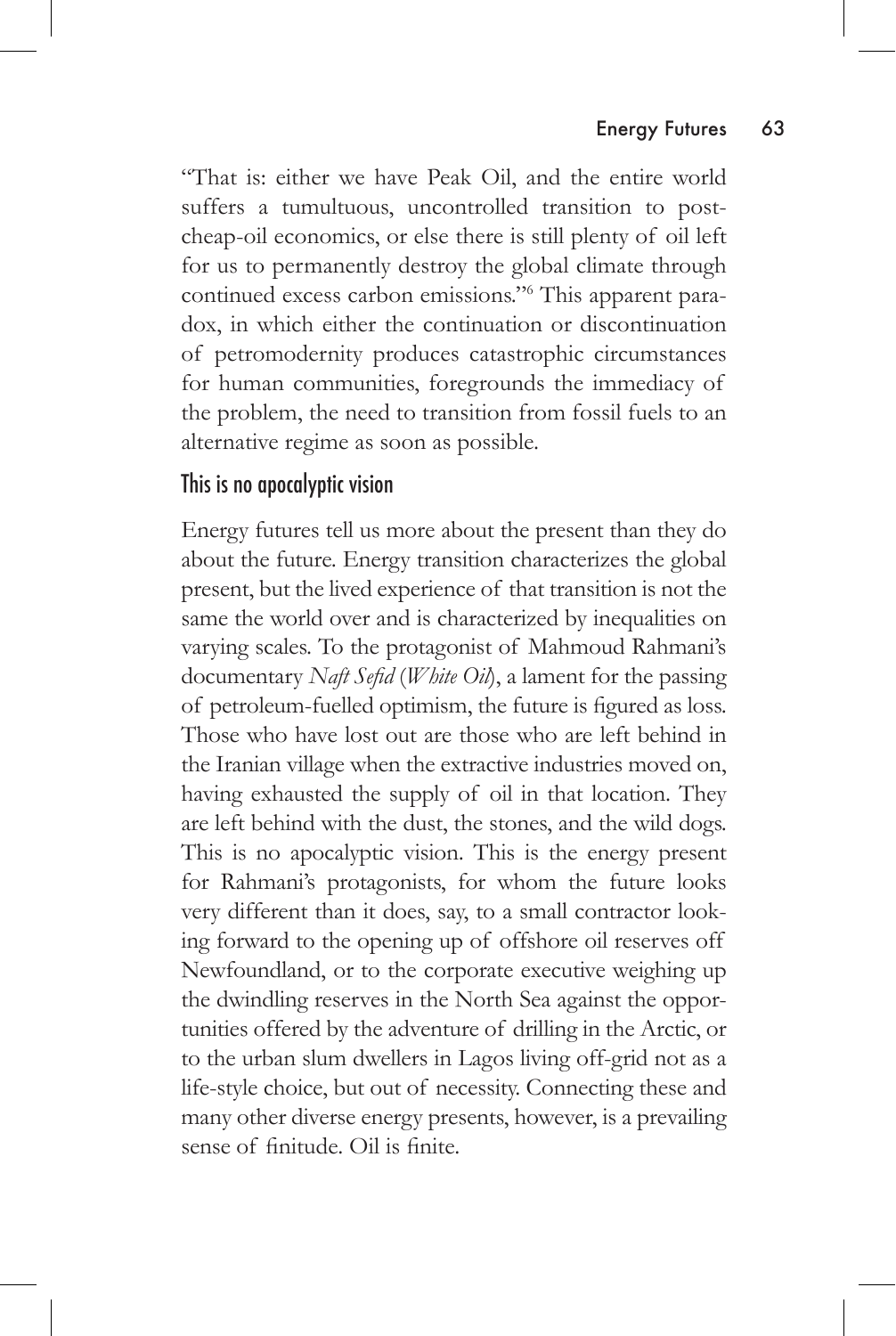"That is: either we have Peak Oil, and the entire world suffers a tumultuous, uncontrolled transition to postcheap-oil economics, or else there is still plenty of oil left for us to permanently destroy the global climate through continued excess carbon emissions."6 This apparent paradox, in which either the continuation or discontinuation of petromodernity produces catastrophic circumstances for human communities, foregrounds the immediacy of the problem, the need to transition from fossil fuels to an alternative regime as soon as possible.

#### This is no apocalyptic vision

Energy futures tell us more about the present than they do about the future. Energy transition characterizes the global present, but the lived experience of that transition is not the same the world over and is characterized by inequalities on varying scales. To the protagonist of Mahmoud Rahmani's documentary *Naft Sefid* (*White Oil*), a lament for the passing of petroleum-fuelled optimism, the future is figured as loss. Those who have lost out are those who are left behind in the Iranian village when the extractive industries moved on, having exhausted the supply of oil in that location. They are left behind with the dust, the stones, and the wild dogs. This is no apocalyptic vision. This is the energy present for Rahmani's protagonists, for whom the future looks very different than it does, say, to a small contractor looking forward to the opening up of offshore oil reserves off Newfoundland, or to the corporate executive weighing up the dwindling reserves in the North Sea against the opportunities offered by the adventure of drilling in the Arctic, or to the urban slum dwellers in Lagos living off-grid not as a life-style choice, but out of necessity. Connecting these and many other diverse energy presents, however, is a prevailing sense of finitude. Oil is finite.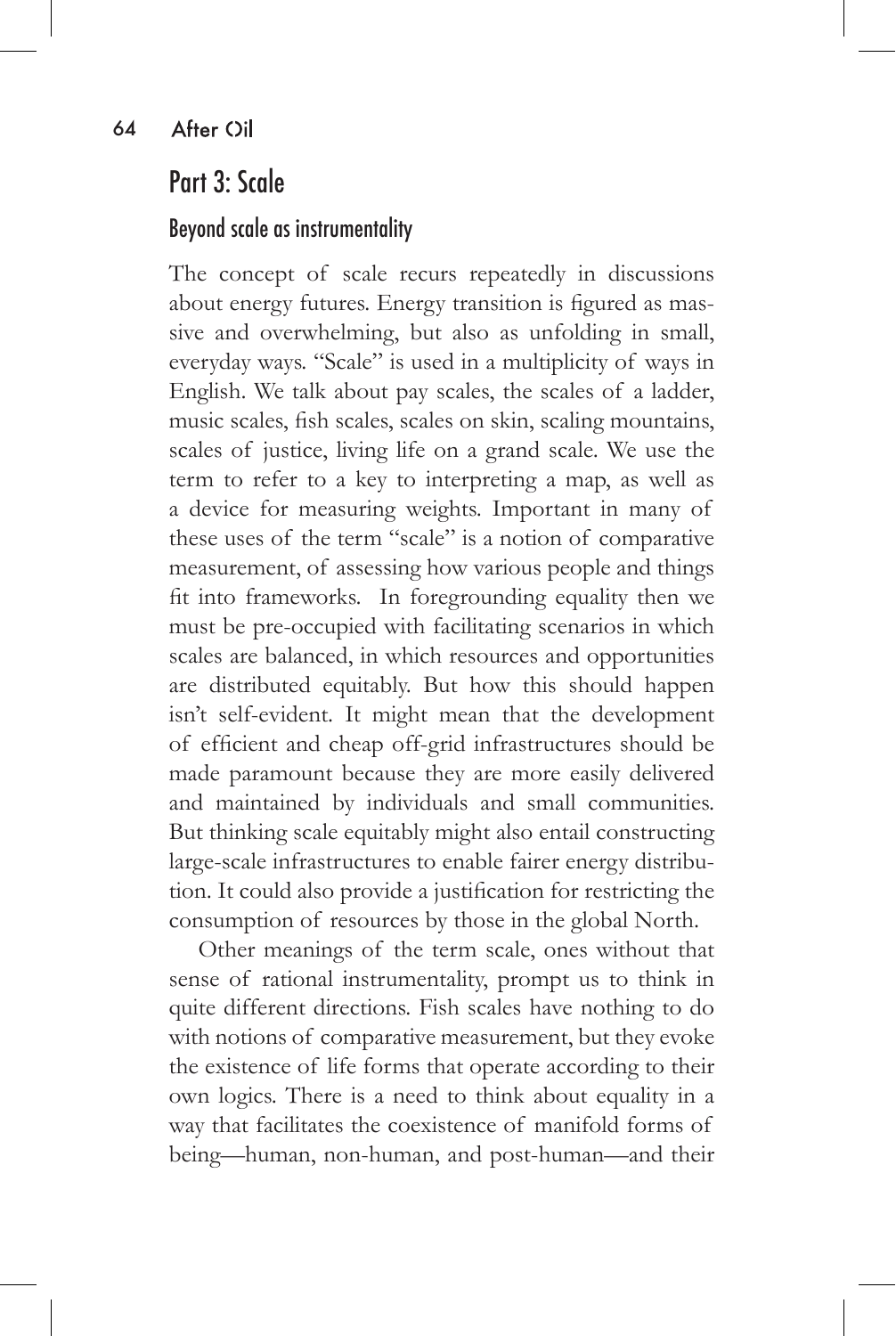# Part 3: Scale

## Beyond scale as instrumentality

The concept of scale recurs repeatedly in discussions about energy futures. Energy transition is figured as massive and overwhelming, but also as unfolding in small, everyday ways. "Scale" is used in a multiplicity of ways in English. We talk about pay scales, the scales of a ladder, music scales, fish scales, scales on skin, scaling mountains, scales of justice, living life on a grand scale. We use the term to refer to a key to interpreting a map, as well as a device for measuring weights. Important in many of these uses of the term "scale" is a notion of comparative measurement, of assessing how various people and things fit into frameworks. In foregrounding equality then we must be pre-occupied with facilitating scenarios in which scales are balanced, in which resources and opportunities are distributed equitably. But how this should happen isn't self-evident. It might mean that the development of efficient and cheap off-grid infrastructures should be made paramount because they are more easily delivered and maintained by individuals and small communities. But thinking scale equitably might also entail constructing large-scale infrastructures to enable fairer energy distribution. It could also provide a justification for restricting the consumption of resources by those in the global North.

Other meanings of the term scale, ones without that sense of rational instrumentality, prompt us to think in quite different directions. Fish scales have nothing to do with notions of comparative measurement, but they evoke the existence of life forms that operate according to their own logics. There is a need to think about equality in a way that facilitates the coexistence of manifold forms of being—human, non-human, and post-human—and their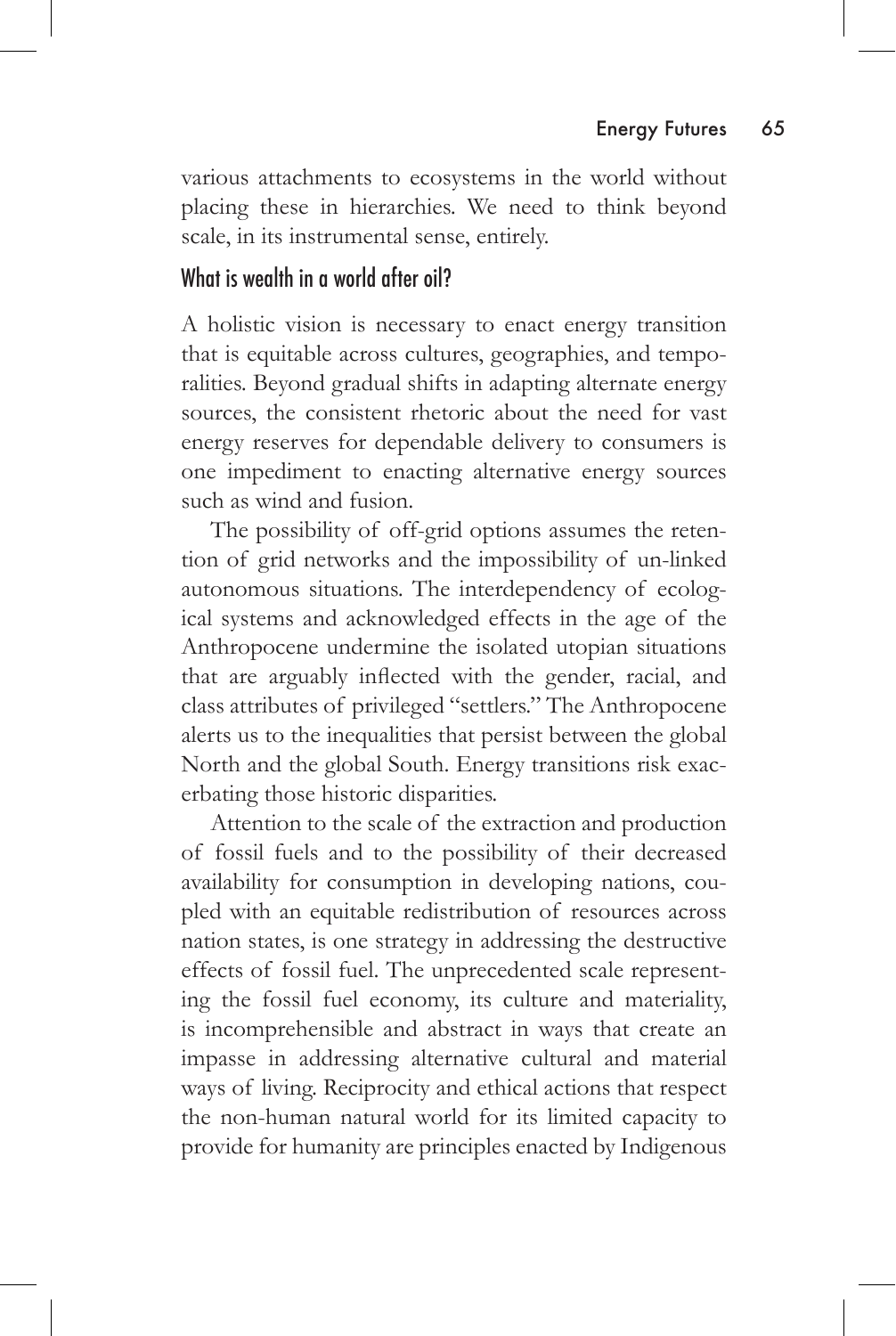various attachments to ecosystems in the world without placing these in hierarchies. We need to think beyond scale, in its instrumental sense, entirely.

## What is wealth in a world after oil?

A holistic vision is necessary to enact energy transition that is equitable across cultures, geographies, and temporalities. Beyond gradual shifts in adapting alternate energy sources, the consistent rhetoric about the need for vast energy reserves for dependable delivery to consumers is one impediment to enacting alternative energy sources such as wind and fusion.

The possibility of off-grid options assumes the retention of grid networks and the impossibility of un-linked autonomous situations. The interdependency of ecological systems and acknowledged effects in the age of the Anthropocene undermine the isolated utopian situations that are arguably inflected with the gender, racial, and class attributes of privileged "settlers." The Anthropocene alerts us to the inequalities that persist between the global North and the global South. Energy transitions risk exacerbating those historic disparities.

Attention to the scale of the extraction and production of fossil fuels and to the possibility of their decreased availability for consumption in developing nations, coupled with an equitable redistribution of resources across nation states, is one strategy in addressing the destructive effects of fossil fuel. The unprecedented scale representing the fossil fuel economy, its culture and materiality, is incomprehensible and abstract in ways that create an impasse in addressing alternative cultural and material ways of living. Reciprocity and ethical actions that respect the non-human natural world for its limited capacity to provide for humanity are principles enacted by Indigenous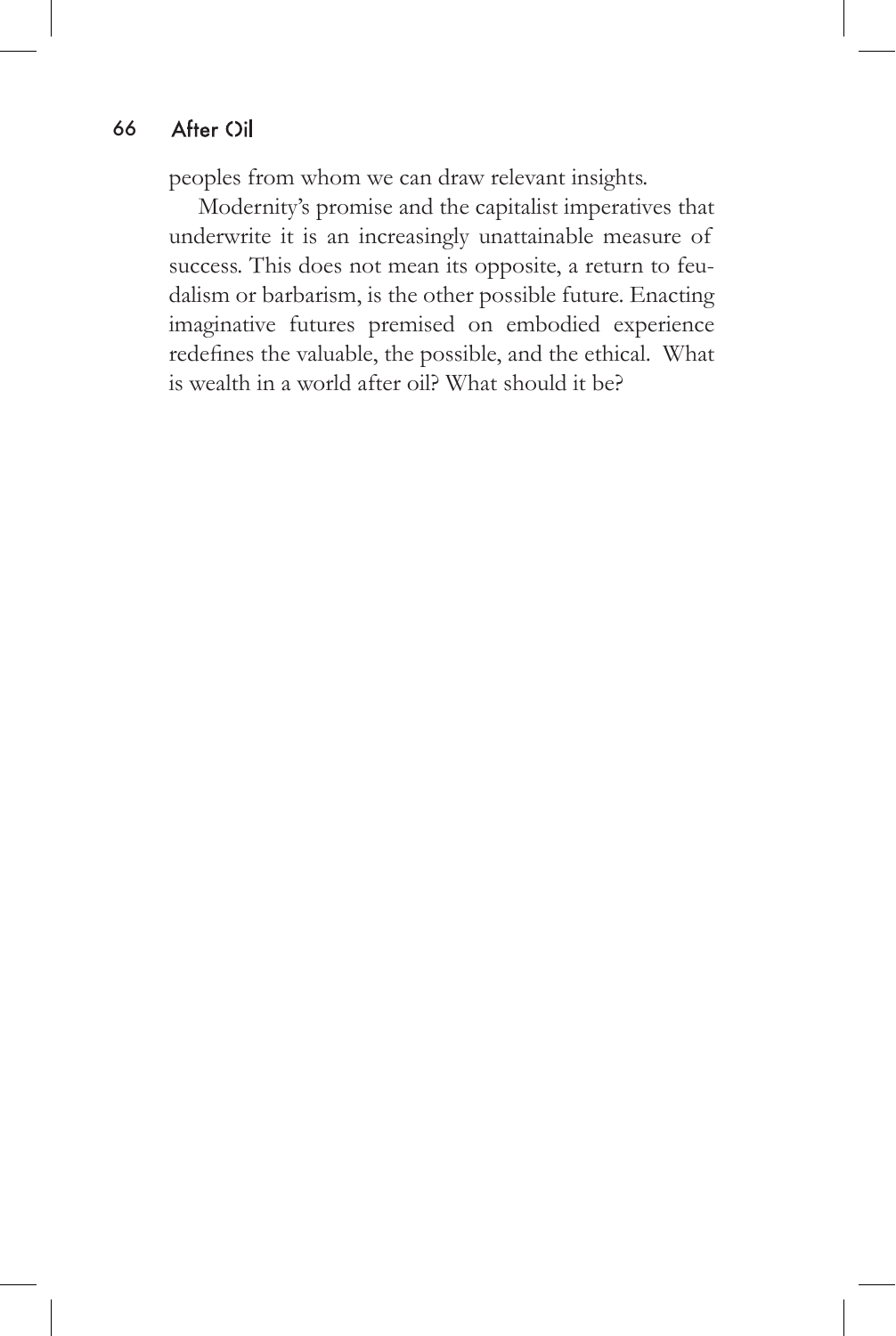peoples from whom we can draw relevant insights.

Modernity's promise and the capitalist imperatives that underwrite it is an increasingly unattainable measure of success. This does not mean its opposite, a return to feudalism or barbarism, is the other possible future. Enacting imaginative futures premised on embodied experience redefines the valuable, the possible, and the ethical. What is wealth in a world after oil? What should it be?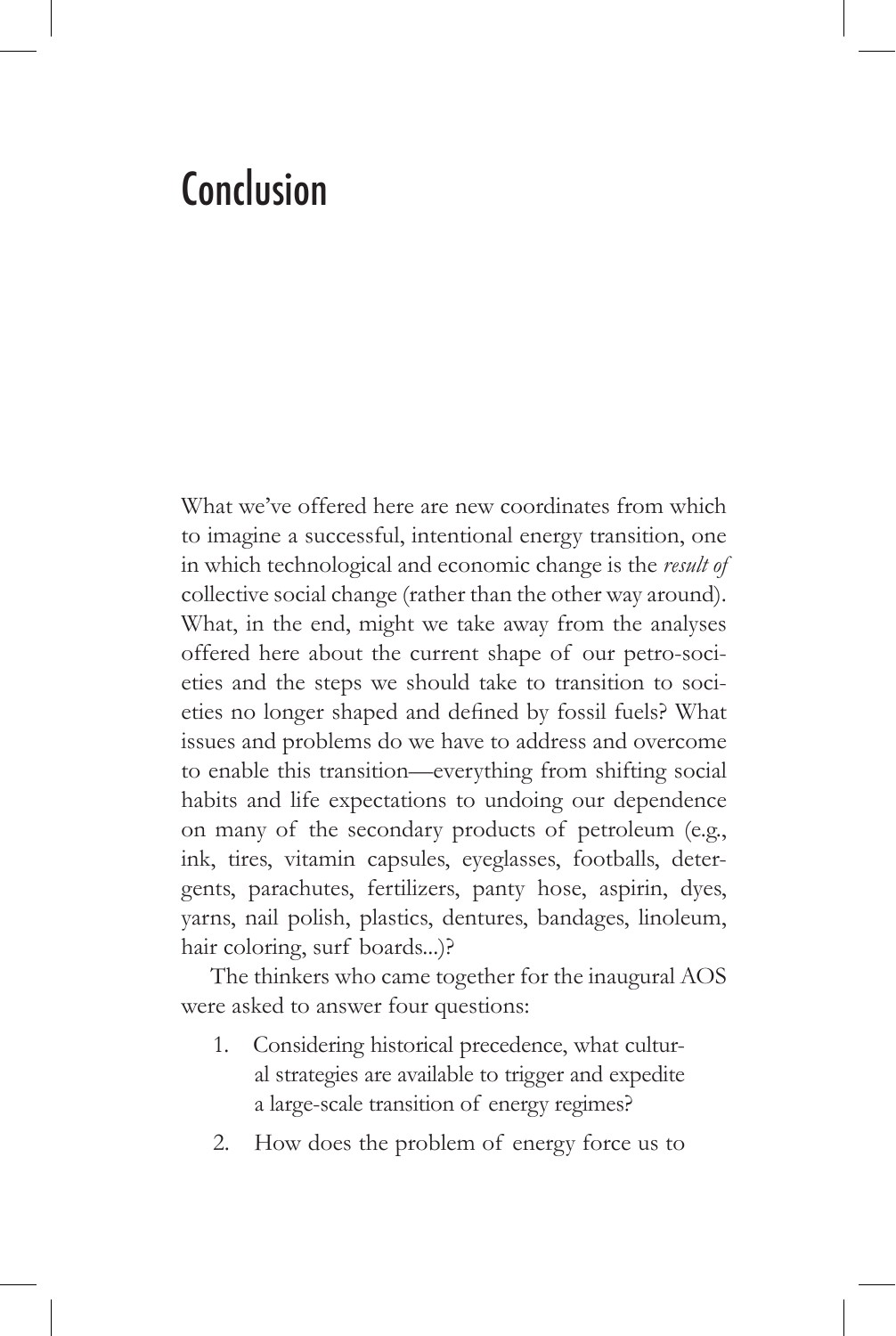# Conclusion

What we've offered here are new coordinates from which to imagine a successful, intentional energy transition, one in which technological and economic change is the *result of* collective social change (rather than the other way around). What, in the end, might we take away from the analyses offered here about the current shape of our petro-societies and the steps we should take to transition to societies no longer shaped and defined by fossil fuels? What issues and problems do we have to address and overcome to enable this transition—everything from shifting social habits and life expectations to undoing our dependence on many of the secondary products of petroleum (e.g., ink, tires, vitamin capsules, eyeglasses, footballs, detergents, parachutes, fertilizers, panty hose, aspirin, dyes, yarns, nail polish, plastics, dentures, bandages, linoleum, hair coloring, surf boards...)?

The thinkers who came together for the inaugural AOS were asked to answer four questions:

- 1. Considering historical precedence, what cultural strategies are available to trigger and expedite a large-scale transition of energy regimes?
- 2. How does the problem of energy force us to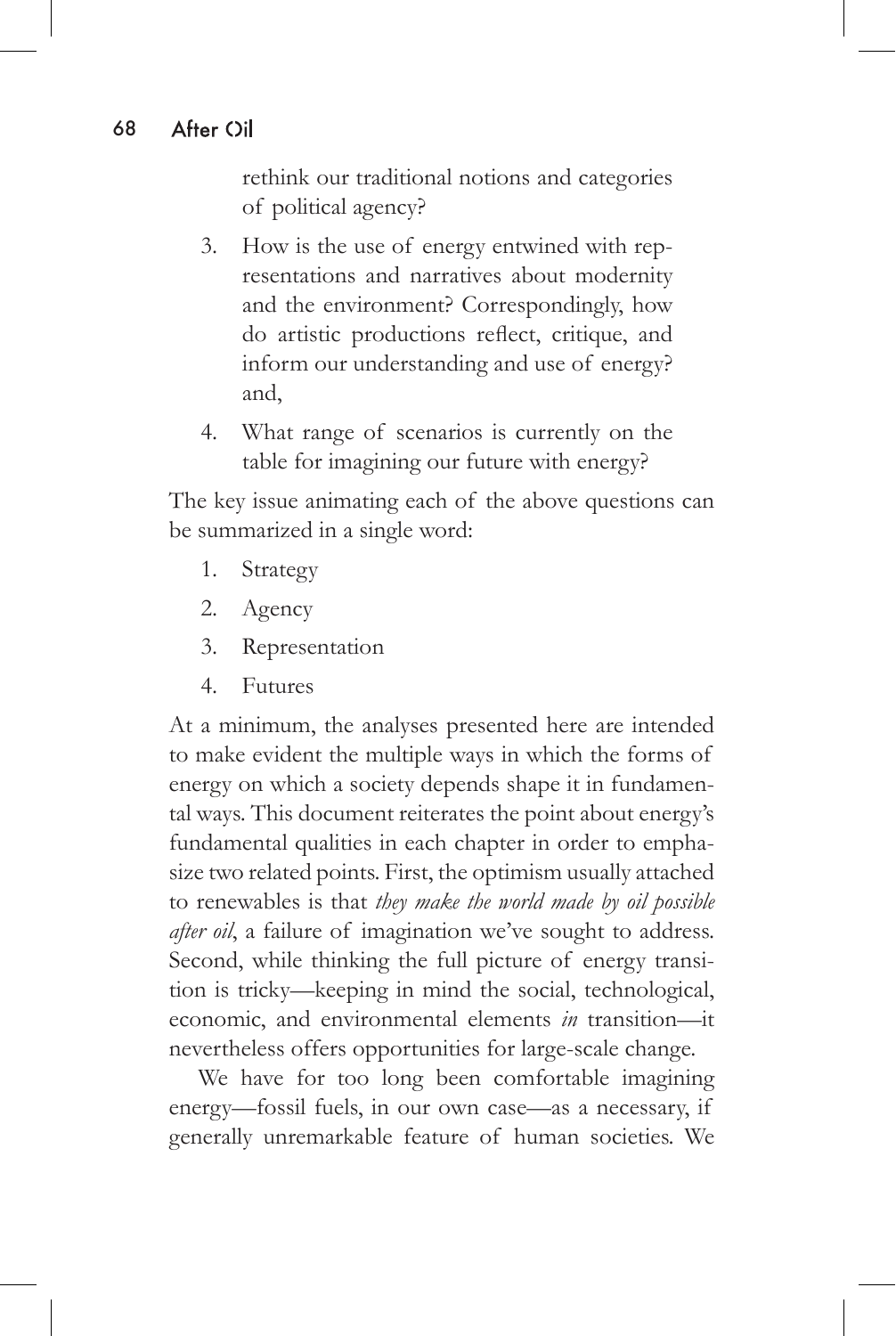rethink our traditional notions and categories of political agency?

- 3. How is the use of energy entwined with representations and narratives about modernity and the environment? Correspondingly, how do artistic productions reflect, critique, and inform our understanding and use of energy? and,
- 4. What range of scenarios is currently on the table for imagining our future with energy?

The key issue animating each of the above questions can be summarized in a single word:

- 1. Strategy
- 2. Agency
- 3. Representation
- 4. Futures

At a minimum, the analyses presented here are intended to make evident the multiple ways in which the forms of energy on which a society depends shape it in fundamental ways. This document reiterates the point about energy's fundamental qualities in each chapter in order to emphasize two related points. First, the optimism usually attached to renewables is that *they make the world made by oil possible after oil*, a failure of imagination we've sought to address. Second, while thinking the full picture of energy transition is tricky—keeping in mind the social, technological, economic, and environmental elements *in* transition—it nevertheless offers opportunities for large-scale change.

We have for too long been comfortable imagining energy—fossil fuels, in our own case—as a necessary, if generally unremarkable feature of human societies. We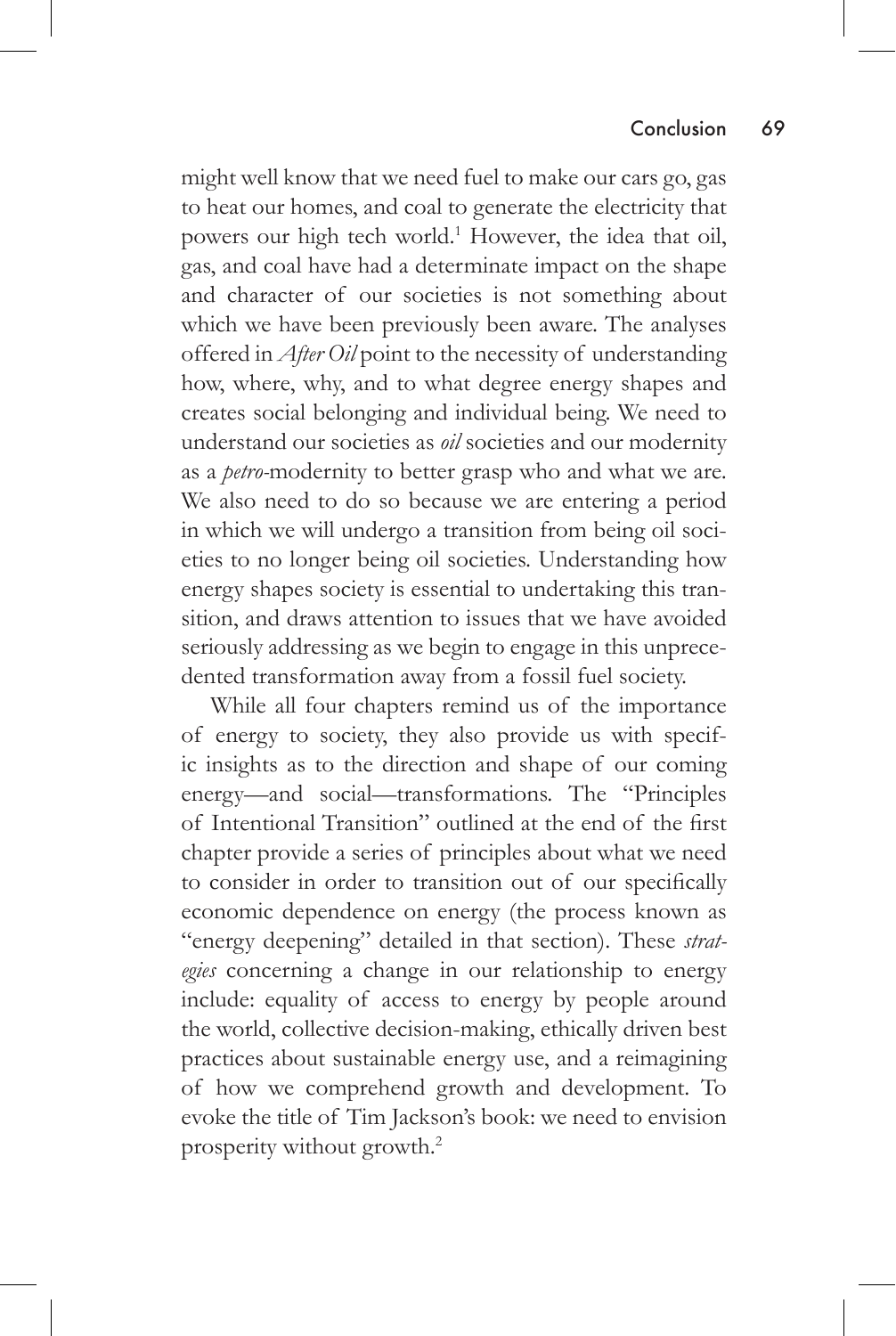might well know that we need fuel to make our cars go, gas to heat our homes, and coal to generate the electricity that powers our high tech world.<sup>1</sup> However, the idea that oil, gas, and coal have had a determinate impact on the shape and character of our societies is not something about which we have been previously been aware. The analyses offered in *After Oil* point to the necessity of understanding how, where, why, and to what degree energy shapes and creates social belonging and individual being. We need to understand our societies as *oil* societies and our modernity as a *petro-*modernity to better grasp who and what we are. We also need to do so because we are entering a period in which we will undergo a transition from being oil societies to no longer being oil societies. Understanding how energy shapes society is essential to undertaking this transition, and draws attention to issues that we have avoided seriously addressing as we begin to engage in this unprecedented transformation away from a fossil fuel society.

While all four chapters remind us of the importance of energy to society, they also provide us with specific insights as to the direction and shape of our coming energy—and social—transformations. The "Principles of Intentional Transition" outlined at the end of the first chapter provide a series of principles about what we need to consider in order to transition out of our specifically economic dependence on energy (the process known as "energy deepening" detailed in that section). These *strategies* concerning a change in our relationship to energy include: equality of access to energy by people around the world, collective decision-making, ethically driven best practices about sustainable energy use, and a reimagining of how we comprehend growth and development. To evoke the title of Tim Jackson's book: we need to envision prosperity without growth.2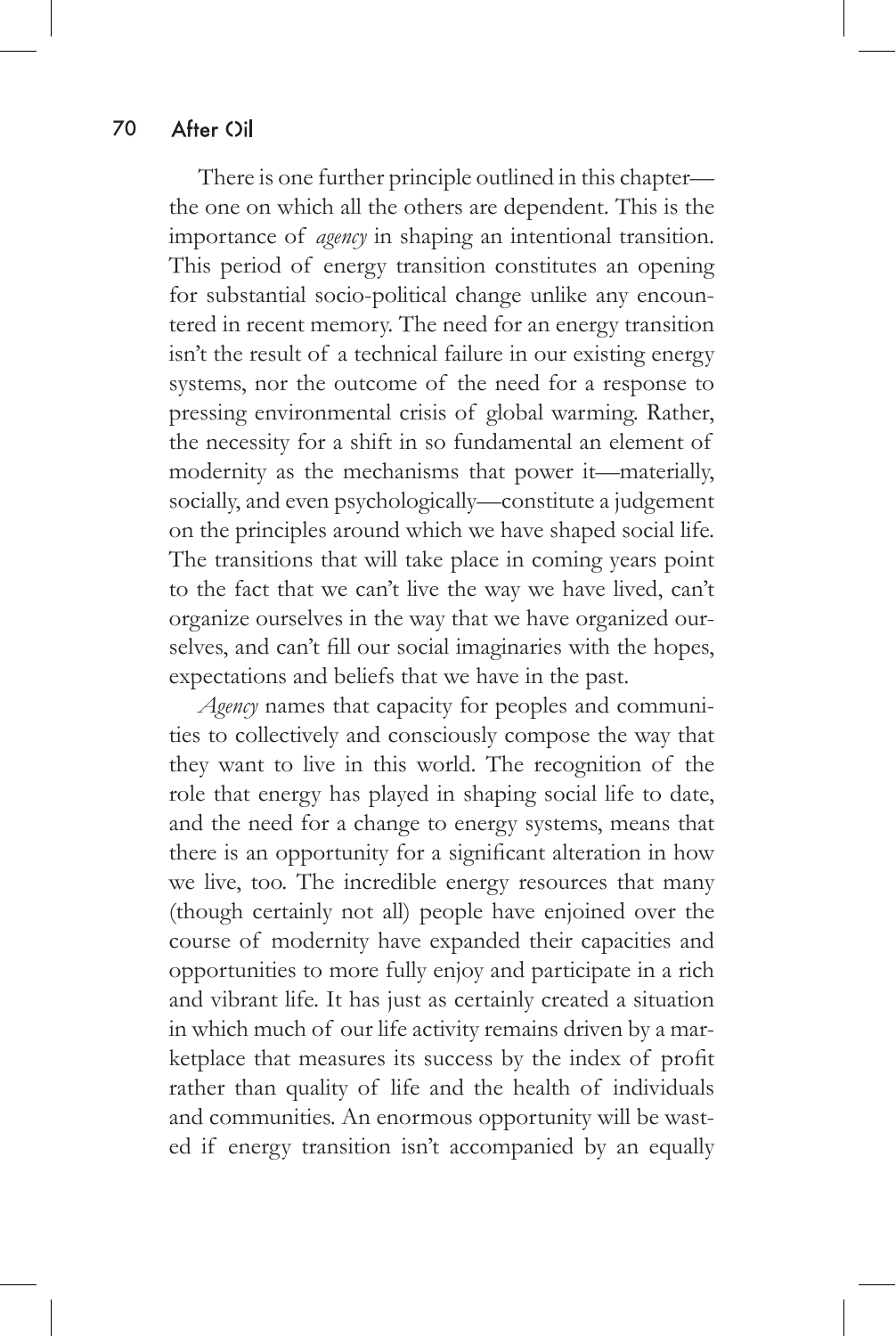There is one further principle outlined in this chapter the one on which all the others are dependent. This is the importance of *agency* in shaping an intentional transition. This period of energy transition constitutes an opening for substantial socio-political change unlike any encountered in recent memory. The need for an energy transition isn't the result of a technical failure in our existing energy systems, nor the outcome of the need for a response to pressing environmental crisis of global warming. Rather, the necessity for a shift in so fundamental an element of modernity as the mechanisms that power it—materially, socially, and even psychologically—constitute a judgement on the principles around which we have shaped social life. The transitions that will take place in coming years point to the fact that we can't live the way we have lived, can't organize ourselves in the way that we have organized ourselves, and can't fill our social imaginaries with the hopes, expectations and beliefs that we have in the past.

*Agency* names that capacity for peoples and communities to collectively and consciously compose the way that they want to live in this world. The recognition of the role that energy has played in shaping social life to date, and the need for a change to energy systems, means that there is an opportunity for a significant alteration in how we live, too. The incredible energy resources that many (though certainly not all) people have enjoined over the course of modernity have expanded their capacities and opportunities to more fully enjoy and participate in a rich and vibrant life. It has just as certainly created a situation in which much of our life activity remains driven by a marketplace that measures its success by the index of profit rather than quality of life and the health of individuals and communities. An enormous opportunity will be wasted if energy transition isn't accompanied by an equally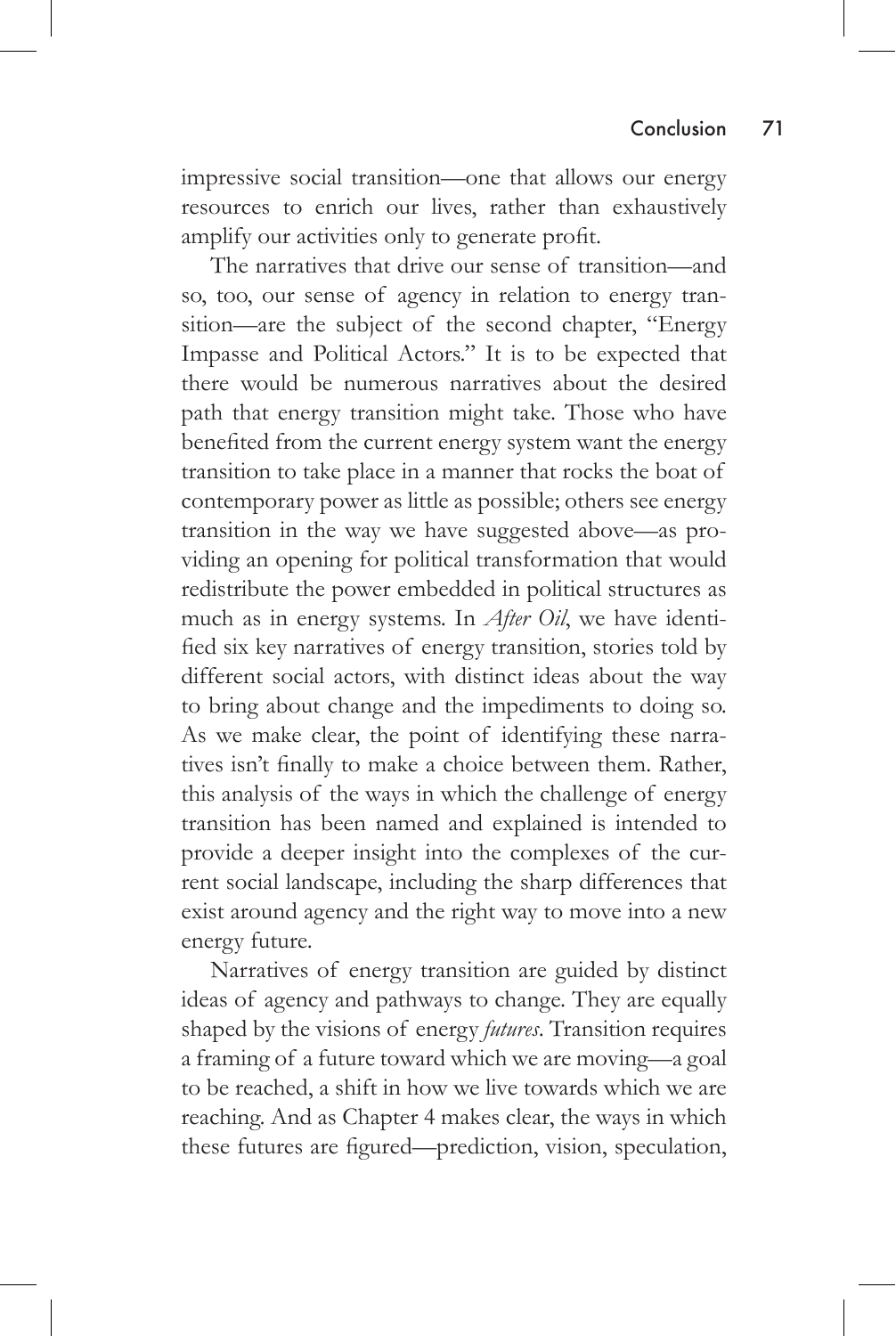impressive social transition—one that allows our energy resources to enrich our lives, rather than exhaustively amplify our activities only to generate profit.

The narratives that drive our sense of transition—and so, too, our sense of agency in relation to energy transition—are the subject of the second chapter, "Energy Impasse and Political Actors." It is to be expected that there would be numerous narratives about the desired path that energy transition might take. Those who have benefited from the current energy system want the energy transition to take place in a manner that rocks the boat of contemporary power as little as possible; others see energy transition in the way we have suggested above—as providing an opening for political transformation that would redistribute the power embedded in political structures as much as in energy systems. In *After Oil*, we have identified six key narratives of energy transition, stories told by different social actors, with distinct ideas about the way to bring about change and the impediments to doing so. As we make clear, the point of identifying these narratives isn't finally to make a choice between them. Rather, this analysis of the ways in which the challenge of energy transition has been named and explained is intended to provide a deeper insight into the complexes of the current social landscape, including the sharp differences that exist around agency and the right way to move into a new energy future.

Narratives of energy transition are guided by distinct ideas of agency and pathways to change. They are equally shaped by the visions of energy *futures*. Transition requires a framing of a future toward which we are moving—a goal to be reached, a shift in how we live towards which we are reaching. And as Chapter 4 makes clear, the ways in which these futures are figured—prediction, vision, speculation,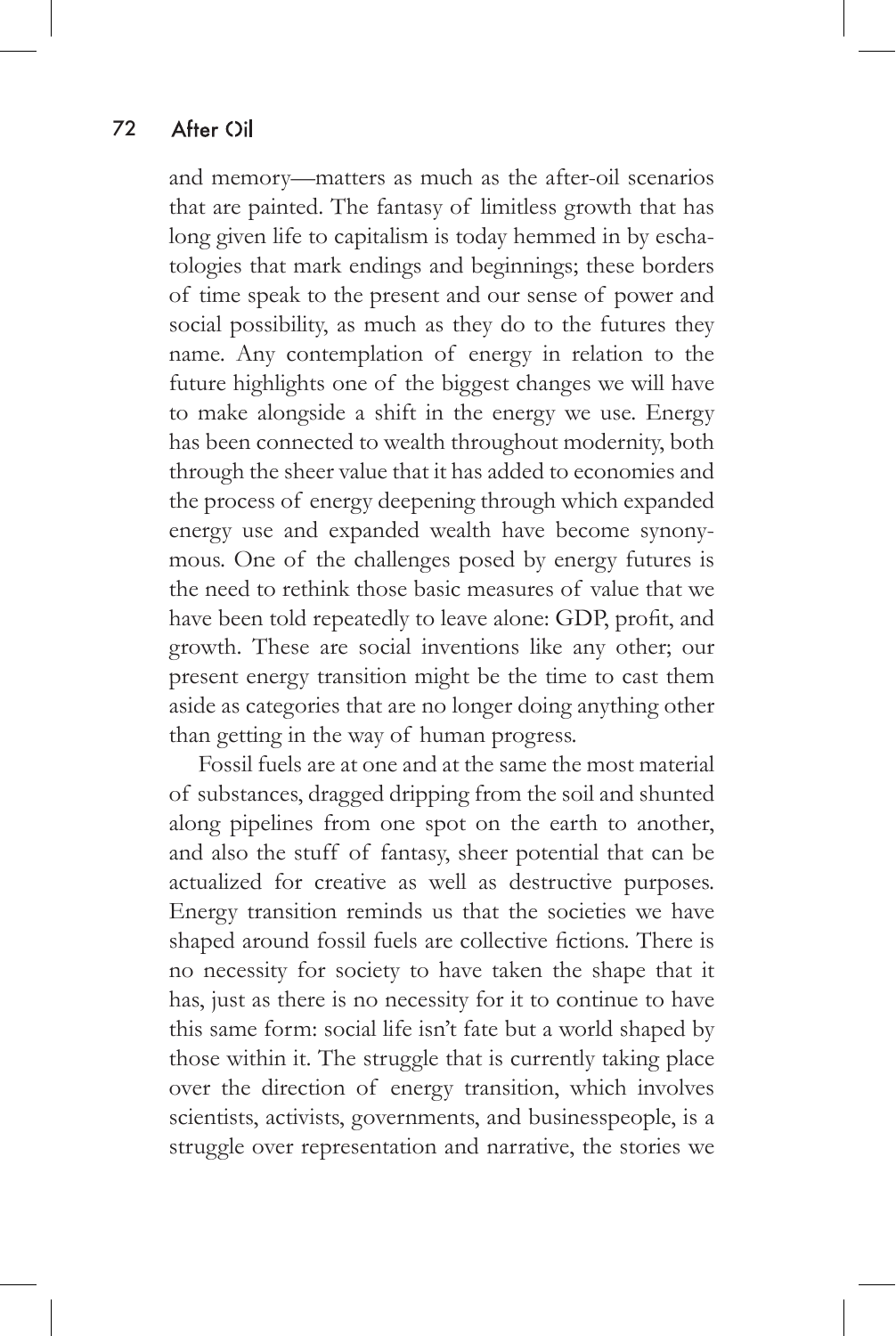and memory—matters as much as the after-oil scenarios that are painted. The fantasy of limitless growth that has long given life to capitalism is today hemmed in by eschatologies that mark endings and beginnings; these borders of time speak to the present and our sense of power and social possibility, as much as they do to the futures they name. Any contemplation of energy in relation to the future highlights one of the biggest changes we will have to make alongside a shift in the energy we use. Energy has been connected to wealth throughout modernity, both through the sheer value that it has added to economies and the process of energy deepening through which expanded energy use and expanded wealth have become synonymous. One of the challenges posed by energy futures is the need to rethink those basic measures of value that we have been told repeatedly to leave alone: GDP, profit, and growth. These are social inventions like any other; our present energy transition might be the time to cast them aside as categories that are no longer doing anything other than getting in the way of human progress.

Fossil fuels are at one and at the same the most material of substances, dragged dripping from the soil and shunted along pipelines from one spot on the earth to another, and also the stuff of fantasy, sheer potential that can be actualized for creative as well as destructive purposes. Energy transition reminds us that the societies we have shaped around fossil fuels are collective fictions. There is no necessity for society to have taken the shape that it has, just as there is no necessity for it to continue to have this same form: social life isn't fate but a world shaped by those within it. The struggle that is currently taking place over the direction of energy transition, which involves scientists, activists, governments, and businesspeople, is a struggle over representation and narrative, the stories we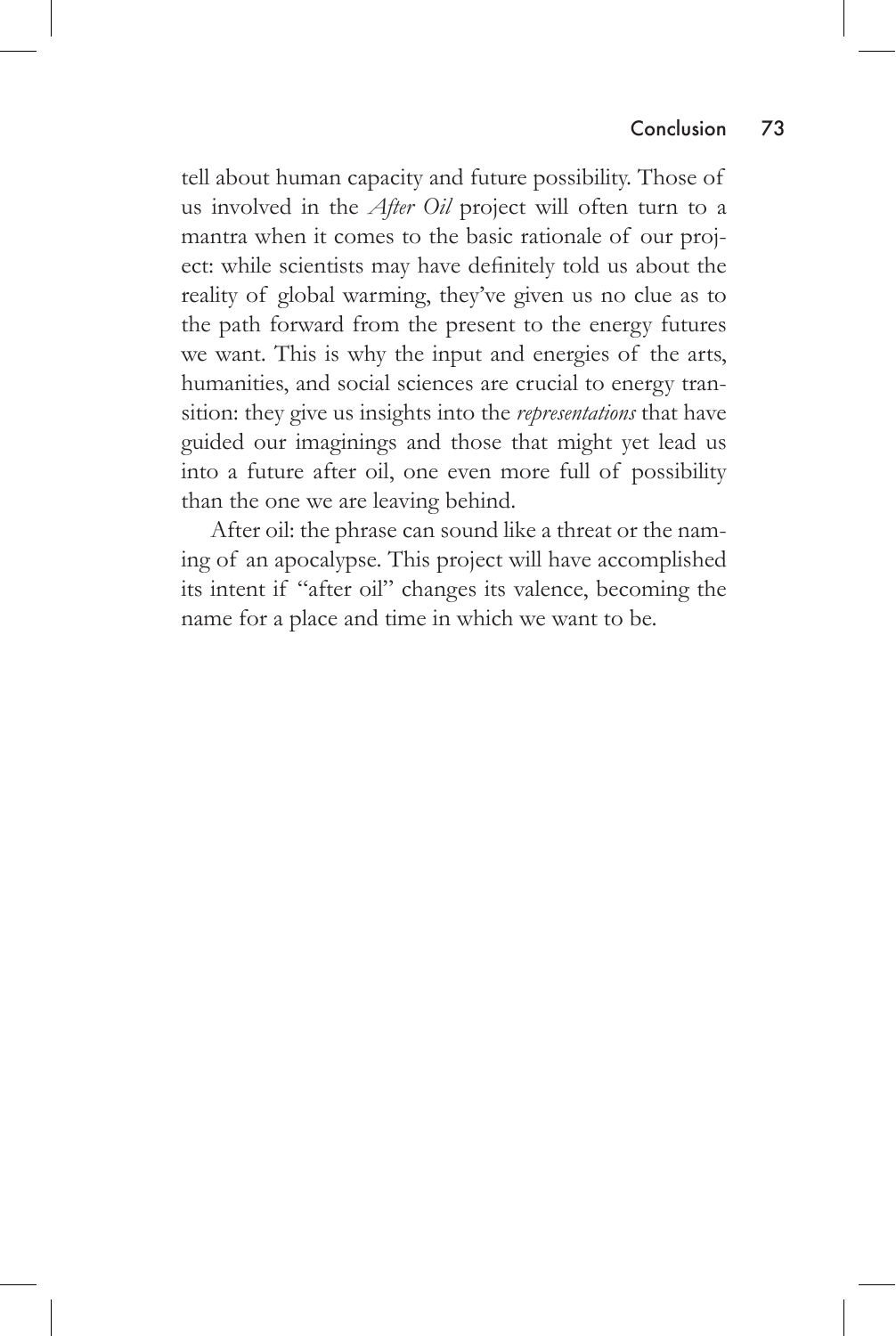tell about human capacity and future possibility. Those of us involved in the *After Oil* project will often turn to a mantra when it comes to the basic rationale of our project: while scientists may have definitely told us about the reality of global warming, they've given us no clue as to the path forward from the present to the energy futures we want. This is why the input and energies of the arts, humanities, and social sciences are crucial to energy transition: they give us insights into the *representations* that have guided our imaginings and those that might yet lead us into a future after oil, one even more full of possibility than the one we are leaving behind.

After oil: the phrase can sound like a threat or the naming of an apocalypse. This project will have accomplished its intent if "after oil" changes its valence, becoming the name for a place and time in which we want to be.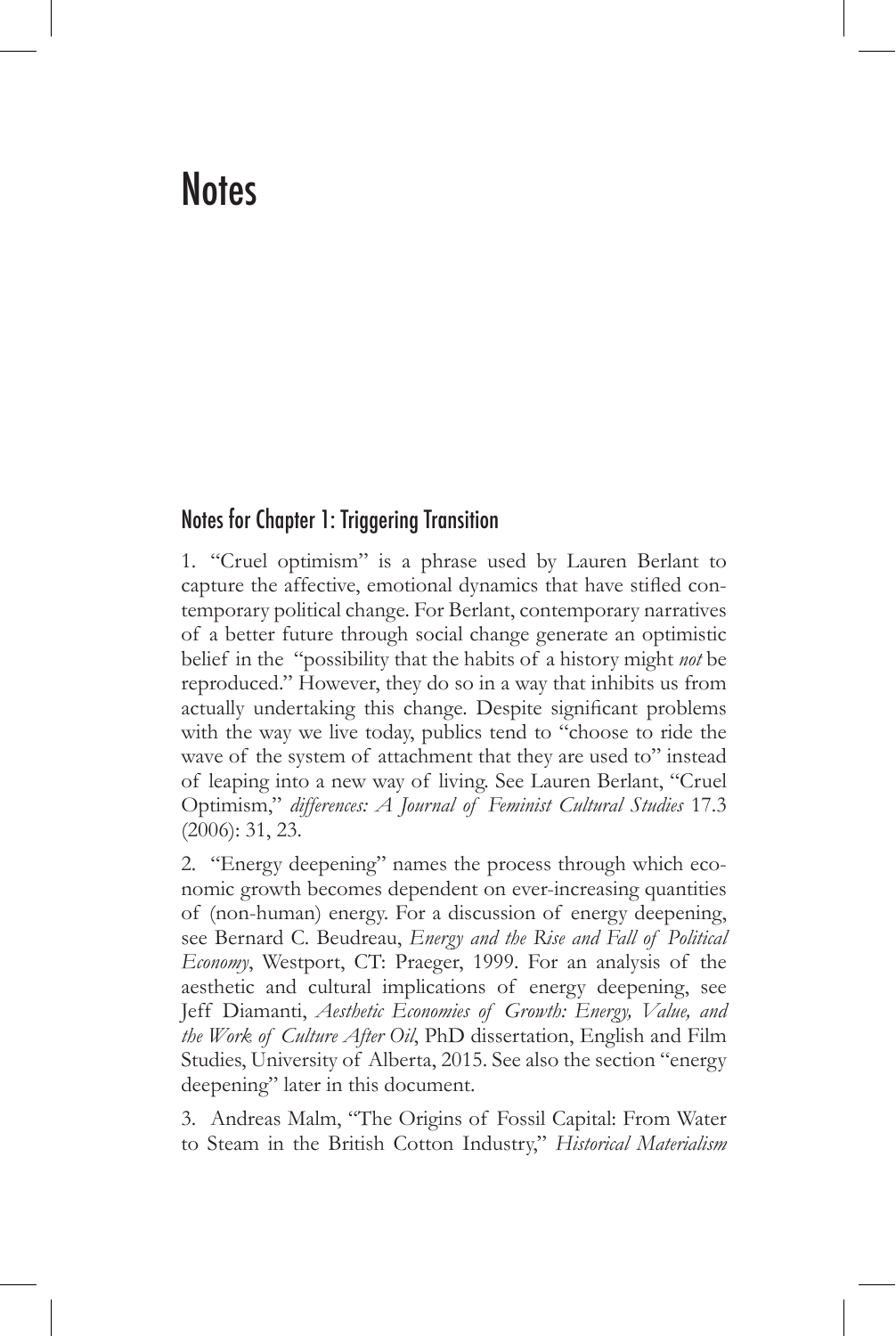# **Notes**

#### Notes for Chapter 1: Triggering Transition

1. "Cruel optimism" is a phrase used by Lauren Berlant to capture the affective, emotional dynamics that have stifled contemporary political change. For Berlant, contemporary narratives of a better future through social change generate an optimistic belief in the "possibility that the habits of a history might *not* be reproduced." However, they do so in a way that inhibits us from actually undertaking this change. Despite significant problems with the way we live today, publics tend to "choose to ride the wave of the system of attachment that they are used to" instead of leaping into a new way of living. See Lauren Berlant, "Cruel Optimism," *differences: A Journal of Feminist Cultural Studies* 17.3 (2006): 31, 23.

2. "Energy deepening" names the process through which economic growth becomes dependent on ever-increasing quantities of (non-human) energy. For a discussion of energy deepening, see Bernard C. Beudreau, *Energy and the Rise and Fall of Political Economy*, Westport, CT: Praeger, 1999. For an analysis of the aesthetic and cultural implications of energy deepening, see Jeff Diamanti, *Aesthetic Economies of Growth: Energy, Value, and the Work of Culture After Oil*, PhD dissertation, English and Film Studies, University of Alberta, 2015. See also the section "energy deepening" later in this document.

3. Andreas Malm, "The Origins of Fossil Capital: From Water to Steam in the British Cotton Industry," *Historical Materialism*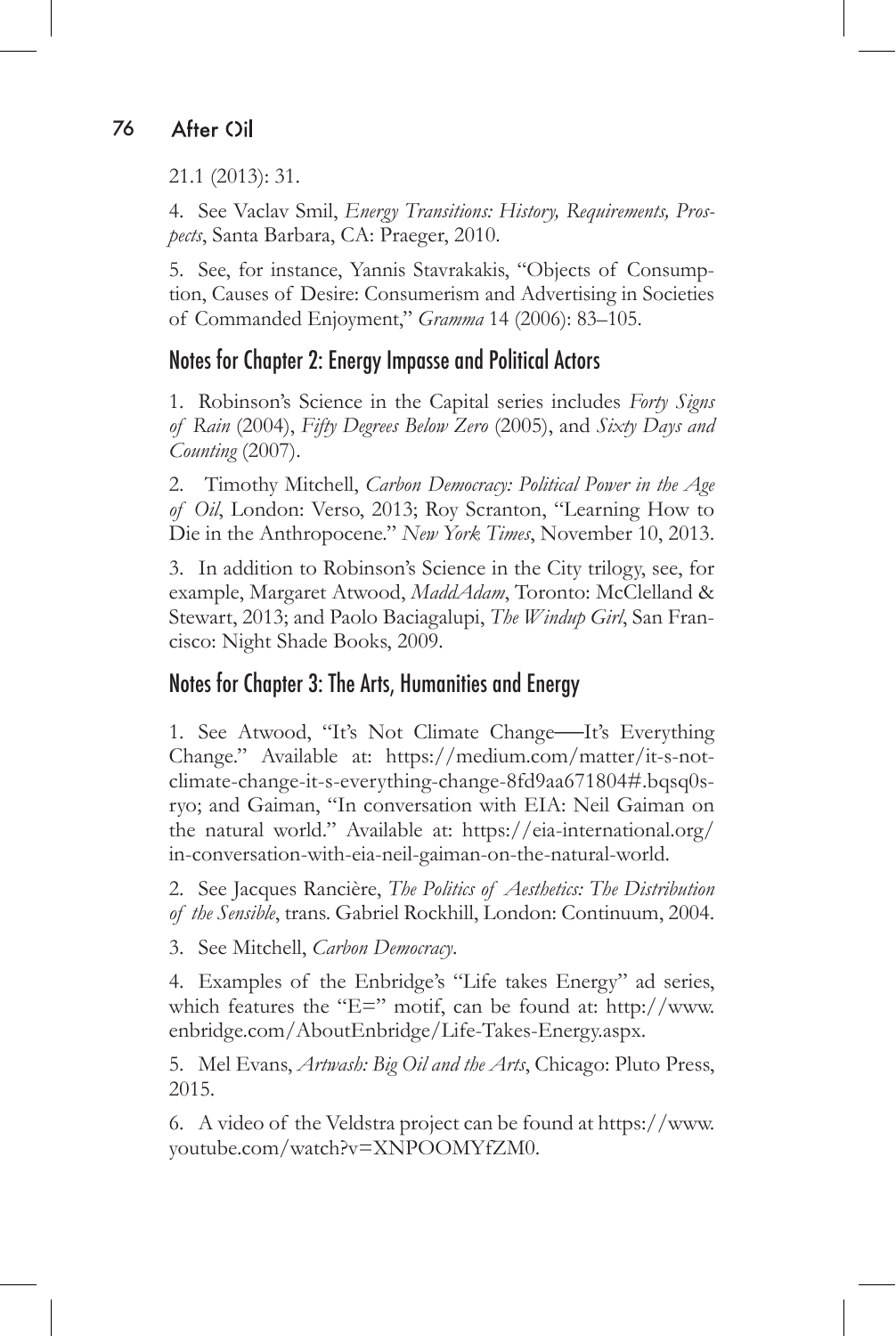#### After Oil 76

21.1 (2013): 31.

4. See Vaclav Smil, *Energy Transitions: History, Requirements, Prospects*, Santa Barbara, CA: Praeger, 2010.

5. See, for instance, Yannis Stavrakakis, "Objects of Consumption, Causes of Desire: Consumerism and Advertising in Societies of Commanded Enjoyment," *Gramma* 14 (2006): 83–105.

## Notes for Chapter 2: Energy Impasse and Political Actors

1. Robinson's Science in the Capital series includes *Forty Signs of Rain* (2004), *Fifty Degrees Below Zero* (2005), and *Sixty Days and Counting* (2007).

2. Timothy Mitchell, *Carbon Democracy: Political Power in the Age of Oil*, London: Verso, 2013; Roy Scranton, "Learning How to Die in the Anthropocene." *New York Times*, November 10, 2013.

3. In addition to Robinson's Science in the City trilogy, see, for example, Margaret Atwood, *MaddAdam*, Toronto: McClelland & Stewart, 2013; and Paolo Baciagalupi, *The Windup Girl*, San Francisco: Night Shade Books, 2009.

#### Notes for Chapter 3: The Arts, Humanities and Energy

1. See Atwood, "It's Not Climate Change—It's Everything Change." Available at: https://medium.com/matter/it-s-notclimate-change-it-s-everything-change-8fd9aa671804#.bqsq0sryo; and Gaiman, "In conversation with EIA: Neil Gaiman on the natural world." Available at: https://eia-international.org/ in-conversation-with-eia-neil-gaiman-on-the-natural-world.

2. See Jacques Rancière, *The Politics of Aesthetics: The Distribution of the Sensible*, trans. Gabriel Rockhill, London: Continuum, 2004.

3. See Mitchell, *Carbon Democracy*.

4. Examples of the Enbridge's "Life takes Energy" ad series, which features the "E=" motif, can be found at: http://www. enbridge.com/AboutEnbridge/Life-Takes-Energy.aspx.

5. Mel Evans, *Artwash: Big Oil and the Arts*, Chicago: Pluto Press, 2015.

6. A video of the Veldstra project can be found at https://www. youtube.com/watch?v=XNPOOMYfZM0.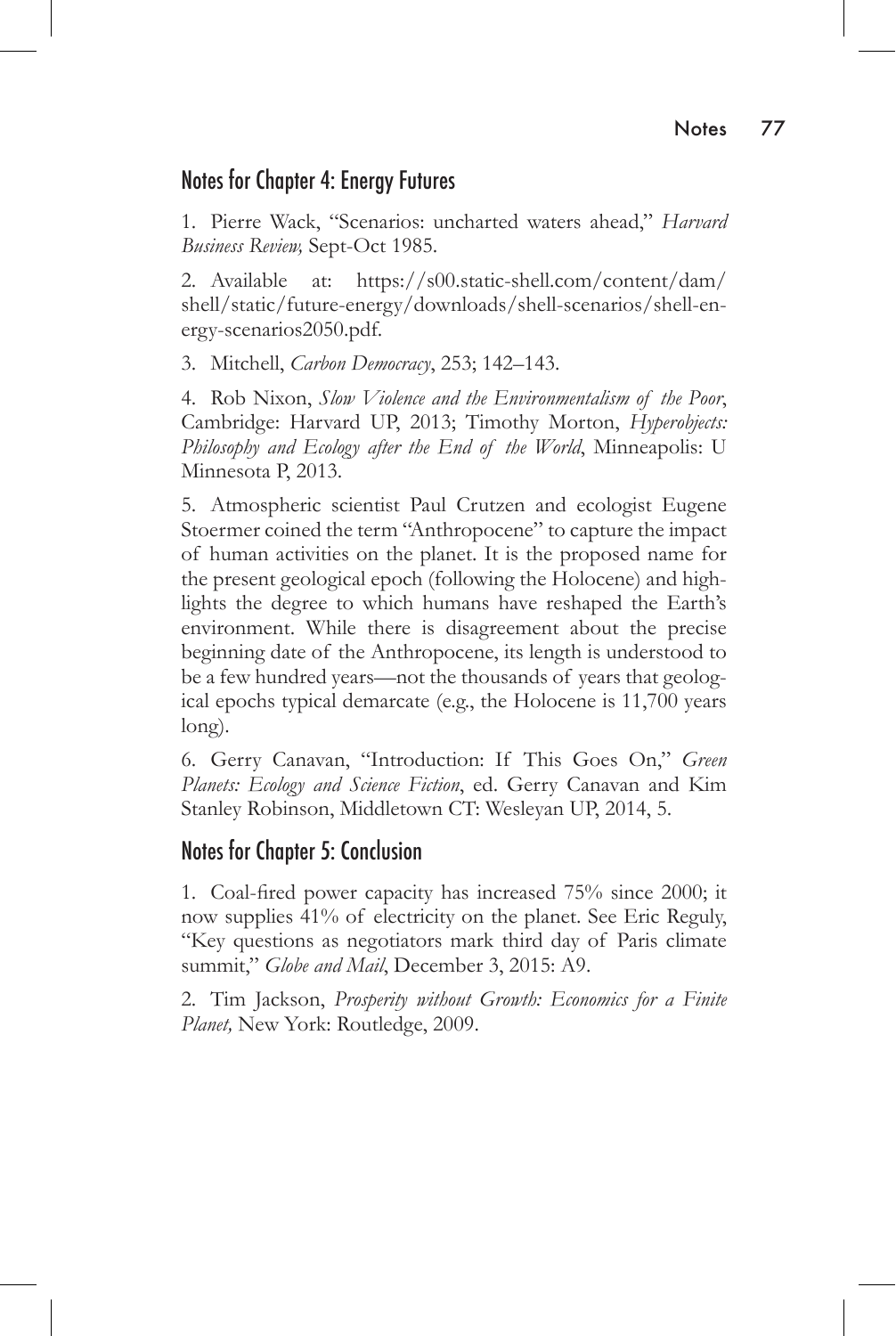## Notes for Chapter 4: Energy Futures

1. Pierre Wack, "Scenarios: uncharted waters ahead," *Harvard Business Review,* Sept-Oct 1985.

2. Available at: https://s00.static-shell.com/content/dam/ shell/static/future-energy/downloads/shell-scenarios/shell-energy-scenarios2050.pdf.

3. Mitchell, *Carbon Democracy*, 253; 142–143.

4. Rob Nixon, *Slow Violence and the Environmentalism of the Poor*, Cambridge: Harvard UP, 2013; Timothy Morton, *Hyperobjects: Philosophy and Ecology after the End of the World*, Minneapolis: U Minnesota P, 2013.

5. Atmospheric scientist Paul Crutzen and ecologist Eugene Stoermer coined the term "Anthropocene" to capture the impact of human activities on the planet. It is the proposed name for the present geological epoch (following the Holocene) and highlights the degree to which humans have reshaped the Earth's environment. While there is disagreement about the precise beginning date of the Anthropocene, its length is understood to be a few hundred years—not the thousands of years that geological epochs typical demarcate (e.g., the Holocene is 11,700 years long).

6. Gerry Canavan, "Introduction: If This Goes On," *Green Planets: Ecology and Science Fiction*, ed. Gerry Canavan and Kim Stanley Robinson, Middletown CT: Wesleyan UP, 2014, 5.

# Notes for Chapter 5: Conclusion

1. Coal-fired power capacity has increased 75% since 2000; it now supplies 41% of electricity on the planet. See Eric Reguly, "Key questions as negotiators mark third day of Paris climate summit," *Globe and Mail*, December 3, 2015: A9.

2. Tim Jackson, *Prosperity without Growth: Economics for a Finite Planet,* New York: Routledge, 2009.